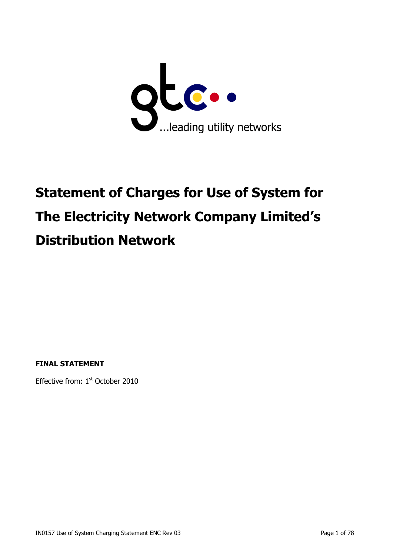

# **Statement of Charges for Use of System for The Electricity Network Company Limited's Distribution Network**

**FINAL STATEMENT**

Effective from: 1<sup>st</sup> October 2010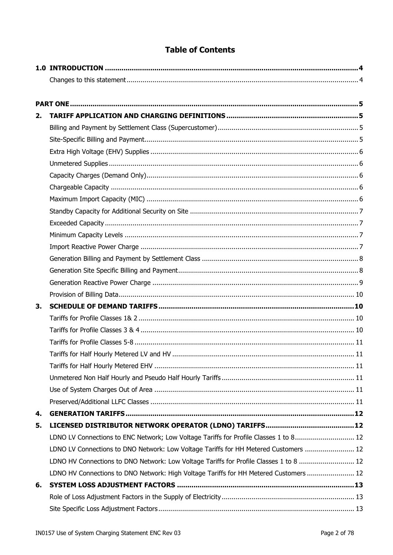| <b>Table of Contents</b> |  |
|--------------------------|--|
|--------------------------|--|

| 2. |                                                                                        |  |
|----|----------------------------------------------------------------------------------------|--|
|    |                                                                                        |  |
|    |                                                                                        |  |
|    |                                                                                        |  |
|    |                                                                                        |  |
|    |                                                                                        |  |
|    |                                                                                        |  |
|    |                                                                                        |  |
|    |                                                                                        |  |
|    |                                                                                        |  |
|    |                                                                                        |  |
|    |                                                                                        |  |
|    |                                                                                        |  |
|    |                                                                                        |  |
|    |                                                                                        |  |
|    |                                                                                        |  |
| 3. |                                                                                        |  |
|    |                                                                                        |  |
|    |                                                                                        |  |
|    |                                                                                        |  |
|    |                                                                                        |  |
|    |                                                                                        |  |
|    |                                                                                        |  |
|    |                                                                                        |  |
|    |                                                                                        |  |
| 4. |                                                                                        |  |
| 5. |                                                                                        |  |
|    | LDNO LV Connections to ENC Network; Low Voltage Tariffs for Profile Classes 1 to 8 12  |  |
|    | LDNO LV Connections to DNO Network: Low Voltage Tariffs for HH Metered Customers  12   |  |
|    | LDNO HV Connections to DNO Network: Low Voltage Tariffs for Profile Classes 1 to 8  12 |  |
|    | LDNO HV Connections to DNO Network: High Voltage Tariffs for HH Metered Customers  12  |  |
| 6. |                                                                                        |  |
|    |                                                                                        |  |
|    |                                                                                        |  |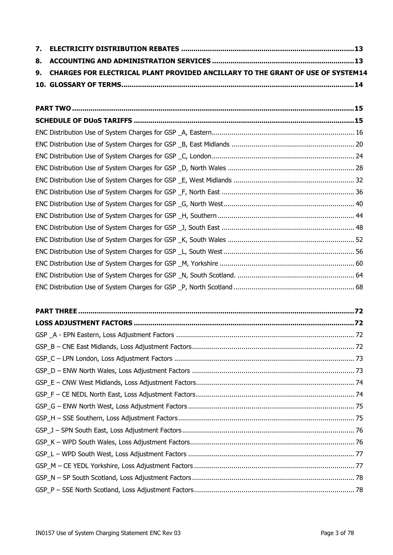| 9. CHARGES FOR ELECTRICAL PLANT PROVIDED ANCILLARY TO THE GRANT OF USE OF SYSTEM14 |
|------------------------------------------------------------------------------------|
|                                                                                    |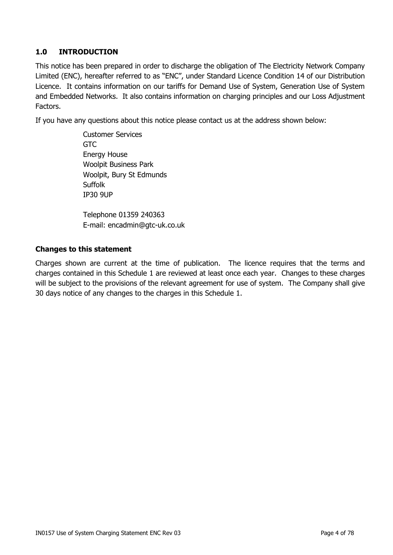## <span id="page-3-0"></span>**1.0 INTRODUCTION**

This notice has been prepared in order to discharge the obligation of The Electricity Network Company Limited (ENC), hereafter referred to as "ENC", under Standard Licence Condition 14 of our Distribution Licence. It contains information on our tariffs for Demand Use of System, Generation Use of System and Embedded Networks. It also contains information on charging principles and our Loss Adjustment Factors.

If you have any questions about this notice please contact us at the address shown below:

Customer Services GTC Energy House Woolpit Business Park Woolpit, Bury St Edmunds Suffolk IP30 9UP

Telephone 01359 240363 E-mail: encadmin@gtc-uk.co.uk

#### <span id="page-3-1"></span>**Changes to this statement**

Charges shown are current at the time of publication. The licence requires that the terms and charges contained in this Schedule 1 are reviewed at least once each year. Changes to these charges will be subject to the provisions of the relevant agreement for use of system. The Company shall give 30 days notice of any changes to the charges in this Schedule 1.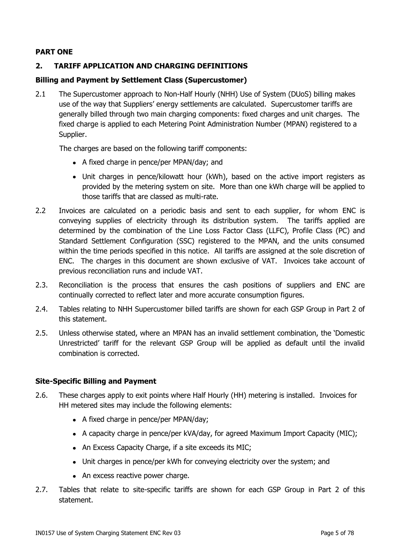### <span id="page-4-0"></span>**PART ONE**

### <span id="page-4-1"></span>**2. TARIFF APPLICATION AND CHARGING DEFINITIONS**

#### <span id="page-4-2"></span>**Billing and Payment by Settlement Class (Supercustomer)**

2.1 The Supercustomer approach to Non-Half Hourly (NHH) Use of System (DUoS) billing makes use of the way that Suppliers' energy settlements are calculated. Supercustomer tariffs are generally billed through two main charging components: fixed charges and unit charges. The fixed charge is applied to each Metering Point Administration Number (MPAN) registered to a Supplier.

The charges are based on the following tariff components:

- A fixed charge in pence/per MPAN/day; and
- Unit charges in pence/kilowatt hour (kWh), based on the active import registers as provided by the metering system on site. More than one kWh charge will be applied to those tariffs that are classed as multi-rate.
- 2.2 Invoices are calculated on a periodic basis and sent to each supplier, for whom ENC is conveying supplies of electricity through its distribution system. The tariffs applied are determined by the combination of the Line Loss Factor Class (LLFC), Profile Class (PC) and Standard Settlement Configuration (SSC) registered to the MPAN, and the units consumed within the time periods specified in this notice. All tariffs are assigned at the sole discretion of ENC. The charges in this document are shown exclusive of VAT. Invoices take account of previous reconciliation runs and include VAT.
- 2.3. Reconciliation is the process that ensures the cash positions of suppliers and ENC are continually corrected to reflect later and more accurate consumption figures.
- 2.4. Tables relating to NHH Supercustomer billed tariffs are shown for each GSP Group in Part 2 of this statement.
- 2.5. Unless otherwise stated, where an MPAN has an invalid settlement combination, the "Domestic Unrestricted" tariff for the relevant GSP Group will be applied as default until the invalid combination is corrected.

#### <span id="page-4-3"></span>**Site-Specific Billing and Payment**

- 2.6. These charges apply to exit points where Half Hourly (HH) metering is installed. Invoices for HH metered sites may include the following elements:
	- A fixed charge in pence/per MPAN/day;
	- A capacity charge in pence/per kVA/day, for agreed Maximum Import Capacity (MIC);
	- An Excess Capacity Charge, if a site exceeds its MIC;
	- Unit charges in pence/per kWh for conveying electricity over the system; and
	- An excess reactive power charge.
- 2.7. Tables that relate to site-specific tariffs are shown for each GSP Group in Part 2 of this statement.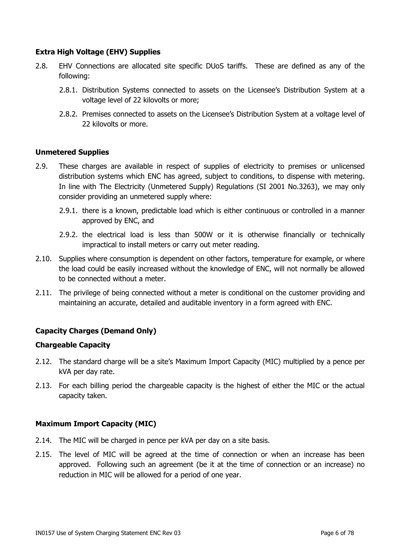#### <span id="page-5-0"></span>**Extra High Voltage (EHV) Supplies**

- 2.8. EHV Connections are allocated site specific DUoS tariffs. These are defined as any of the following:
	- 2.8.1. Distribution Systems connected to assets on the Licensee"s Distribution System at a voltage level of 22 kilovolts or more;
	- 2.8.2. Premises connected to assets on the Licensee's Distribution System at a voltage level of 22 kilovolts or more.

#### <span id="page-5-1"></span>**Unmetered Supplies**

- 2.9. These charges are available in respect of supplies of electricity to premises or unlicensed distribution systems which ENC has agreed, subject to conditions, to dispense with metering. In line with The Electricity (Unmetered Supply) Regulations (SI 2001 No.3263), we may only consider providing an unmetered supply where:
	- 2.9.1. there is a known, predictable load which is either continuous or controlled in a manner approved by ENC, and
	- 2.9.2. the electrical load is less than 500W or it is otherwise financially or technically impractical to install meters or carry out meter reading.
- 2.10. Supplies where consumption is dependent on other factors, temperature for example, or where the load could be easily increased without the knowledge of ENC, will not normally be allowed to be connected without a meter.
- 2.11. The privilege of being connected without a meter is conditional on the customer providing and maintaining an accurate, detailed and auditable inventory in a form agreed with ENC.

#### <span id="page-5-2"></span>**Capacity Charges (Demand Only)**

#### <span id="page-5-3"></span>**Chargeable Capacity**

- 2.12. The standard charge will be a site's Maximum Import Capacity (MIC) multiplied by a pence per kVA per day rate.
- 2.13. For each billing period the chargeable capacity is the highest of either the MIC or the actual capacity taken.

#### <span id="page-5-4"></span>**Maximum Import Capacity (MIC)**

- 2.14. The MIC will be charged in pence per kVA per day on a site basis.
- 2.15. The level of MIC will be agreed at the time of connection or when an increase has been approved. Following such an agreement (be it at the time of connection or an increase) no reduction in MIC will be allowed for a period of one year.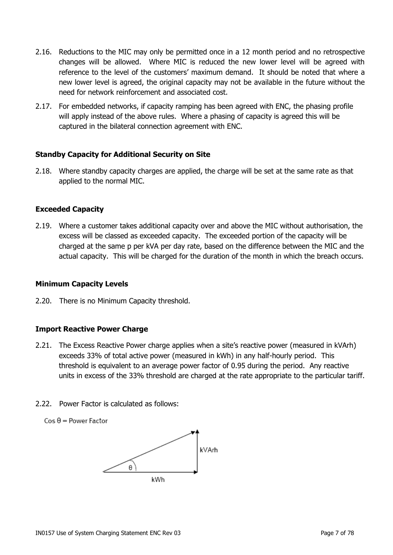- 2.16. Reductions to the MIC may only be permitted once in a 12 month period and no retrospective changes will be allowed. Where MIC is reduced the new lower level will be agreed with reference to the level of the customers" maximum demand. It should be noted that where a new lower level is agreed, the original capacity may not be available in the future without the need for network reinforcement and associated cost.
- 2.17. For embedded networks, if capacity ramping has been agreed with ENC, the phasing profile will apply instead of the above rules. Where a phasing of capacity is agreed this will be captured in the bilateral connection agreement with ENC.

#### <span id="page-6-0"></span>**Standby Capacity for Additional Security on Site**

2.18. Where standby capacity charges are applied, the charge will be set at the same rate as that applied to the normal MIC.

#### <span id="page-6-1"></span>**Exceeded Capacity**

2.19. Where a customer takes additional capacity over and above the MIC without authorisation, the excess will be classed as exceeded capacity. The exceeded portion of the capacity will be charged at the same p per kVA per day rate, based on the difference between the MIC and the actual capacity. This will be charged for the duration of the month in which the breach occurs.

#### <span id="page-6-2"></span>**Minimum Capacity Levels**

2.20. There is no Minimum Capacity threshold.

#### <span id="page-6-3"></span>**Import Reactive Power Charge**

- 2.21. The Excess Reactive Power charge applies when a site's reactive power (measured in kVArh) exceeds 33% of total active power (measured in kWh) in any half-hourly period. This threshold is equivalent to an average power factor of 0.95 during the period. Any reactive units in excess of the 33% threshold are charged at the rate appropriate to the particular tariff.
- 2.22. Power Factor is calculated as follows:
	- $Cos \theta = Power Factor$

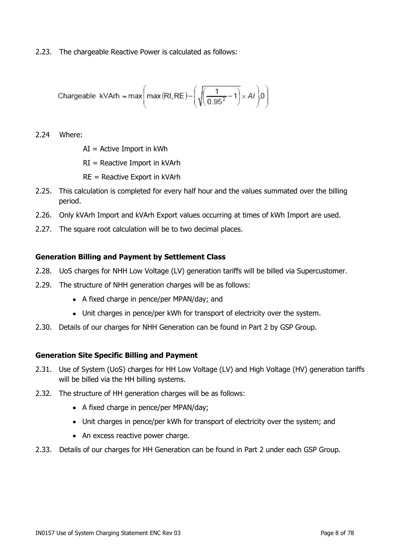2.23. The chargeable Reactive Power is calculated as follows:

$$
\text{Changeable } \text{kVArh} = \max\left(\max(RI, RE) - \left(\sqrt{\frac{1}{0.95^2} - 1}\right) \times AI\right) 0\right)
$$

2.24 Where:

 $AI =$  Active Import in kWh

RI = Reactive Import in kVArh

RE = Reactive Export in kVArh

- 2.25. This calculation is completed for every half hour and the values summated over the billing period.
- 2.26. Only kVArh Import and kVArh Export values occurring at times of kWh Import are used.
- 2.27. The square root calculation will be to two decimal places.

#### <span id="page-7-0"></span>**Generation Billing and Payment by Settlement Class**

- 2.28. UoS charges for NHH Low Voltage (LV) generation tariffs will be billed via Supercustomer.
- 2.29. The structure of NHH generation charges will be as follows:
	- A fixed charge in pence/per MPAN/day; and
	- Unit charges in pence/per kWh for transport of electricity over the system.
- 2.30. Details of our charges for NHH Generation can be found in Part 2 by GSP Group.

#### <span id="page-7-1"></span>**Generation Site Specific Billing and Payment**

- 2.31. Use of System (UoS) charges for HH Low Voltage (LV) and High Voltage (HV) generation tariffs will be billed via the HH billing systems.
- 2.32. The structure of HH generation charges will be as follows:
	- A fixed charge in pence/per MPAN/day;
	- Unit charges in pence/per kWh for transport of electricity over the system; and
	- An excess reactive power charge.
- 2.33. Details of our charges for HH Generation can be found in Part 2 under each GSP Group.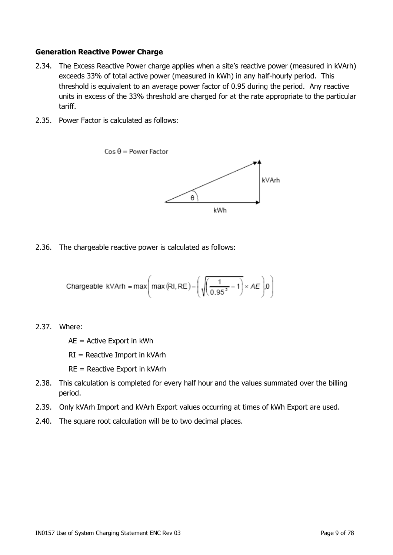#### <span id="page-8-0"></span>**Generation Reactive Power Charge**

- 2.34. The Excess Reactive Power charge applies when a site's reactive power (measured in kVArh) exceeds 33% of total active power (measured in kWh) in any half-hourly period. This threshold is equivalent to an average power factor of 0.95 during the period. Any reactive units in excess of the 33% threshold are charged for at the rate appropriate to the particular tariff.
- 2.35. Power Factor is calculated as follows:



2.36. The chargeable reactive power is calculated as follows:

$$
\text{Changeable } \text{kVArh} = \max\!\left(\max\left(\text{RI}, \text{RE}\right) - \left(\sqrt{\left(\frac{1}{0.95^2} - 1\right)} \times AE\right)\!\right)\!\right)
$$

2.37. Where:

AE = Active Export in kWh

RI = Reactive Import in kVArh

- RE = Reactive Export in kVArh
- 2.38. This calculation is completed for every half hour and the values summated over the billing period.
- 2.39. Only kVArh Import and kVArh Export values occurring at times of kWh Export are used.
- 2.40. The square root calculation will be to two decimal places.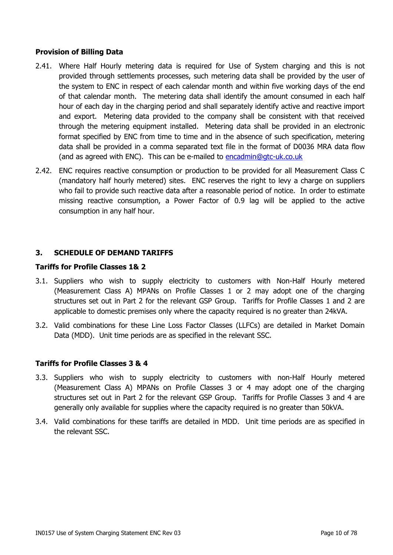#### <span id="page-9-0"></span>**Provision of Billing Data**

- 2.41. Where Half Hourly metering data is required for Use of System charging and this is not provided through settlements processes, such metering data shall be provided by the user of the system to ENC in respect of each calendar month and within five working days of the end of that calendar month. The metering data shall identify the amount consumed in each half hour of each day in the charging period and shall separately identify active and reactive import and export. Metering data provided to the company shall be consistent with that received through the metering equipment installed. Metering data shall be provided in an electronic format specified by ENC from time to time and in the absence of such specification, metering data shall be provided in a comma separated text file in the format of D0036 MRA data flow (and as agreed with ENC). This can be e-mailed to [encadmin@gtc-uk.co.uk](mailto:encadmin@gtc-uk.co.uk)
- 2.42. ENC requires reactive consumption or production to be provided for all Measurement Class C (mandatory half hourly metered) sites. ENC reserves the right to levy a charge on suppliers who fail to provide such reactive data after a reasonable period of notice. In order to estimate missing reactive consumption, a Power Factor of 0.9 lag will be applied to the active consumption in any half hour.

### <span id="page-9-1"></span>**3. SCHEDULE OF DEMAND TARIFFS**

#### <span id="page-9-2"></span>**Tariffs for Profile Classes 1& 2**

- 3.1. Suppliers who wish to supply electricity to customers with Non-Half Hourly metered (Measurement Class A) MPANs on Profile Classes 1 or 2 may adopt one of the charging structures set out in Part 2 for the relevant GSP Group. Tariffs for Profile Classes 1 and 2 are applicable to domestic premises only where the capacity required is no greater than 24kVA.
- 3.2. Valid combinations for these Line Loss Factor Classes (LLFCs) are detailed in Market Domain Data (MDD). Unit time periods are as specified in the relevant SSC.

#### <span id="page-9-3"></span>**Tariffs for Profile Classes 3 & 4**

- 3.3. Suppliers who wish to supply electricity to customers with non-Half Hourly metered (Measurement Class A) MPANs on Profile Classes 3 or 4 may adopt one of the charging structures set out in Part 2 for the relevant GSP Group. Tariffs for Profile Classes 3 and 4 are generally only available for supplies where the capacity required is no greater than 50kVA.
- 3.4. Valid combinations for these tariffs are detailed in MDD. Unit time periods are as specified in the relevant SSC.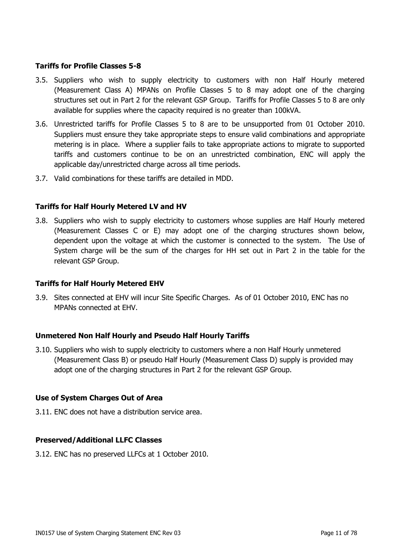#### <span id="page-10-0"></span>**Tariffs for Profile Classes 5-8**

- 3.5. Suppliers who wish to supply electricity to customers with non Half Hourly metered (Measurement Class A) MPANs on Profile Classes 5 to 8 may adopt one of the charging structures set out in Part 2 for the relevant GSP Group. Tariffs for Profile Classes 5 to 8 are only available for supplies where the capacity required is no greater than 100kVA.
- 3.6. Unrestricted tariffs for Profile Classes 5 to 8 are to be unsupported from 01 October 2010. Suppliers must ensure they take appropriate steps to ensure valid combinations and appropriate metering is in place. Where a supplier fails to take appropriate actions to migrate to supported tariffs and customers continue to be on an unrestricted combination, ENC will apply the applicable day/unrestricted charge across all time periods.
- 3.7. Valid combinations for these tariffs are detailed in MDD.

#### <span id="page-10-1"></span>**Tariffs for Half Hourly Metered LV and HV**

3.8. Suppliers who wish to supply electricity to customers whose supplies are Half Hourly metered (Measurement Classes C or E) may adopt one of the charging structures shown below, dependent upon the voltage at which the customer is connected to the system. The Use of System charge will be the sum of the charges for HH set out in Part 2 in the table for the relevant GSP Group.

#### <span id="page-10-2"></span>**Tariffs for Half Hourly Metered EHV**

3.9. Sites connected at EHV will incur Site Specific Charges. As of 01 October 2010, ENC has no MPANs connected at EHV.

#### <span id="page-10-3"></span>**Unmetered Non Half Hourly and Pseudo Half Hourly Tariffs**

3.10. Suppliers who wish to supply electricity to customers where a non Half Hourly unmetered (Measurement Class B) or pseudo Half Hourly (Measurement Class D) supply is provided may adopt one of the charging structures in Part 2 for the relevant GSP Group.

#### <span id="page-10-4"></span>**Use of System Charges Out of Area**

3.11. ENC does not have a distribution service area.

#### <span id="page-10-5"></span>**Preserved/Additional LLFC Classes**

3.12. ENC has no preserved LLFCs at 1 October 2010.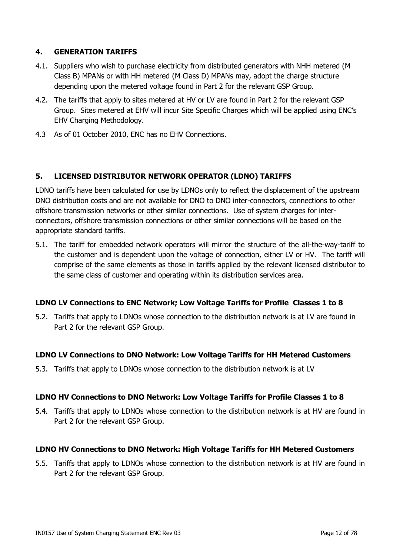### <span id="page-11-0"></span>**4. GENERATION TARIFFS**

- 4.1. Suppliers who wish to purchase electricity from distributed generators with NHH metered (M Class B) MPANs or with HH metered (M Class D) MPANs may, adopt the charge structure depending upon the metered voltage found in Part 2 for the relevant GSP Group.
- 4.2. The tariffs that apply to sites metered at HV or LV are found in Part 2 for the relevant GSP Group. Sites metered at EHV will incur Site Specific Charges which will be applied using ENC"s EHV Charging Methodology.
- 4.3 As of 01 October 2010, ENC has no EHV Connections.

### <span id="page-11-1"></span>**5. LICENSED DISTRIBUTOR NETWORK OPERATOR (LDNO) TARIFFS**

LDNO tariffs have been calculated for use by LDNOs only to reflect the displacement of the upstream DNO distribution costs and are not available for DNO to DNO inter-connectors, connections to other offshore transmission networks or other similar connections. Use of system charges for interconnectors, offshore transmission connections or other similar connections will be based on the appropriate standard tariffs.

5.1. The tariff for embedded network operators will mirror the structure of the all-the-way-tariff to the customer and is dependent upon the voltage of connection, either LV or HV. The tariff will comprise of the same elements as those in tariffs applied by the relevant licensed distributor to the same class of customer and operating within its distribution services area.

#### <span id="page-11-2"></span>**LDNO LV Connections to ENC Network; Low Voltage Tariffs for Profile Classes 1 to 8**

5.2. Tariffs that apply to LDNOs whose connection to the distribution network is at LV are found in Part 2 for the relevant GSP Group.

#### <span id="page-11-3"></span>**LDNO LV Connections to DNO Network: Low Voltage Tariffs for HH Metered Customers**

5.3. Tariffs that apply to LDNOs whose connection to the distribution network is at LV

#### <span id="page-11-4"></span>**LDNO HV Connections to DNO Network: Low Voltage Tariffs for Profile Classes 1 to 8**

5.4. Tariffs that apply to LDNOs whose connection to the distribution network is at HV are found in Part 2 for the relevant GSP Group.

#### <span id="page-11-5"></span>**LDNO HV Connections to DNO Network: High Voltage Tariffs for HH Metered Customers**

5.5. Tariffs that apply to LDNOs whose connection to the distribution network is at HV are found in Part 2 for the relevant GSP Group.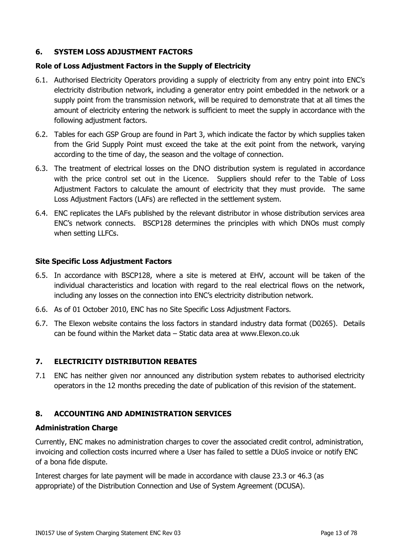### <span id="page-12-0"></span>**6. SYSTEM LOSS ADJUSTMENT FACTORS**

#### <span id="page-12-1"></span>**Role of Loss Adjustment Factors in the Supply of Electricity**

- 6.1. Authorised Electricity Operators providing a supply of electricity from any entry point into ENC"s electricity distribution network, including a generator entry point embedded in the network or a supply point from the transmission network, will be required to demonstrate that at all times the amount of electricity entering the network is sufficient to meet the supply in accordance with the following adjustment factors.
- 6.2. Tables for each GSP Group are found in Part 3, which indicate the factor by which supplies taken from the Grid Supply Point must exceed the take at the exit point from the network, varying according to the time of day, the season and the voltage of connection.
- 6.3. The treatment of electrical losses on the DNO distribution system is regulated in accordance with the price control set out in the Licence. Suppliers should refer to the Table of Loss Adjustment Factors to calculate the amount of electricity that they must provide. The same Loss Adjustment Factors (LAFs) are reflected in the settlement system.
- 6.4. ENC replicates the LAFs published by the relevant distributor in whose distribution services area ENC"s network connects. BSCP128 determines the principles with which DNOs must comply when setting LLFCs.

#### <span id="page-12-2"></span>**Site Specific Loss Adjustment Factors**

- 6.5. In accordance with BSCP128, where a site is metered at EHV, account will be taken of the individual characteristics and location with regard to the real electrical flows on the network, including any losses on the connection into ENC"s electricity distribution network.
- 6.6. As of 01 October 2010, ENC has no Site Specific Loss Adjustment Factors.
- 6.7. The Elexon website contains the loss factors in standard industry data format (D0265). Details can be found within the Market data – Static data area at www.Elexon.co.uk

#### <span id="page-12-3"></span>**7. ELECTRICITY DISTRIBUTION REBATES**

7.1 ENC has neither given nor announced any distribution system rebates to authorised electricity operators in the 12 months preceding the date of publication of this revision of the statement.

#### <span id="page-12-4"></span>**8. ACCOUNTING AND ADMINISTRATION SERVICES**

#### **Administration Charge**

Currently, ENC makes no administration charges to cover the associated credit control, administration, invoicing and collection costs incurred where a User has failed to settle a DUoS invoice or notify ENC of a bona fide dispute.

Interest charges for late payment will be made in accordance with clause 23.3 or 46.3 (as appropriate) of the Distribution Connection and Use of System Agreement (DCUSA).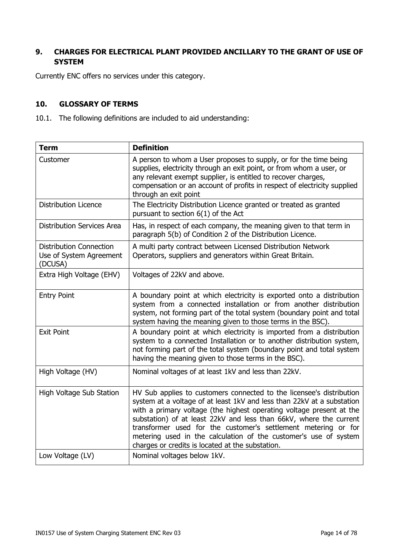### <span id="page-13-0"></span>**9. CHARGES FOR ELECTRICAL PLANT PROVIDED ANCILLARY TO THE GRANT OF USE OF SYSTEM**

Currently ENC offers no services under this category.

#### <span id="page-13-1"></span>**10. GLOSSARY OF TERMS**

10.1. The following definitions are included to aid understanding:

| <b>Term</b>                                                          | <b>Definition</b>                                                                                                                                                                                                                                                                                                                                                                                                                                                                      |
|----------------------------------------------------------------------|----------------------------------------------------------------------------------------------------------------------------------------------------------------------------------------------------------------------------------------------------------------------------------------------------------------------------------------------------------------------------------------------------------------------------------------------------------------------------------------|
| Customer                                                             | A person to whom a User proposes to supply, or for the time being<br>supplies, electricity through an exit point, or from whom a user, or<br>any relevant exempt supplier, is entitled to recover charges,<br>compensation or an account of profits in respect of electricity supplied<br>through an exit point                                                                                                                                                                        |
| <b>Distribution Licence</b>                                          | The Electricity Distribution Licence granted or treated as granted<br>pursuant to section $6(1)$ of the Act                                                                                                                                                                                                                                                                                                                                                                            |
| <b>Distribution Services Area</b>                                    | Has, in respect of each company, the meaning given to that term in<br>paragraph 5(b) of Condition 2 of the Distribution Licence.                                                                                                                                                                                                                                                                                                                                                       |
| <b>Distribution Connection</b><br>Use of System Agreement<br>(DCUSA) | A multi party contract between Licensed Distribution Network<br>Operators, suppliers and generators within Great Britain.                                                                                                                                                                                                                                                                                                                                                              |
| Extra High Voltage (EHV)                                             | Voltages of 22kV and above.                                                                                                                                                                                                                                                                                                                                                                                                                                                            |
| <b>Entry Point</b>                                                   | A boundary point at which electricity is exported onto a distribution<br>system from a connected installation or from another distribution<br>system, not forming part of the total system (boundary point and total<br>system having the meaning given to those terms in the BSC).                                                                                                                                                                                                    |
| <b>Exit Point</b>                                                    | A boundary point at which electricity is imported from a distribution<br>system to a connected Installation or to another distribution system,<br>not forming part of the total system (boundary point and total system<br>having the meaning given to those terms in the BSC).                                                                                                                                                                                                        |
| High Voltage (HV)                                                    | Nominal voltages of at least 1kV and less than 22kV.                                                                                                                                                                                                                                                                                                                                                                                                                                   |
| High Voltage Sub Station                                             | HV Sub applies to customers connected to the licensee's distribution<br>system at a voltage of at least 1kV and less than 22kV at a substation<br>with a primary voltage (the highest operating voltage present at the<br>substation) of at least 22kV and less than 66kV, where the current<br>transformer used for the customer's settlement metering or for<br>metering used in the calculation of the customer's use of system<br>charges or credits is located at the substation. |
| Low Voltage (LV)                                                     | Nominal voltages below 1kV.                                                                                                                                                                                                                                                                                                                                                                                                                                                            |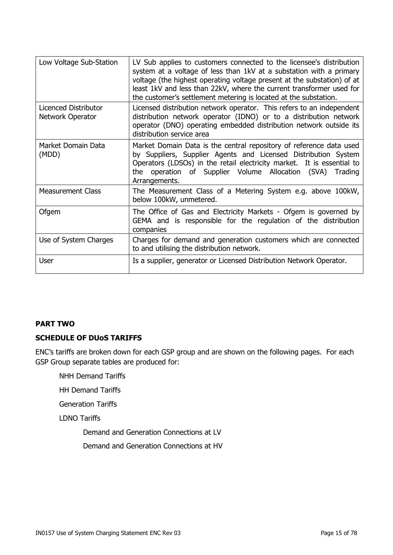| Low Voltage Sub-Station                         | LV Sub applies to customers connected to the licensee's distribution<br>system at a voltage of less than 1kV at a substation with a primary<br>voltage (the highest operating voltage present at the substation) of at<br>least 1kV and less than 22kV, where the current transformer used for<br>the customer's settlement metering is located at the substation. |
|-------------------------------------------------|--------------------------------------------------------------------------------------------------------------------------------------------------------------------------------------------------------------------------------------------------------------------------------------------------------------------------------------------------------------------|
| Licenced Distributor<br><b>Network Operator</b> | Licensed distribution network operator. This refers to an independent<br>distribution network operator (IDNO) or to a distribution network<br>operator (DNO) operating embedded distribution network outside its<br>distribution service area                                                                                                                      |
| Market Domain Data<br>(MDD)                     | Market Domain Data is the central repository of reference data used<br>by Suppliers, Supplier Agents and Licensed Distribution System<br>Operators (LDSOs) in the retail electricity market. It is essential to<br>operation of Supplier Volume Allocation (SVA)<br>the<br>Trading<br>Arrangements.                                                                |
| <b>Measurement Class</b>                        | The Measurement Class of a Metering System e.g. above 100kW,<br>below 100kW, unmetered.                                                                                                                                                                                                                                                                            |
| Ofgem                                           | The Office of Gas and Electricity Markets - Ofgem is governed by<br>GEMA and is responsible for the regulation of the distribution<br>companies                                                                                                                                                                                                                    |
| Use of System Charges                           | Charges for demand and generation customers which are connected<br>to and utilising the distribution network.                                                                                                                                                                                                                                                      |
| <b>User</b>                                     | Is a supplier, generator or Licensed Distribution Network Operator.                                                                                                                                                                                                                                                                                                |

#### <span id="page-14-0"></span>**PART TWO**

#### <span id="page-14-1"></span>**SCHEDULE OF DUoS TARIFFS**

ENC"s tariffs are broken down for each GSP group and are shown on the following pages. For each GSP Group separate tables are produced for:

NHH Demand Tariffs

HH Demand Tariffs

Generation Tariffs

LDNO Tariffs

Demand and Generation Connections at LV

Demand and Generation Connections at HV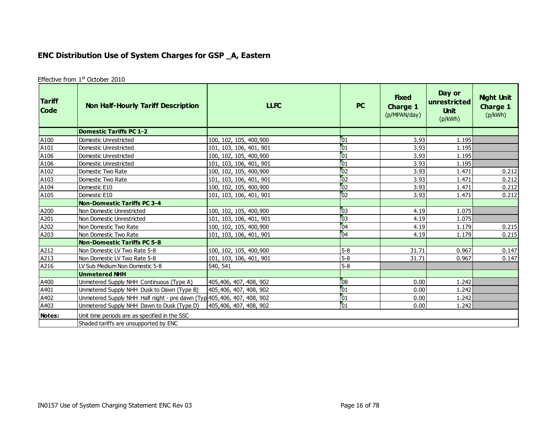# **ENC Distribution Use of System Charges for GSP \_A, Eastern**

| Effective from 1 <sup>st</sup> October 2010 |  |  |
|---------------------------------------------|--|--|
|---------------------------------------------|--|--|

<span id="page-15-0"></span>

| <b>Tariff</b><br><b>Code</b> | <b>Non Half-Hourly Tariff Description</b>                               | <b>LLFC</b>             | <b>PC</b>       | <b>Fixed</b><br>Charge 1<br>(p/MPAN/day) | Day or<br> unrestricted<br><b>Unit</b><br>(p/kWh) | <b>Night Unit</b><br><b>Charge 1</b><br>(p/kWh) |
|------------------------------|-------------------------------------------------------------------------|-------------------------|-----------------|------------------------------------------|---------------------------------------------------|-------------------------------------------------|
|                              | <b>Domestic Tariffs PC 1-2</b>                                          |                         |                 |                                          |                                                   |                                                 |
| A100                         | Domestic Unrestricted                                                   | 100, 102, 105, 400, 900 | 01              | 3.93                                     | 1.195                                             |                                                 |
| A101                         | Domestic Unrestricted                                                   | 101, 103, 106, 401, 901 | $\sqrt{01}$     | 3.93                                     | 1.195                                             |                                                 |
| A106                         | Domestic Unrestricted                                                   | 100, 102, 105, 400, 900 | $\sqrt{01}$     | 3.93                                     | 1.195                                             |                                                 |
| A106                         | Domestic Unrestricted                                                   | 101, 103, 106, 401, 901 | $\sqrt{01}$     | 3.93                                     | 1.195                                             |                                                 |
| A102                         | Domestic Two Rate                                                       | 100, 102, 105, 400, 900 | $\overline{02}$ | 3.93                                     | 1.471                                             | 0.212                                           |
| A103                         | Domestic Two Rate                                                       | 101, 103, 106, 401, 901 | 02              | 3.93                                     | 1.471                                             | 0.212                                           |
| A104                         | Domestic E10                                                            | 100, 102, 105, 400, 900 | $\overline{02}$ | 3.93                                     | 1.471                                             | 0.212                                           |
| A105                         | Domestic E10                                                            | 101, 103, 106, 401, 901 | $\sqrt{02}$     | 3.93                                     | 1.471                                             | 0.212                                           |
|                              | <b>Non-Domestic Tariffs PC 3-4</b>                                      |                         |                 |                                          |                                                   |                                                 |
| A200                         | Non Domestic Unrestricted                                               | 100, 102, 105, 400, 900 | $\overline{03}$ | 4.19                                     | 1.075                                             |                                                 |
| A201                         | Non Domestic Unrestricted                                               | 101, 103, 106, 401, 901 | $\overline{03}$ | 4.19                                     | 1.075                                             |                                                 |
| A202                         | Non Domestic Two Rate                                                   | 100, 102, 105, 400, 900 | 04              | 4.19                                     | 1.179                                             | 0.215                                           |
| A203                         | Non Domestic Two Rate                                                   | 101, 103, 106, 401, 901 | 04              | 4.19                                     | 1.179                                             | 0.215                                           |
|                              | <b>Non-Domestic Tariffs PC 5-8</b>                                      |                         |                 |                                          |                                                   |                                                 |
| A212                         | Non Domestic LV Two Rate 5-8                                            | 100, 102, 105, 400, 900 | $5-8$           | 31.71                                    | 0.967                                             | 0.147                                           |
| A213                         | Non Domestic LV Two Rate 5-8                                            | 101, 103, 106, 401, 901 | $5 - 8$         | 31.71                                    | 0.967                                             | 0.147                                           |
| A216                         | LV Sub Medium Non Domestic 5-8                                          | 540, 541                | $5 - 8$         |                                          |                                                   |                                                 |
|                              | <b>Unmetered NHH</b>                                                    |                         |                 |                                          |                                                   |                                                 |
| A400                         | Unmetered Supply NHH Continuous (Type A)                                | 405,406, 407, 408, 902  | $\sqrt{08}$     | 0.00                                     | 1.242                                             |                                                 |
| A401                         | Unmetered Supply NHH Dusk to Dawn (Type B)                              | 405,406, 407, 408, 902  | $\sqrt{01}$     | 0.00                                     | 1.242                                             |                                                 |
| A402                         | Unmetered Supply NHH Half night - pre dawn (Typ 405, 406, 407, 408, 902 |                         | $\boxed{01}$    | 0.00                                     | 1.242                                             |                                                 |
| A403                         | Unmetered Supply NHH Dawn to Dusk (Type D)                              | 405,406, 407, 408, 902  | $\sqrt{01}$     | 0.00                                     | 1.242                                             |                                                 |
| Notes:                       | Unit time periods are as specified in the SSC                           |                         |                 |                                          |                                                   |                                                 |
|                              | Shaded tariffs are unsupported by ENC                                   |                         |                 |                                          |                                                   |                                                 |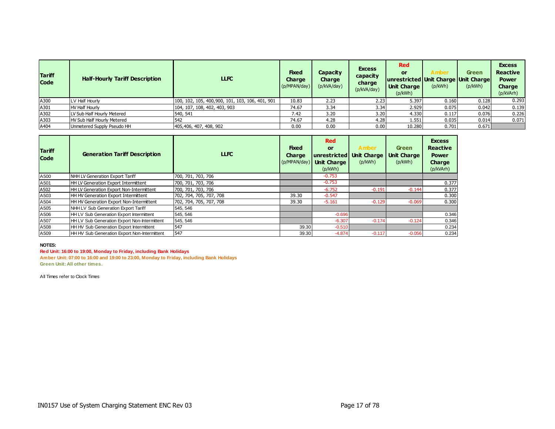| <b>Tariff</b><br><b>Code</b> | <b>Half-Hourly Tariff Description</b> | <b>LLFC</b>                                      | <b>Fixed</b><br><b>Charge</b><br>(p/MPAN/day) | Capacity<br><b>Charge</b><br>(p/kVA/day) | <b>Excess</b><br>capacity<br>charge<br>(p/kVA/day) | <b>Red</b><br>or<br>unrestricted Unit Charge Unit Charge<br><b>Unit Charge</b><br>(p/kWh) | Amber<br>(p/kWh) | <b>Green</b><br>(p/kWh) | <b>Excess</b><br><b>Reactive</b><br><b>Power</b><br>Charge<br>(p/kVArh) |
|------------------------------|---------------------------------------|--------------------------------------------------|-----------------------------------------------|------------------------------------------|----------------------------------------------------|-------------------------------------------------------------------------------------------|------------------|-------------------------|-------------------------------------------------------------------------|
| A300                         | LV Half Hourly                        | 100, 102, 105, 400, 900, 101, 103, 106, 401, 901 | 10.83                                         | 2.23                                     | 2.23                                               | 5.397                                                                                     | 0.160            | 0.128                   | 0.293                                                                   |
| A301                         | <b>HV Half Hourly</b>                 | 104, 107, 108, 402, 403, 903                     | 74.67                                         | 3.34                                     | 3.34                                               | 2.929                                                                                     | 0.075            | 0.042                   | 0.139                                                                   |
| A302                         | LV Sub Half Hourly Metered            | 540, 541                                         | 7.42                                          | 3.20                                     | 3.20                                               | 4.330                                                                                     | 0.117            | 0.076                   | 0.226                                                                   |
| A303                         | <b>HV Sub Half Hourly Metered</b>     | 542                                              | 74.67                                         | 4.28                                     | 4.28                                               | 1.551                                                                                     | 0.035            | 0.014                   | 0.071                                                                   |
| A404                         | Unmetered Supply Pseudo HH            | 405,406, 407, 408, 902                           | 0.00                                          | 0.00                                     | 0.00                                               | 10.280                                                                                    | 0.701            | 0.671                   |                                                                         |

| <b>Tariff</b><br><b>Code</b> | <b>Generation Tariff Description</b>            | LLFC                    | <b>Fixed</b><br><b>Charge</b><br>(p/MPAN/day) | <b>Red</b><br>or<br>unrestricted<br><b>Unit Charge</b><br>(p/kWh) | Amber<br><b>Unit Charge</b><br>(p/kWh) | <b>Green</b><br>Unit Charge<br>(p/kWh) | <b>Excess</b><br><b>Reactive</b><br><b>Power</b><br>Charge<br>(p/kVArh) |
|------------------------------|-------------------------------------------------|-------------------------|-----------------------------------------------|-------------------------------------------------------------------|----------------------------------------|----------------------------------------|-------------------------------------------------------------------------|
| A500                         | NHH LV Generation Export Tariff                 | 700, 701, 703, 706      |                                               | $-0.753$                                                          |                                        |                                        |                                                                         |
| A501                         | <b>HH LV Generation Export Intermittent</b>     | 700, 701, 703, 706      |                                               | $-0.753$                                                          |                                        |                                        | 0.377                                                                   |
| A502                         | <b>HH LV Generation Export Non-Intermittent</b> | 700, 701, 703, 706      |                                               | $-6.752$                                                          | $-0.191$                               | $-0.144$                               | 0.377                                                                   |
| A503                         | <b>HH HV Generation Export Intermittent</b>     | 702, 704, 705, 707, 708 | 39.30                                         | $-0.547$                                                          |                                        |                                        | 0.300                                                                   |
| A504                         | <b>HH HV Generation Export Non-Intermittent</b> | 702, 704, 705, 707, 708 | 39.30                                         | $-5.161$                                                          | $-0.129$                               | $-0.069$                               | 0.300                                                                   |
| A505                         | NHH LV Sub Generation Export Tariff             | 545, 546                |                                               |                                                                   |                                        |                                        |                                                                         |
| A506                         | <b>HH LV Sub Generation Export Intermittent</b> | 545, 546                |                                               | $-0.696$                                                          |                                        |                                        | 0.346                                                                   |
| A507                         | HH LV Sub Generation Export Non-Intermittent    | 545, 546                |                                               | $-6.307$                                                          | $-0.174$                               | $-0.124$                               | 0.346                                                                   |
| A508                         | <b>HH HV Sub Generation Export Intermittent</b> | 547                     | 39.30                                         | $-0.510$                                                          |                                        |                                        | 0.234                                                                   |
| A509                         | HH HV Sub Generation Export Non-Intermittent    | 547                     | 39.30                                         | $-4.874$                                                          | $-0.117$                               | $-0.056$                               | 0.234                                                                   |

#### **NOTES:**

**Red Unit: 16:00 to 19:00, Monday to Friday, including Bank Holidays**

**Amber Unit: 07:00 to 16:00 and 19:00 to 23:00, Monday to Friday, including Bank Holidays Green Unit: All other times.**

All Times refer to Clock Times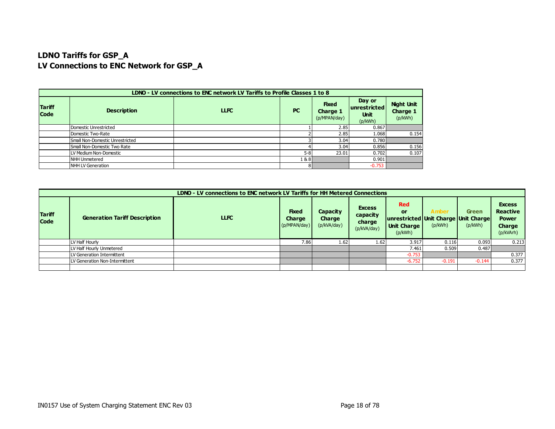## **LDNO Tariffs for GSP\_A LV Connections to ENC Network for GSP\_A**

|                              | LDNO - LV connections to ENC network LV Tariffs to Profile Classes 1 to 8                  |  |                                                  |                                          |          |       |  |  |  |  |
|------------------------------|--------------------------------------------------------------------------------------------|--|--------------------------------------------------|------------------------------------------|----------|-------|--|--|--|--|
| <b>Tariff</b><br><b>Code</b> | <b>Fixed</b><br><b>PC</b><br><b>Description</b><br><b>LLFC</b><br>Charge 1<br>(p/MPAN/day) |  | Day or<br>unrestricted<br><b>Unit</b><br>(p/kWh) | <b>Night Unit</b><br>Charge 1<br>(p/kWh) |          |       |  |  |  |  |
|                              | Domestic Unrestricted                                                                      |  |                                                  | 2.85                                     | 0.867    |       |  |  |  |  |
|                              | Domestic Two-Rate                                                                          |  |                                                  | 2.85                                     | 1.068    | 0.154 |  |  |  |  |
|                              | Small Non-Domestic Unrestricted                                                            |  |                                                  | 3.04                                     | 0.780    |       |  |  |  |  |
|                              | Small Non-Domestic Two Rate                                                                |  |                                                  | 3.04                                     | 0.856    | 0.156 |  |  |  |  |
|                              | LV Medium Non-Domestic                                                                     |  | $5 - 8$                                          | 23.01                                    | 0.702    | 0.107 |  |  |  |  |
|                              | NHH Unmetered                                                                              |  | 1&8                                              |                                          | 0.901    |       |  |  |  |  |
|                              | NHH LV Generation                                                                          |  |                                                  |                                          | $-0.753$ |       |  |  |  |  |

|                              | LDNO - LV connections to ENC network LV Tariffs for HH Metered Connections |             |                                               |                                   |                                                    |                                                                                           |                  |                         |                                                                         |  |  |
|------------------------------|----------------------------------------------------------------------------|-------------|-----------------------------------------------|-----------------------------------|----------------------------------------------------|-------------------------------------------------------------------------------------------|------------------|-------------------------|-------------------------------------------------------------------------|--|--|
| <b>Tariff</b><br><b>Code</b> | <b>Generation Tariff Description</b>                                       | <b>LLFC</b> | <b>Fixed</b><br><b>Charge</b><br>(p/MPAN/day) | Capacity<br>Charge<br>(p/kVA/day) | <b>Excess</b><br>capacity<br>charge<br>(p/kVA/day) | <b>Red</b><br>or<br>unrestricted Unit Charge Unit Charge<br><b>Unit Charge</b><br>(p/kWh) | Amber<br>(p/kWh) | <b>Green</b><br>(p/kWh) | <b>Excess</b><br><b>Reactive</b><br><b>Power</b><br>Charge<br>(p/kVArh) |  |  |
|                              | LV Half Hourly                                                             |             | 7.86                                          | 1.62                              | 1.62                                               | 3.917                                                                                     | 0.116            | 0.093                   | 0.213                                                                   |  |  |
|                              | LV Half Hourly Unmetered                                                   |             |                                               |                                   |                                                    | 7.461                                                                                     | 0.509            | 0.487                   |                                                                         |  |  |
|                              | LV Generation Intermittent                                                 |             |                                               |                                   |                                                    | $-0.753$                                                                                  |                  |                         | 0.377                                                                   |  |  |
|                              | LV Generation Non-Intermittent                                             |             |                                               |                                   |                                                    | $-6.752$                                                                                  | $-0.191$         | $-0.144$                | 0.377                                                                   |  |  |
|                              |                                                                            |             |                                               |                                   |                                                    |                                                                                           |                  |                         |                                                                         |  |  |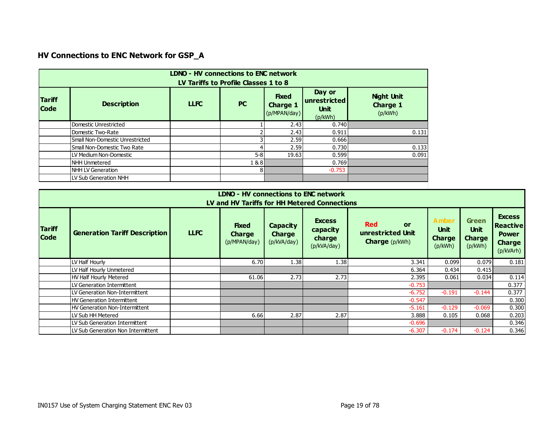# **HV Connections to ENC Network for GSP\_A**

|                              | <b>LDNO - HV connections to ENC network</b><br>LV Tariffs to Profile Classes 1 to 8 |             |           |                                                 |                                                  |                                                 |  |  |  |  |  |
|------------------------------|-------------------------------------------------------------------------------------|-------------|-----------|-------------------------------------------------|--------------------------------------------------|-------------------------------------------------|--|--|--|--|--|
| <b>Tariff</b><br><b>Code</b> | <b>Description</b>                                                                  | <b>LLFC</b> | <b>PC</b> | <b>Fixed</b><br><b>Charge 1</b><br>(p/MPAN/day) | Day or<br>unrestricted<br><b>Unit</b><br>(p/kWh) | <b>Night Unit</b><br><b>Charge 1</b><br>(p/kWh) |  |  |  |  |  |
|                              | Domestic Unrestricted                                                               |             |           | 2.43                                            | 0.740                                            |                                                 |  |  |  |  |  |
|                              | Domestic Two-Rate                                                                   |             |           | 2.43                                            | 0.911                                            | 0.131                                           |  |  |  |  |  |
|                              | Small Non-Domestic Unrestricted                                                     |             |           | 2.59                                            | 0.666                                            |                                                 |  |  |  |  |  |
|                              | Small Non-Domestic Two Rate                                                         |             |           | 2.59                                            | 0.730                                            | 0.133                                           |  |  |  |  |  |
|                              | LV Medium Non-Domestic                                                              |             | $5 - 8$   | 19.63                                           | 0.599                                            | 0.091                                           |  |  |  |  |  |
|                              | <b>NHH Unmetered</b>                                                                |             | 1&8       |                                                 | 0.769                                            |                                                 |  |  |  |  |  |
|                              | NHH LV Generation                                                                   |             | 8         |                                                 | $-0.753$                                         |                                                 |  |  |  |  |  |
|                              | LV Sub Generation NHH                                                               |             |           |                                                 |                                                  |                                                 |  |  |  |  |  |

|                              | <b>LDNO - HV connections to ENC network</b><br>LV and HV Tariffs for HH Metered Connections                                                                                                                                                                                                                                                                                                                                                                                      |  |       |      |      |          |          |          |       |  |  |  |  |
|------------------------------|----------------------------------------------------------------------------------------------------------------------------------------------------------------------------------------------------------------------------------------------------------------------------------------------------------------------------------------------------------------------------------------------------------------------------------------------------------------------------------|--|-------|------|------|----------|----------|----------|-------|--|--|--|--|
| <b>Tariff</b><br><b>Code</b> | <b>Excess</b><br><b>Amber</b><br><b>Green</b><br><b>Excess</b><br><b>Red</b><br><b>Reactive</b><br><b>Fixed</b><br><b>Capacity</b><br>or<br><b>Unit</b><br><b>Unit</b><br>capacity<br><b>Generation Tariff Description</b><br><b>LLFC</b><br>unrestricted Unit<br>Charge<br><b>Charge</b><br><b>Power</b><br>charge<br><b>Charge</b><br><b>Charge</b><br><b>Charge</b> (p/kWh)<br>(p/MPAN/day)<br>(p/kVA/day)<br><b>Charge</b><br>(p/kWh)<br>(p/kWh)<br>(p/kVA/day)<br>(p/kVArh) |  |       |      |      |          |          |          |       |  |  |  |  |
|                              | LV Half Hourly                                                                                                                                                                                                                                                                                                                                                                                                                                                                   |  | 6.70  | 1.38 | 1.38 | 3.341    | 0.099    | 0.079    | 0.181 |  |  |  |  |
|                              | LV Half Hourly Unmetered                                                                                                                                                                                                                                                                                                                                                                                                                                                         |  |       |      |      | 6.364    | 0.434    | 0.415    |       |  |  |  |  |
|                              | HV Half Hourly Metered                                                                                                                                                                                                                                                                                                                                                                                                                                                           |  | 61.06 | 2.73 | 2.73 | 2.395    | 0.061    | 0.034    | 0.114 |  |  |  |  |
|                              | LV Generation Intermittent                                                                                                                                                                                                                                                                                                                                                                                                                                                       |  |       |      |      | $-0.753$ |          |          | 0.377 |  |  |  |  |
|                              | LV Generation Non-Intermittent                                                                                                                                                                                                                                                                                                                                                                                                                                                   |  |       |      |      | $-6.752$ | $-0.191$ | $-0.144$ | 0.377 |  |  |  |  |
|                              | HV Generation Intermittent                                                                                                                                                                                                                                                                                                                                                                                                                                                       |  |       |      |      | $-0.547$ |          |          | 0.300 |  |  |  |  |
|                              | HV Generation Non-Intermittent                                                                                                                                                                                                                                                                                                                                                                                                                                                   |  |       |      |      | $-5.161$ | $-0.129$ | $-0.069$ | 0.300 |  |  |  |  |
|                              | LV Sub HH Metered                                                                                                                                                                                                                                                                                                                                                                                                                                                                |  | 6.66  | 2.87 | 2.87 | 3.888    | 0.105    | 0.068    | 0.203 |  |  |  |  |
|                              | LV Sub Generation Intermittent                                                                                                                                                                                                                                                                                                                                                                                                                                                   |  |       |      |      | $-0.696$ |          |          | 0.346 |  |  |  |  |
|                              | LV Sub Generation Non Intermittent                                                                                                                                                                                                                                                                                                                                                                                                                                               |  |       |      |      | $-6.307$ | $-0.174$ | $-0.124$ | 0.346 |  |  |  |  |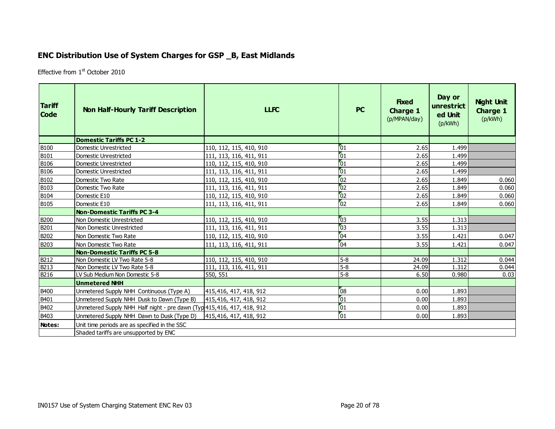## **ENC Distribution Use of System Charges for GSP \_B, East Midlands**

Effective from 1<sup>st</sup> October 2010

<span id="page-19-0"></span>

| <b>Tariff</b><br><b>Code</b> | <b>Non Half-Hourly Tariff Description</b>                               | <b>LLFC</b>             | <b>PC</b>       | <b>Fixed</b><br><b>Charge 1</b><br>(p/MPAN/day) | Day or<br>unrestrict<br>ed Unit<br>(p/kWh) | <b>Night Unit</b><br><b>Charge 1</b><br>(p/kWh) |
|------------------------------|-------------------------------------------------------------------------|-------------------------|-----------------|-------------------------------------------------|--------------------------------------------|-------------------------------------------------|
|                              | <b>Domestic Tariffs PC 1-2</b>                                          |                         |                 |                                                 |                                            |                                                 |
| <b>B100</b>                  | Domestic Unrestricted                                                   | 110, 112, 115, 410, 910 | $\overline{01}$ | 2.65                                            | 1.499                                      |                                                 |
| B101                         | Domestic Unrestricted                                                   | 111, 113, 116, 411, 911 | $\overline{01}$ | 2.65                                            | 1.499                                      |                                                 |
| <b>B106</b>                  | Domestic Unrestricted                                                   | 110, 112, 115, 410, 910 | $\overline{01}$ | 2.65                                            | 1.499                                      |                                                 |
| <b>B106</b>                  | Domestic Unrestricted                                                   | 111, 113, 116, 411, 911 | $\overline{01}$ | 2.65                                            | 1.499                                      |                                                 |
| B102                         | <b>I</b> Domestic Two Rate                                              | 110, 112, 115, 410, 910 | 02              | 2.65                                            | 1.849                                      | 0.060                                           |
| B103                         | <b>I</b> Domestic Two Rate                                              | 111, 113, 116, 411, 911 | $\overline{02}$ | 2.65                                            | 1.849                                      | 0.060                                           |
| <b>B104</b>                  | Domestic E10                                                            | 110, 112, 115, 410, 910 | $\overline{02}$ | 2.65                                            | 1.849                                      | 0.060                                           |
| B105                         | Domestic E10                                                            | 111, 113, 116, 411, 911 | 02              | 2.65                                            | 1.849                                      | 0.060                                           |
|                              | <b>Non-Domestic Tariffs PC 3-4</b>                                      |                         |                 |                                                 |                                            |                                                 |
| <b>B200</b>                  | Non Domestic Unrestricted                                               | 110, 112, 115, 410, 910 | 03              | 3.55                                            | 1.313                                      |                                                 |
| B201                         | Non Domestic Unrestricted                                               | 111, 113, 116, 411, 911 | 03              | 3.55                                            | 1.313                                      |                                                 |
| B202                         | l Non Domestic Two Rate                                                 | 110, 112, 115, 410, 910 | 04              | 3.55                                            | 1.421                                      | 0.047                                           |
| B203                         | Non Domestic Two Rate                                                   | 111, 113, 116, 411, 911 | 04              | 3.55                                            | 1.421                                      | 0.047                                           |
|                              | Non-Domestic Tariffs PC 5-8                                             |                         |                 |                                                 |                                            |                                                 |
| <b>B212</b>                  | Non Domestic LV Two Rate 5-8                                            | 110, 112, 115, 410, 910 | $5-8$           | 24.09                                           | 1.312                                      | 0.044                                           |
| <b>B213</b>                  | Non Domestic LV Two Rate 5-8                                            | 111, 113, 116, 411, 911 | $5-8$           | 24.09                                           | 1.312                                      | 0.044                                           |
| B216                         | LV Sub Medium Non Domestic 5-8                                          | 550, 551                | $5-8$           | 6.50                                            | 0.980                                      | 0.03                                            |
|                              | Unmetered NHH                                                           |                         |                 |                                                 |                                            |                                                 |
| B400                         | Unmetered Supply NHH Continuous (Type A)                                | 415,416, 417, 418, 912  | 08              | 0.00                                            | 1.893                                      |                                                 |
| B401                         | Unmetered Supply NHH Dusk to Dawn (Type B)                              | 415,416, 417, 418, 912  | 01              | 0.00                                            | 1.893                                      |                                                 |
| B402                         | Unmetered Supply NHH Half night - pre dawn (Typ 415, 416, 417, 418, 912 |                         | 01              | 0.00                                            | 1.893                                      |                                                 |
| B403                         | Unmetered Supply NHH Dawn to Dusk (Type D)                              | 415,416, 417, 418, 912  | $\overline{01}$ | 0.00                                            | 1.893                                      |                                                 |
| Notes:                       | Unit time periods are as specified in the SSC                           |                         |                 |                                                 |                                            |                                                 |
|                              | Shaded tariffs are unsupported by ENC                                   |                         |                 |                                                 |                                            |                                                 |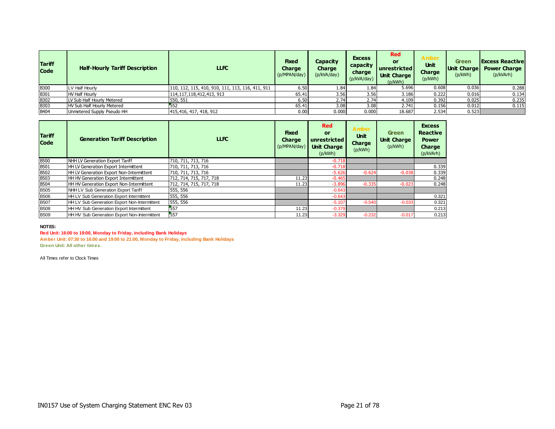| <b>Tariff</b><br><b>Code</b> | <b>Half-Hourly Tariff Description</b> | <b>LLFC</b>                                      | <b>Fixed</b><br><b>Charge</b><br>(p/MPAN/day) | Capacity<br>Charge<br>(p/kVA/day) | <b>Excess</b><br>capacity<br>charge<br>(p/kVA/day) | <b>Red</b><br>or<br>unrestricted<br><b>Unit Charge</b><br>(p/kWh) | <b>Amber</b><br><b>Unit</b><br><b>Charge</b><br>(p/kWh) | Green<br>Unit Charge<br>(p/kWh) | <b>Excess Reactive</b><br><b>Power Charge</b><br>(p/kVArh) |
|------------------------------|---------------------------------------|--------------------------------------------------|-----------------------------------------------|-----------------------------------|----------------------------------------------------|-------------------------------------------------------------------|---------------------------------------------------------|---------------------------------|------------------------------------------------------------|
| <b>B300</b>                  | LV Half Hourly                        | 110, 112, 115, 410, 910, 111, 113, 116, 411, 911 | 6.50                                          | 1.84                              | 1.84                                               | 5.696                                                             | 0.608                                                   | 0.036                           | 0.288                                                      |
| <b>B301</b>                  | <b>HV Half Hourly</b>                 | 114, 117, 118, 412, 413, 913                     | 65.41                                         | 3.56                              | 3.56                                               | 3.186                                                             | 0.222                                                   | 0.016                           | 0.134                                                      |
| <b>B302</b>                  | LV Sub Half Hourly Metered            | 550, 551                                         | 6.50                                          | 2.74                              | 2.74                                               | 4.109                                                             | 0.392                                                   | 0.025                           | 0.235                                                      |
| <b>B303</b>                  | HV Sub Half Hourly Metered            | 552                                              | 65.41                                         | 3.08                              | 3.08                                               | 2.741                                                             | 0.156                                                   | 0.012                           | 0.115                                                      |
| <b>B404</b>                  | Unmetered Supply Pseudo HH            | 415,416, 417, 418, 912                           | 0.00                                          | 0.000                             | 0.000                                              | 18.687                                                            | 2.534                                                   | 0.523                           |                                                            |

| <b>Tariff</b><br><b>Code</b> | <b>Generation Tariff Description</b>         | <b>LLFC</b>             | <b>Fixed</b><br><b>Charge</b><br>(p/MPAN/day) | <b>Red</b><br><b>or</b><br>unrestricted<br><b>Unit Charge</b><br>(p/kWh) | <b>Amber</b><br><b>Unit</b><br>Charge<br>(p/kWh) | <b>Green</b><br><b>Unit Charge</b><br>(p/kWh) | <b>Excess</b><br><b>Reactive</b><br><b>Power</b><br>Charge<br>(p/kVArh) |
|------------------------------|----------------------------------------------|-------------------------|-----------------------------------------------|--------------------------------------------------------------------------|--------------------------------------------------|-----------------------------------------------|-------------------------------------------------------------------------|
| B500<br>B501                 | NHH LV Generation Export Tariff              | 710, 711, 713, 716      |                                               | $-0.718$                                                                 |                                                  |                                               |                                                                         |
|                              | HH LV Generation Export Intermittent         | 710, 711, 713, 716      |                                               | $-0.718$                                                                 |                                                  |                                               | 0.339                                                                   |
| <b>B502</b>                  | HH LV Generation Export Non-Intermittent     | 710, 711, 713, 716      |                                               | $-5.626$                                                                 | $-0.624$                                         | $-0.038$                                      | 0.339                                                                   |
| <b>B503</b>                  | HH HV Generation Export Intermittent         | 712, 714, 715, 717, 718 | 11.23                                         | $-0.465$                                                                 |                                                  |                                               | 0.248                                                                   |
| <b>B504</b>                  | HH HV Generation Export Non-Intermittent     | 712, 714, 715, 717, 718 | 11.23                                         | $-3.896$                                                                 | $-0.335$                                         | $-0.023$                                      | 0.248                                                                   |
| <b>B505</b>                  | NHH LV Sub Generation Export Tariff          | 555, 556                |                                               | $-0.643$                                                                 |                                                  |                                               |                                                                         |
| <b>B506</b>                  | HH LV Sub Generation Export Intermittent     | 555, 556                |                                               | $-0.643$                                                                 |                                                  |                                               | 0.321                                                                   |
| <b>B507</b>                  | HH LV Sub Generation Export Non-Intermittent | 555, 556                |                                               | $-5.107$                                                                 | $-0.540$                                         | $-0.033$                                      | 0.321                                                                   |
| <b>B508</b>                  | HH HV Sub Generation Export Intermittent     | 557                     | 11.23                                         | $-0.379$                                                                 |                                                  |                                               | 0.213                                                                   |
| <b>B509</b>                  | HH HV Sub Generation Export Non-Intermittent | 557                     | 11.23                                         | $-3.329$                                                                 | $-0.232$                                         | $-0.017$                                      | 0.213                                                                   |

#### **NOTES:**

#### **Red Unit: 16:00 to 19:00, Monday to Friday, including Bank Holidays**

**Amber Unit: 07:30 to 16:00 and 19:00 to 21:00, Monday to Friday, including Bank Holidays Green Unit: All other times.**

All Times refer to Clock Times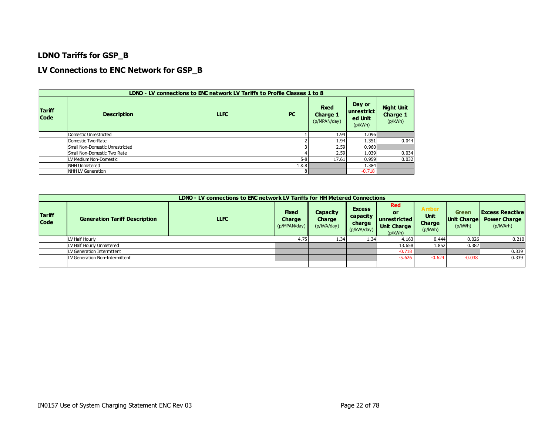#### **LDNO Tariffs for GSP\_B**

#### **LV Connections to ENC Network for GSP\_B**

|                              | LDNO - LV connections to ENC network LV Tariffs to Profile Classes 1 to 8 |             |           |                                          |                                            |                                                 |  |  |  |  |  |  |  |
|------------------------------|---------------------------------------------------------------------------|-------------|-----------|------------------------------------------|--------------------------------------------|-------------------------------------------------|--|--|--|--|--|--|--|
| <b>Tariff</b><br><b>Code</b> | <b>Description</b>                                                        | <b>LLFC</b> | <b>PC</b> | <b>Fixed</b><br>Charge 1<br>(p/MPAN/day) | Day or<br>unrestrict<br>ed Unit<br>(p/kWh) | <b>Night Unit</b><br><b>Charge 1</b><br>(p/kWh) |  |  |  |  |  |  |  |
|                              | Domestic Unrestricted                                                     |             |           | 1.94                                     | 1.096                                      |                                                 |  |  |  |  |  |  |  |
|                              | Domestic Two-Rate                                                         |             |           | 1.94                                     | 1.351                                      | 0.044                                           |  |  |  |  |  |  |  |
|                              | Small Non-Domestic Unrestricted                                           |             |           | 2.59                                     | 0.960                                      |                                                 |  |  |  |  |  |  |  |
|                              | Small Non-Domestic Two Rate                                               |             |           | 2.59                                     | 1.039                                      | 0.034                                           |  |  |  |  |  |  |  |
|                              | LV Medium Non-Domestic                                                    |             | $5 - 8$   | 17.61                                    | 0.959                                      | 0.032                                           |  |  |  |  |  |  |  |
|                              | NHH Unmetered                                                             |             | 1&8       |                                          | 1.384                                      |                                                 |  |  |  |  |  |  |  |
|                              | NHH LV Generation                                                         |             |           |                                          | $-0.718$                                   |                                                 |  |  |  |  |  |  |  |

|                              | LDNO - LV connections to ENC network LV Tariffs for HH Metered Connections |             |                                               |                                          |                                                    |                                                                                 |                                           |                                        |                                                            |  |  |
|------------------------------|----------------------------------------------------------------------------|-------------|-----------------------------------------------|------------------------------------------|----------------------------------------------------|---------------------------------------------------------------------------------|-------------------------------------------|----------------------------------------|------------------------------------------------------------|--|--|
| <b>Tariff</b><br><b>Code</b> | <b>Generation Tariff Description</b>                                       | <b>LLFC</b> | <b>Fixed</b><br><b>Charge</b><br>(p/MPAN/day) | Capacity<br><b>Charge</b><br>(p/kVA/day) | <b>Excess</b><br>capacity<br>charge<br>(p/kVA/day) | <b>Red</b><br><b>OF</b><br><b>unrestricted</b><br><b>Unit Charge</b><br>(p/kWh) | <b>Amber</b><br>Unit<br>Charge<br>(p/kWh) | Green<br><b>Unit Charge</b><br>(p/kWh) | <b>Excess Reactive</b><br><b>Power Charge</b><br>(p/kVArh) |  |  |
|                              | LV Half Hourly                                                             |             | 4.75                                          | 1.34                                     | 1.34                                               | 4.163                                                                           | 0.444                                     | 0.026                                  | 0.210                                                      |  |  |
|                              | LV Half Hourly Unmetered                                                   |             |                                               |                                          |                                                    | 13.658                                                                          | 1.852                                     | 0.382                                  |                                                            |  |  |
|                              | LV Generation Intermittent                                                 |             |                                               |                                          |                                                    | $-0.718$                                                                        |                                           |                                        | 0.339                                                      |  |  |
|                              | LV Generation Non-Intermittent                                             |             |                                               |                                          |                                                    | $-5.626$                                                                        | $-0.624$                                  | $-0.038$                               | 0.339                                                      |  |  |
|                              |                                                                            |             |                                               |                                          |                                                    |                                                                                 |                                           |                                        |                                                            |  |  |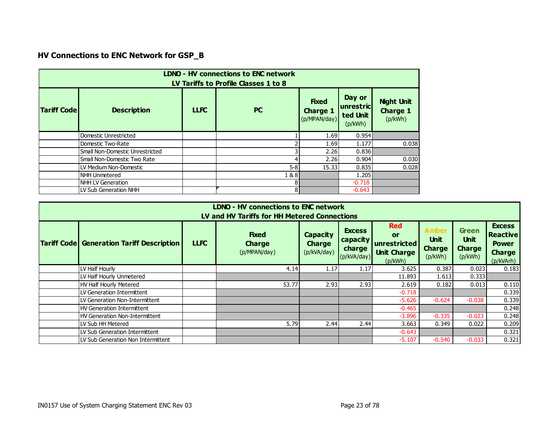# **HV Connections to ENC Network for GSP\_B**

|                                      | <b>LDNO - HV connections to ENC network</b><br>LV Tariffs to Profile Classes 1 to 8 |             |                |                                                 |                                            |                                                 |  |  |  |  |  |
|--------------------------------------|-------------------------------------------------------------------------------------|-------------|----------------|-------------------------------------------------|--------------------------------------------|-------------------------------------------------|--|--|--|--|--|
| <b>Tariff Code</b>                   | <b>Description</b>                                                                  | <b>LLFC</b> | <b>PC</b>      | <b>Fixed</b><br><b>Charge 1</b><br>(p/MPAN/day) | Day or<br>unrestric<br>ted Unit<br>(p/kWh) | <b>Night Unit</b><br><b>Charge 1</b><br>(p/kWh) |  |  |  |  |  |
|                                      | Domestic Unrestricted                                                               |             |                | 1.69                                            | 0.954                                      |                                                 |  |  |  |  |  |
|                                      | Domestic Two-Rate                                                                   |             |                | 1.69                                            | 1.177                                      | 0.038                                           |  |  |  |  |  |
|                                      | Small Non-Domestic Unrestricted                                                     |             | 3              | 2.26                                            | 0.836                                      |                                                 |  |  |  |  |  |
|                                      | Small Non-Domestic Two Rate                                                         |             | 4              | 2.26                                            | 0.904                                      | 0.030                                           |  |  |  |  |  |
|                                      | LV Medium Non-Domestic                                                              |             | $5 - 8$        | 15.33                                           | 0.835                                      | 0.028                                           |  |  |  |  |  |
| 1&8<br>1.205<br><b>NHH Unmetered</b> |                                                                                     |             |                |                                                 |                                            |                                                 |  |  |  |  |  |
|                                      | <b>NHH LV Generation</b>                                                            |             | 8 <sup>1</sup> |                                                 | $-0.718$                                   |                                                 |  |  |  |  |  |
|                                      | LV Sub Generation NHH                                                               |             | 8              |                                                 | $-0.643$                                   |                                                 |  |  |  |  |  |

|                                                                                                                                                                                                                                                                                                                                                                                                               | LDNO - HV connections to ENC network<br>LV and HV Tariffs for HH Metered Connections    |  |       |      |      |          |          |          |       |  |  |  |  |
|---------------------------------------------------------------------------------------------------------------------------------------------------------------------------------------------------------------------------------------------------------------------------------------------------------------------------------------------------------------------------------------------------------------|-----------------------------------------------------------------------------------------|--|-------|------|------|----------|----------|----------|-------|--|--|--|--|
| <b>Red</b><br><b>Green</b><br><b>Excess</b><br><b>Amber</b><br><b>Fixed</b><br><b>Capacity</b><br>or<br>Unit<br><b>Unit</b><br>capacity<br><b>Tariff Code Generation Tariff Description</b><br><b>LLFC</b><br>unrestricted<br><b>Charge</b><br><b>Charge</b><br><b>Charge</b><br><b>Charge</b><br>charge<br>(p/kVA/day)<br>(p/MPAN/day)<br><b>Unit Charge</b><br>(p/kVA/day)<br>(p/kWh)<br>(p/kWh)<br>(p/kWh) |                                                                                         |  |       |      |      |          |          |          |       |  |  |  |  |
|                                                                                                                                                                                                                                                                                                                                                                                                               | (p/kVArh)<br>LV Half Hourly<br>3.625<br>0.387<br>0.023<br>0.183<br>4.14<br>1.17<br>1.17 |  |       |      |      |          |          |          |       |  |  |  |  |
|                                                                                                                                                                                                                                                                                                                                                                                                               | LV Half Hourly Unmetered                                                                |  |       |      |      | 11.893   | 1.613    | 0.333    |       |  |  |  |  |
|                                                                                                                                                                                                                                                                                                                                                                                                               | <b>HV Half Hourly Metered</b>                                                           |  | 53.77 | 2.93 | 2.93 | 2.619    | 0.182    | 0.013    | 0.110 |  |  |  |  |
|                                                                                                                                                                                                                                                                                                                                                                                                               | LV Generation Intermittent                                                              |  |       |      |      | $-0.718$ |          |          | 0.339 |  |  |  |  |
|                                                                                                                                                                                                                                                                                                                                                                                                               | LV Generation Non-Intermittent                                                          |  |       |      |      | $-5.626$ | $-0.624$ | $-0.038$ | 0.339 |  |  |  |  |
|                                                                                                                                                                                                                                                                                                                                                                                                               | <b>HV Generation Intermittent</b>                                                       |  |       |      |      | $-0.465$ |          |          | 0.248 |  |  |  |  |
|                                                                                                                                                                                                                                                                                                                                                                                                               | HV Generation Non-Intermittent                                                          |  |       |      |      | $-3.896$ | $-0.335$ | $-0.023$ | 0.248 |  |  |  |  |
|                                                                                                                                                                                                                                                                                                                                                                                                               | LV Sub HH Metered                                                                       |  | 5.79  | 2.44 | 2.44 | 3.663    | 0.349    | 0.022    | 0.209 |  |  |  |  |
|                                                                                                                                                                                                                                                                                                                                                                                                               | LV Sub Generation Intermittent                                                          |  |       |      |      | $-0.643$ |          |          | 0.321 |  |  |  |  |
|                                                                                                                                                                                                                                                                                                                                                                                                               | LV Sub Generation Non Intermittent                                                      |  |       |      |      | $-5.107$ | $-0.540$ | $-0.033$ | 0.321 |  |  |  |  |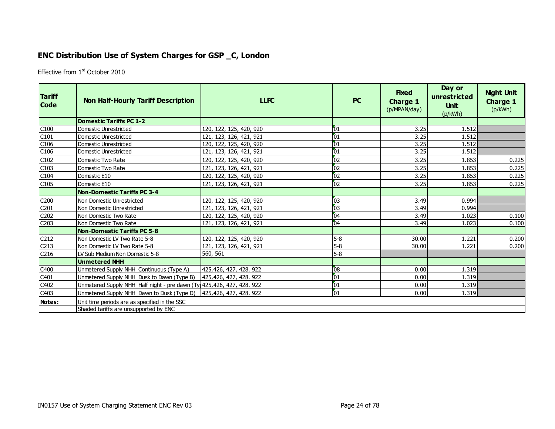## **ENC Distribution Use of System Charges for GSP \_C, London**

Effective from 1<sup>st</sup> October 2010

<span id="page-23-0"></span>

| <b>Tariff</b><br><b>Code</b> | <b>Non Half-Hourly Tariff Description</b>                              | <b>LLFC</b>             | <b>PC</b>       | <b>Fixed</b><br><b>Charge 1</b><br>(p/MPAN/day) | Day or<br>unrestricted<br><b>Unit</b><br>(p/kWh) | <b>Night Unit</b><br><b>Charge 1</b><br>(p/kWh) |
|------------------------------|------------------------------------------------------------------------|-------------------------|-----------------|-------------------------------------------------|--------------------------------------------------|-------------------------------------------------|
|                              | <b>Domestic Tariffs PC 1-2</b>                                         |                         |                 |                                                 |                                                  |                                                 |
| C100                         | <b>Domestic Unrestricted</b>                                           | 120, 122, 125, 420, 920 | 01              | 3.25                                            | 1.512                                            |                                                 |
| C101                         | Domestic Unrestricted                                                  | 121, 123, 126, 421, 921 | 01              | 3.25                                            | 1.512                                            |                                                 |
| C106                         | Domestic Unrestricted                                                  | 120, 122, 125, 420, 920 | 01              | 3.25                                            | 1.512                                            |                                                 |
| C106                         | Domestic Unrestricted                                                  | 121, 123, 126, 421, 921 | 01              | 3.25                                            | 1.512                                            |                                                 |
| C102                         | Domestic Two Rate                                                      | 120, 122, 125, 420, 920 | 02              | 3.25                                            | 1.853                                            | 0.225                                           |
| C103                         | Domestic Two Rate                                                      | 121, 123, 126, 421, 921 | 02              | 3.25                                            | 1.853                                            | 0.225                                           |
| C104                         | Domestic E10                                                           | 120, 122, 125, 420, 920 | 02              | 3.25                                            | 1.853                                            | 0.225                                           |
| C105                         | Domestic E10                                                           | 121, 123, 126, 421, 921 | 02              | 3.25                                            | 1.853                                            | 0.225                                           |
|                              | Non-Domestic Tariffs PC 3-4                                            |                         |                 |                                                 |                                                  |                                                 |
| C <sub>200</sub>             | Non Domestic Unrestricted                                              | 120, 122, 125, 420, 920 | 03              | 3.49                                            | 0.994                                            |                                                 |
| C201                         | Non Domestic Unrestricted                                              | 121, 123, 126, 421, 921 | $\overline{03}$ | 3.49                                            | 0.994                                            |                                                 |
| C202                         | Non Domestic Two Rate                                                  | 120, 122, 125, 420, 920 | 04              | 3.49                                            | 1.023                                            | 0.100                                           |
| C <sub>203</sub>             | Non Domestic Two Rate                                                  | 121, 123, 126, 421, 921 | 04              | 3.49                                            | 1.023                                            | 0.100                                           |
|                              | <b>Non-Domestic Tariffs PC 5-8</b>                                     |                         |                 |                                                 |                                                  |                                                 |
| C <sub>212</sub>             | Non Domestic LV Two Rate 5-8                                           | 120, 122, 125, 420, 920 | $5-8$           | 30.00                                           | 1.221                                            | 0.200                                           |
| C <sub>213</sub>             | Non Domestic LV Two Rate 5-8                                           | 121, 123, 126, 421, 921 | $5-8$           | 30.00                                           | 1.221                                            | 0.200                                           |
| C <sub>216</sub>             | LV Sub Medium Non Domestic 5-8                                         | 560, 561                | $5-8$           |                                                 |                                                  |                                                 |
|                              | <b>Unmetered NHH</b>                                                   |                         |                 |                                                 |                                                  |                                                 |
| C400                         | Unmetered Supply NHH Continuous (Type A)                               | 425,426, 427, 428. 922  | 08              | 0.00                                            | 1.319                                            |                                                 |
| C401                         | Unmetered Supply NHH Dusk to Dawn (Type B)                             | 425,426, 427, 428. 922  | 01              | 0.00                                            | 1.319                                            |                                                 |
| C402                         | Unmetered Supply NHH Half night - pre dawn (Ty 425, 426, 427, 428. 922 |                         | 01              | 0.00                                            | 1.319                                            |                                                 |
| C403                         | Unmetered Supply NHH Dawn to Dusk (Type D)                             | 425,426, 427, 428. 922  | $\overline{01}$ | 0.00                                            | 1.319                                            |                                                 |
| Notes:                       | Unit time periods are as specified in the SSC                          |                         |                 |                                                 |                                                  |                                                 |
|                              | Shaded tariffs are unsupported by ENC                                  |                         |                 |                                                 |                                                  |                                                 |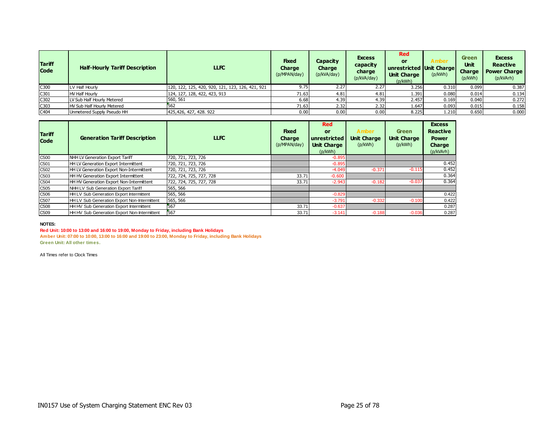| <b>Tariff</b><br><b>Code</b> | <b>Half-Hourly Tariff Description</b> | <b>LLFC</b>                                      | <b>Fixed</b><br>Charge<br>(p/MPAN/day) | Capacity<br>Charge<br>(p/kVA/day) | <b>Excess</b><br>capacity<br>charge<br>(p/kVA/day) | <b>Red</b><br>or<br>unrestricted Unit Charge<br><b>Unit Charge</b><br>(p/kWh) | Amber<br>(p/kWh) | <b>Green</b><br><b>Unit</b><br><b>Charge</b><br>(p/kWh) | <b>Excess</b><br><b>Reactive</b><br><b>Power Charge</b><br>(p/kVArh) |
|------------------------------|---------------------------------------|--------------------------------------------------|----------------------------------------|-----------------------------------|----------------------------------------------------|-------------------------------------------------------------------------------|------------------|---------------------------------------------------------|----------------------------------------------------------------------|
| C300                         | V Half Hourly                         | 120, 122, 125, 420, 920, 121, 123, 126, 421, 921 | 9.75                                   | 2.27                              | 2.27                                               | 3.256                                                                         | 0.310            | 0.099                                                   | 0.387                                                                |
| C301                         | HV Half Hourly                        | 124, 127, 128, 422, 423, 913                     | 71.63                                  | 4.81                              | 4.81                                               | 1.391                                                                         | 0.080            | 0.014                                                   | 0.134                                                                |
| C302                         | LV Sub Half Hourly Metered            | 560, 561                                         | 6.68                                   | 4.39                              | 4.39                                               | 2.457                                                                         | 0.169            | 0.040                                                   | 0.272                                                                |
| C303                         | HV Sub Half Hourly Metered            | 562                                              | 71.63                                  | 2.32                              | 2.32                                               | 1.647                                                                         | 0.093            | 0.015                                                   | 0.158                                                                |
| C404                         | Unmetered Supply Pseudo HH            | 425,426, 427, 428, 922                           | 0.00                                   | 0.00                              | 0.00                                               | 8.225                                                                         | 1.210            | 0.650                                                   | 0.000                                                                |

| <b>Tariff</b><br><b>Code</b> | <b>Generation Tariff Description</b>         | <b>LLFC</b>             | <b>Fixed</b><br>Charge<br>(p/MPAN/day) | <b>Red</b><br><b>or</b><br>unrestricted<br><b>Unit Charge</b><br>(p/kWh) | <b>Amber</b><br><b>Unit Charge</b><br>(p/kWh) | Green<br><b>Unit Charge</b><br>(p/kWh) | <b>Excess</b><br><b>Reactive</b><br><b>Power</b><br><b>Charge</b><br>(p/kVArh) |
|------------------------------|----------------------------------------------|-------------------------|----------------------------------------|--------------------------------------------------------------------------|-----------------------------------------------|----------------------------------------|--------------------------------------------------------------------------------|
| C500                         | NHH LV Generation Export Tariff              | 720, 721, 723, 726      |                                        | $-0.895$                                                                 |                                               |                                        |                                                                                |
| C501                         | HH LV Generation Export Intermittent         | 720, 721, 723, 726      |                                        | $-0.895$                                                                 |                                               |                                        | 0.452                                                                          |
| C502                         | HH LV Generation Export Non-Intermittent     | 720, 721, 723, 726      |                                        | $-4.049$                                                                 | $-0.371$                                      | $-0.115$                               | 0.452                                                                          |
| C <sub>503</sub>             | HH HV Generation Export Intermittent         | 722, 724, 725, 727, 728 | 33.71                                  | $-0.600$                                                                 |                                               |                                        | 0.364                                                                          |
| C504                         | HH HV Generation Export Non-Intermittent     | 722, 724, 725, 727, 728 | 33.71                                  | $-2.943$                                                                 | $-0.182$                                      | $-0.037$                               | 0.364                                                                          |
| C <sub>505</sub>             | NHH LV Sub Generation Export Tariff          | 565, 566                |                                        |                                                                          |                                               |                                        |                                                                                |
| C506                         | HH LV Sub Generation Export Intermittent     | 565, 566                |                                        | $-0.829$                                                                 |                                               |                                        | 0.422                                                                          |
| C507                         | HH LV Sub Generation Export Non-Intermittent | 565, 566                |                                        | $-3.791$                                                                 | $-0.332$                                      | $-0.100$                               | 0.422                                                                          |
| C508                         | HH HV Sub Generation Export Intermittent     | 567                     | 33.71                                  | $-0.637$                                                                 |                                               |                                        | 0.287                                                                          |
| C <sub>509</sub>             | HH HV Sub Generation Export Non-Intermittent | 567                     | 33.71                                  | $-3.141$                                                                 | $-0.188$                                      | $-0.036$                               | 0.287                                                                          |

#### **NOTES:**

**Red Unit: 10:00 to 13:00 and 16:00 to 19:00, Monday to Friday, including Bank Holidays**

**Amber Unit: 07:00 to 10:00, 13:00 to 16:00 and 19:00 to 23:00, Monday to Friday, including Bank Holidays**

**Green Unit: All other times.**

All Times refer to Clock Times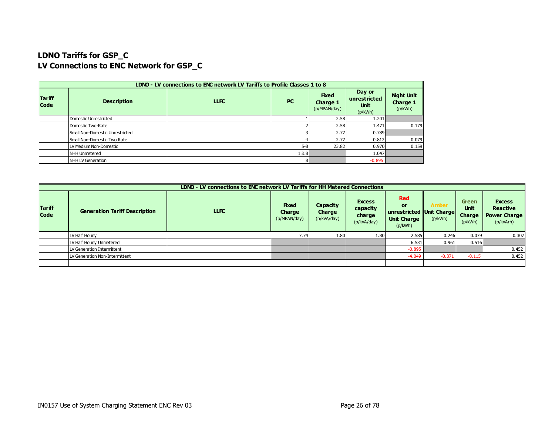## **LDNO Tariffs for GSP\_C LV Connections to ENC Network for GSP\_C**

|                              |                                 | LDNO - LV connections to ENC network LV Tariffs to Profile Classes 1 to 8 |           |                                          |                                           |                                          |
|------------------------------|---------------------------------|---------------------------------------------------------------------------|-----------|------------------------------------------|-------------------------------------------|------------------------------------------|
| <b>Tariff</b><br><b>Code</b> | <b>Description</b>              | <b>LLFC</b>                                                               | <b>PC</b> | <b>Fixed</b><br>Charge 1<br>(p/MPAN/day) | Day or<br>unrestricted<br>Unit<br>(p/kWh) | <b>Night Unit</b><br>Charge 1<br>(p/kWh) |
|                              | Domestic Unrestricted           |                                                                           |           | 2.58                                     | 1.201                                     |                                          |
|                              | Domestic Two-Rate               |                                                                           |           | 2.58                                     | 1.471                                     | 0.179                                    |
|                              | Small Non-Domestic Unrestricted |                                                                           |           | 2.77                                     | 0.789                                     |                                          |
|                              | Small Non-Domestic Two Rate     |                                                                           |           | 2.77                                     | 0.812                                     | 0.079                                    |
|                              | LV Medium Non-Domestic          |                                                                           | $5 - 8$   | 23.82                                    | 0.970                                     | 0.159                                    |
|                              | NHH Unmetered                   |                                                                           | 1&8       |                                          | 1.047                                     |                                          |
|                              | NHH LV Generation               |                                                                           | 81        |                                          | $-0.895$                                  |                                          |

|                              |                                      | LDNO - LV connections to ENC network LV Tariffs for HH Metered Connections |                                               |                                          |                                                    |                                                                                      |                         |                                           |                                                                      |
|------------------------------|--------------------------------------|----------------------------------------------------------------------------|-----------------------------------------------|------------------------------------------|----------------------------------------------------|--------------------------------------------------------------------------------------|-------------------------|-------------------------------------------|----------------------------------------------------------------------|
| <b>Tariff</b><br><b>Code</b> | <b>Generation Tariff Description</b> | <b>LLFC</b>                                                                | <b>Fixed</b><br><b>Charge</b><br>(p/MPAN/day) | <b>Capacity</b><br>Charge<br>(p/kVA/day) | <b>Excess</b><br>capacity<br>charge<br>(p/kVA/day) | <b>Red</b><br><b>or</b><br>unrestricted Unit Charge<br><b>Unit Charge</b><br>(p/kWh) | <b>Amber</b><br>(p/kWh) | Green<br><b>Unit</b><br>Charge<br>(p/kWh) | <b>Excess</b><br><b>Reactive</b><br><b>Power Charge</b><br>(p/kVArh) |
|                              | LV Half Hourly                       |                                                                            | 7.74                                          | 1.80                                     | 1.80                                               | 2.585                                                                                | 0.246                   | 0.079                                     | 0.307                                                                |
|                              | LV Half Hourly Unmetered             |                                                                            |                                               |                                          |                                                    | 6.531                                                                                | 0.961                   | 0.516                                     |                                                                      |
|                              | LV Generation Intermittent           |                                                                            |                                               |                                          |                                                    | $-0.895$                                                                             |                         |                                           | 0.452                                                                |
|                              | LV Generation Non-Intermittent       |                                                                            |                                               |                                          |                                                    | $-4.049$                                                                             | $-0.371$                | $-0.115$                                  | 0.452                                                                |
|                              |                                      |                                                                            |                                               |                                          |                                                    |                                                                                      |                         |                                           |                                                                      |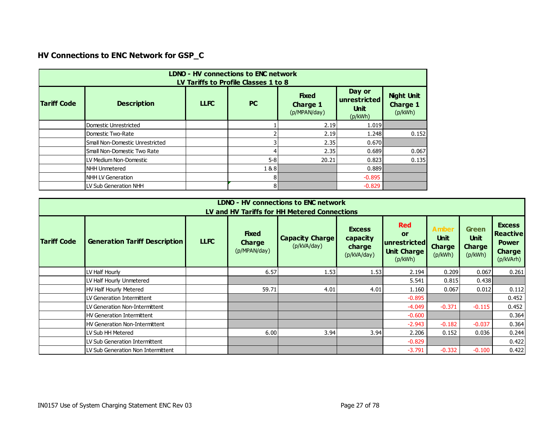# **HV Connections to ENC Network for GSP\_C**

|                    | LDNO - HV connections to ENC network<br>LV Tariffs to Profile Classes 1 to 8 |             |           |                                                 |                                                  |                                                 |  |  |  |  |  |  |
|--------------------|------------------------------------------------------------------------------|-------------|-----------|-------------------------------------------------|--------------------------------------------------|-------------------------------------------------|--|--|--|--|--|--|
| <b>Tariff Code</b> | <b>Description</b>                                                           | <b>LLFC</b> | <b>PC</b> | <b>Fixed</b><br><b>Charge 1</b><br>(p/MPAN/day) | Day or<br>unrestricted<br><b>Unit</b><br>(p/kWh) | <b>Night Unit</b><br><b>Charge 1</b><br>(p/kWh) |  |  |  |  |  |  |
|                    | Domestic Unrestricted                                                        |             |           | 2.19                                            | 1.019                                            |                                                 |  |  |  |  |  |  |
|                    | Domestic Two-Rate                                                            |             |           | 2.19                                            | 1.248                                            | 0.152                                           |  |  |  |  |  |  |
|                    | Small Non-Domestic Unrestricted                                              |             |           | 2.35                                            | 0.670                                            |                                                 |  |  |  |  |  |  |
|                    | Small Non-Domestic Two Rate                                                  |             |           | 2.35                                            | 0.689                                            | 0.067                                           |  |  |  |  |  |  |
|                    | LV Medium Non-Domestic                                                       |             | $5 - 8$   | 20.21                                           | 0.823                                            | 0.135                                           |  |  |  |  |  |  |
|                    | NHH Unmetered                                                                |             | 1&8       |                                                 | 0.889                                            |                                                 |  |  |  |  |  |  |
|                    | NHH LV Generation                                                            |             | 81        |                                                 | $-0.895$                                         |                                                 |  |  |  |  |  |  |
|                    | LV Sub Generation NHH                                                        |             | 81        |                                                 | $-0.829$                                         |                                                 |  |  |  |  |  |  |

|                    |                                                                                                                                                                                                                                                                                                                                                                                                                                                                    |  |       | <b>LDNO - HV connections to ENC network</b><br>LV and HV Tariffs for HH Metered Connections |      |          |          |          |       |  |  |  |  |
|--------------------|--------------------------------------------------------------------------------------------------------------------------------------------------------------------------------------------------------------------------------------------------------------------------------------------------------------------------------------------------------------------------------------------------------------------------------------------------------------------|--|-------|---------------------------------------------------------------------------------------------|------|----------|----------|----------|-------|--|--|--|--|
| <b>Tariff Code</b> | <b>Red</b><br><b>Excess</b><br>Amber<br><b>Excess</b><br><b>Green</b><br><b>Fixed</b><br>Reactive<br><b>or</b><br><b>Unit</b><br>Unit<br><b>Capacity Charge</b><br>capacity<br><b>Generation Tariff Description</b><br><b>LLFC</b><br>unrestricted<br><b>Charge</b><br><b>Power</b><br>(p/kVA/day)<br><b>Charge</b><br><b>Charge</b><br>charge<br>(p/MPAN/day)<br><b>Unit Charge</b><br><b>Charge</b><br>(p/kWh)<br>(p/kVA/day)<br>(p/kWh)<br>(p/kVArh)<br>(p/kWh) |  |       |                                                                                             |      |          |          |          |       |  |  |  |  |
|                    | LV Half Hourly                                                                                                                                                                                                                                                                                                                                                                                                                                                     |  | 6.57  | 1.53                                                                                        | 1.53 | 2.194    | 0.209    | 0.067    | 0.261 |  |  |  |  |
|                    | LV Half Hourly Unmetered                                                                                                                                                                                                                                                                                                                                                                                                                                           |  |       |                                                                                             |      | 5.541    | 0.815    | 0.438    |       |  |  |  |  |
|                    | HV Half Hourly Metered                                                                                                                                                                                                                                                                                                                                                                                                                                             |  | 59.71 | 4.01                                                                                        | 4.01 | 1.160    | 0.067    | 0.012    | 0.112 |  |  |  |  |
|                    | LV Generation Intermittent                                                                                                                                                                                                                                                                                                                                                                                                                                         |  |       |                                                                                             |      | $-0.895$ |          |          | 0.452 |  |  |  |  |
|                    | LV Generation Non-Intermittent                                                                                                                                                                                                                                                                                                                                                                                                                                     |  |       |                                                                                             |      | $-4.049$ | $-0.371$ | $-0.115$ | 0.452 |  |  |  |  |
|                    | HV Generation Intermittent                                                                                                                                                                                                                                                                                                                                                                                                                                         |  |       |                                                                                             |      | $-0.600$ |          |          | 0.364 |  |  |  |  |
|                    | HV Generation Non-Intermittent                                                                                                                                                                                                                                                                                                                                                                                                                                     |  |       |                                                                                             |      | $-2.943$ | $-0.182$ | $-0.037$ | 0.364 |  |  |  |  |
|                    | LV Sub HH Metered                                                                                                                                                                                                                                                                                                                                                                                                                                                  |  | 6.00  | 3.94                                                                                        | 3.94 | 2.206    | 0.152    | 0.036    | 0.244 |  |  |  |  |
|                    | LV Sub Generation Intermittent                                                                                                                                                                                                                                                                                                                                                                                                                                     |  |       |                                                                                             |      | $-0.829$ |          |          | 0.422 |  |  |  |  |
|                    | LV Sub Generation Non Intermittent                                                                                                                                                                                                                                                                                                                                                                                                                                 |  |       |                                                                                             |      | $-3.791$ | $-0.332$ | $-0.100$ | 0.422 |  |  |  |  |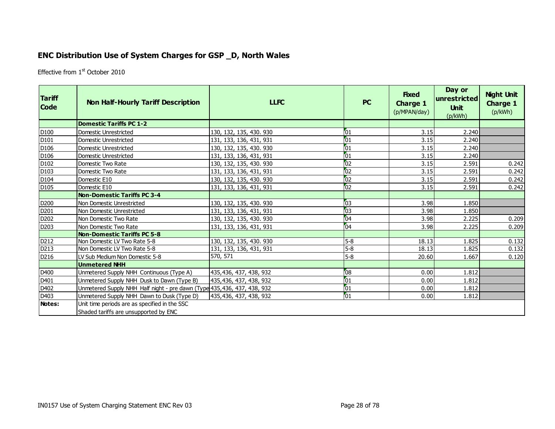## **ENC Distribution Use of System Charges for GSP \_D, North Wales**

Effective from 1<sup>st</sup> October 2010

<span id="page-27-0"></span>

| <b>Tariff</b><br><b>Code</b> | <b>Non Half-Hourly Tariff Description</b>                                              | <b>LLFC</b>             | <b>PC</b>       | <b>Fixed</b><br><b>Charge 1</b><br>(p/MPAN/day) | Day or<br> unrestricted <br><b>Unit</b><br>(p/kWh) | <b>Night Unit</b><br><b>Charge 1</b><br>(p/kWh) |
|------------------------------|----------------------------------------------------------------------------------------|-------------------------|-----------------|-------------------------------------------------|----------------------------------------------------|-------------------------------------------------|
|                              | <b>Domestic Tariffs PC 1-2</b>                                                         |                         |                 |                                                 |                                                    |                                                 |
| D <sub>100</sub>             | Domestic Unrestricted                                                                  | 130, 132, 135, 430. 930 | $\sqrt{01}$     | 3.15                                            | 2.240                                              |                                                 |
| D <sub>101</sub>             | l Domestic Unrestricted                                                                | 131, 133, 136, 431, 931 | 01              | 3.15                                            | 2.240                                              |                                                 |
| D <sub>106</sub>             | Domestic Unrestricted                                                                  | 130, 132, 135, 430. 930 | $\sqrt{01}$     | 3.15                                            | 2.240                                              |                                                 |
| D <sub>106</sub>             | Domestic Unrestricted                                                                  | 131, 133, 136, 431, 931 | 01              | 3.15                                            | 2.240                                              |                                                 |
| D <sub>102</sub>             | Domestic Two Rate                                                                      | 130, 132, 135, 430. 930 | $\overline{02}$ | 3.15                                            | 2.591                                              | 0.242                                           |
| D <sub>103</sub>             | Domestic Two Rate                                                                      | 131, 133, 136, 431, 931 | 02              | 3.15                                            | 2.591                                              | 0.242                                           |
| D <sub>104</sub>             | Domestic E10                                                                           | 130, 132, 135, 430. 930 | $\overline{02}$ | 3.15                                            | 2.591                                              | 0.242                                           |
| D <sub>105</sub>             | Domestic E10                                                                           | 131, 133, 136, 431, 931 | 02              | 3.15                                            | 2.591                                              | 0.242                                           |
|                              | <b>Non-Domestic Tariffs PC 3-4</b>                                                     |                         |                 |                                                 |                                                    |                                                 |
| D <sub>200</sub>             | Non Domestic Unrestricted                                                              | 130, 132, 135, 430. 930 | 03              | 3.98                                            | 1.850                                              |                                                 |
| D201                         | Non Domestic Unrestricted                                                              | 131, 133, 136, 431, 931 | $\overline{03}$ | 3.98                                            | 1.850                                              |                                                 |
| D <sub>202</sub>             | l Non Domestic Two Rate                                                                | 130, 132, 135, 430. 930 | 04              | 3.98                                            | 2.225                                              | 0.209                                           |
| D <sub>203</sub>             | Non Domestic Two Rate                                                                  | 131, 133, 136, 431, 931 | $\sqrt{04}$     | 3.98                                            | 2.225                                              | 0.209                                           |
|                              | Non-Domestic Tariffs PC 5-8                                                            |                         |                 |                                                 |                                                    |                                                 |
| D212                         | Non Domestic LV Two Rate 5-8                                                           | 130, 132, 135, 430. 930 | $5-8$           | 18.13                                           | 1.825                                              | 0.132                                           |
| D <sub>213</sub>             | Non Domestic LV Two Rate 5-8                                                           | 131, 133, 136, 431, 931 | $5-8$           | 18.13                                           | 1.825                                              | 0.132                                           |
| D216                         | ILV Sub Medium Non Domestic 5-8                                                        | 570, 571                | $5-8$           | 20.60                                           | 1.667                                              | 0.120                                           |
|                              | Unmetered NHH                                                                          |                         |                 |                                                 |                                                    |                                                 |
| D400                         | Unmetered Supply NHH Continuous (Type A)                                               | 435,436, 437, 438, 932  | 08              | 0.00                                            | 1.812                                              |                                                 |
| D401                         | Unmetered Supply NHH Dusk to Dawn (Type B)                                             | 435,436, 437, 438, 932  | $\boxed{01}$    | 0.00                                            | 1.812                                              |                                                 |
| D402                         | Unmetered Supply NHH Half night - pre dawn (Type 435, 436, 437, 438, 932               |                         | $\boxed{01}$    | 0.00                                            | 1.812                                              |                                                 |
| D <sub>403</sub>             | Unmetered Supply NHH Dawn to Dusk (Type D)                                             | 435,436, 437, 438, 932  | $\sqrt{01}$     | 0.00                                            | 1.812                                              |                                                 |
| Notes:                       | Unit time periods are as specified in the SSC<br>Shaded tariffs are unsupported by ENC |                         |                 |                                                 |                                                    |                                                 |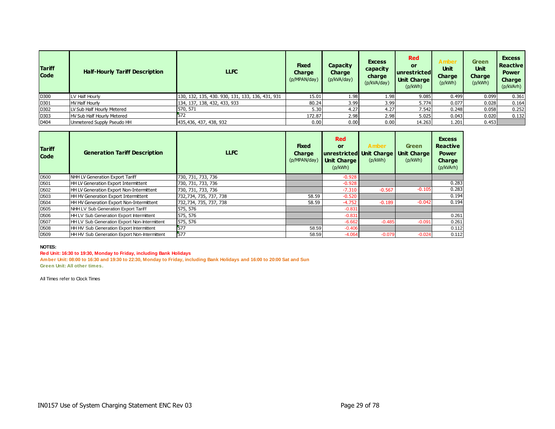| <b>Tariff</b><br><b>Code</b> | <b>Half-Hourly Tariff Description</b> | <b>LLFC</b>                                      | <b>Fixed</b><br>Charge<br>(p/MPAN/day) | <b>Capacity</b><br><b>Charge</b><br>(p/kVA/day) | <b>Excess</b><br>capacity<br>charge<br>(p/kVA/day) | <b>Red</b><br>or<br><b>unrestricted</b><br><b>Unit Charge</b><br>(p/kWh) | <b>Amber</b><br><b>Unit</b><br><b>Charge</b><br>(p/kWh) | <b>Green</b><br><b>Unit</b><br><b>Charge</b><br>(p/kWh) | <b>Excess</b><br><b>Reactive</b><br><b>Power</b><br>Charge<br>(p/kVArh) |
|------------------------------|---------------------------------------|--------------------------------------------------|----------------------------------------|-------------------------------------------------|----------------------------------------------------|--------------------------------------------------------------------------|---------------------------------------------------------|---------------------------------------------------------|-------------------------------------------------------------------------|
| D300                         | LV Half Hourly                        | 130, 132, 135, 430. 930, 131, 133, 136, 431, 931 | 15.01                                  | 1.98                                            | 1.98                                               | 9.085                                                                    | 0.499                                                   | 0.099                                                   | 0.361                                                                   |
| D301                         | <b>HV Half Hourly</b>                 | 134, 137, 138, 432, 433, 933                     | 80.24                                  | 3.99                                            | 3.99                                               | 5.774                                                                    | 0.077                                                   | 0.028                                                   | 0.164                                                                   |
| D302                         | LV Sub Half Hourly Metered            | 570, 571                                         | 5.30                                   | 4.27                                            | 4.27                                               | 7.542                                                                    | 0.248                                                   | 0.058                                                   | 0.252                                                                   |
| D303                         | HV Sub Half Hourly Metered            |                                                  | 172.87                                 | 2.98                                            | 2.98                                               | 5.025                                                                    | 0.043                                                   | 0.020                                                   | 0.132                                                                   |
| D404                         | Unmetered Supply Pseudo HH            | 435,436, 437, 438, 932                           | 0.00                                   | 0.00                                            | 0.00                                               | 14.263                                                                   | 1.201                                                   | 0.453                                                   |                                                                         |

| <b>Tariff</b><br><b>Code</b> | <b>Generation Tariff Description</b>         | <b>LLFC</b>            | <b>Fixed</b><br><b>Charge</b><br>(p/MPAN/day) | <b>Red</b><br><b>or</b><br>unrestricted Unit Charge<br><b>Unit Charge</b><br>(p/kWh) | <b>Amber</b><br>(p/kWh) | <b>Green</b><br><b>Unit Charge</b><br>(p/kWh) | <b>Excess</b><br><b>Reactive</b><br><b>Power</b><br>Charge<br>(p/kVArh) |
|------------------------------|----------------------------------------------|------------------------|-----------------------------------------------|--------------------------------------------------------------------------------------|-------------------------|-----------------------------------------------|-------------------------------------------------------------------------|
| D <sub>500</sub>             | NHH LV Generation Export Tariff              | 730, 731, 733, 736     |                                               | $-0.928$                                                                             |                         |                                               |                                                                         |
| D <sub>501</sub>             | <b>HH LV Generation Export Intermittent</b>  | 730, 731, 733, 736     |                                               | $-0.928$                                                                             |                         |                                               | 0.283                                                                   |
| D <sub>502</sub>             | HH LV Generation Export Non-Intermittent     | 730, 731, 733, 736     |                                               | $-7.310$                                                                             | $-0.567$                | $-0.105$                                      | 0.283                                                                   |
| D <sub>503</sub>             | HH HV Generation Export Intermittent         | 732,734, 735, 737, 738 | 58.59                                         | $-0.520$                                                                             |                         |                                               | 0.194                                                                   |
| D <sub>504</sub>             | HH HV Generation Export Non-Intermittent     | 732,734, 735, 737, 738 | 58.59                                         | $-4.752$                                                                             | $-0.189$                | $-0.042$                                      | 0.194                                                                   |
| D <sub>505</sub>             | NHH LV Sub Generation Export Tariff          | 575, 576               |                                               | $-0.831$                                                                             |                         |                                               |                                                                         |
| D <sub>506</sub>             | HH LV Sub Generation Export Intermittent     | 575, 576               |                                               | $-0.831$                                                                             |                         |                                               | 0.261                                                                   |
| D <sub>507</sub>             | HH LV Sub Generation Export Non-Intermittent | 575, 576               |                                               | $-6.662$                                                                             | $-0.485$                | $-0.091$                                      | 0.261                                                                   |
| D <sub>508</sub>             | HH HV Sub Generation Export Intermittent     | 577                    | 58.59                                         | $-0.406$                                                                             |                         |                                               | 0.112                                                                   |
| D <sub>509</sub>             | HH HV Sub Generation Export Non-Intermittent | 577                    | 58.59                                         | $-4.064$                                                                             | $-0.079$                | $-0.024$                                      | 0.112                                                                   |

#### **NOTES:**

#### **Red Unit: 16:30 to 19:30, Monday to Friday, including Bank Holidays**

**Amber Unit: 08:00 to 16:30 and 19:30 to 22:30, Monday to Friday, including Bank Holidays and 16:00 to 20:00 Sat and Sun Green Unit: All other times.**

All Times refer to Clock Times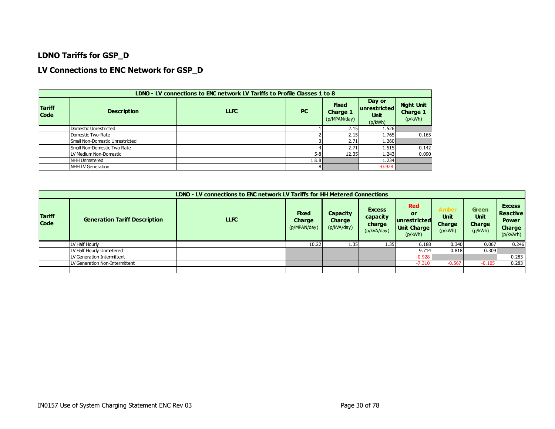#### **LDNO Tariffs for GSP\_D**

#### **LV Connections to ENC Network for GSP\_D**

|                              | LDNO - LV connections to ENC network LV Tariffs to Profile Classes 1 to 8 |             |           |                                          |                                                  |                                                 |  |  |  |  |  |  |  |
|------------------------------|---------------------------------------------------------------------------|-------------|-----------|------------------------------------------|--------------------------------------------------|-------------------------------------------------|--|--|--|--|--|--|--|
| <b>Tariff</b><br><b>Code</b> | <b>Description</b>                                                        | <b>LLFC</b> | <b>PC</b> | <b>Fixed</b><br>Charge 1<br>(p/MPAN/day) | Day or<br>unrestricted<br><b>Unit</b><br>(p/kWh) | <b>Night Unit</b><br><b>Charge 1</b><br>(p/kWh) |  |  |  |  |  |  |  |
|                              | Domestic Unrestricted                                                     |             |           | 2.15                                     | 1.526                                            |                                                 |  |  |  |  |  |  |  |
|                              | Domestic Two-Rate                                                         |             |           | 2.15                                     | 1.765                                            | 0.165                                           |  |  |  |  |  |  |  |
|                              | Small Non-Domestic Unrestricted                                           |             |           | 2.71                                     | 1.260                                            |                                                 |  |  |  |  |  |  |  |
|                              | Small Non-Domestic Two Rate                                               |             |           | 2.71                                     | 1.515                                            | 0.142                                           |  |  |  |  |  |  |  |
|                              | LV Medium Non-Domestic                                                    |             | $5 - 8$   | 12.35                                    | 1.243                                            | 0.090                                           |  |  |  |  |  |  |  |
|                              | NHH Unmetered                                                             |             | 1881      |                                          | 1.234                                            |                                                 |  |  |  |  |  |  |  |
|                              | NHH LV Generation                                                         |             | 81        |                                          | $-0.928$                                         |                                                 |  |  |  |  |  |  |  |

|                              |                                      | LDNO - LV connections to ENC network LV Tariffs for HH Metered Connections |                                               |                                   |                                                    |                                                                   |                                                  |                                                         |                                                                         |
|------------------------------|--------------------------------------|----------------------------------------------------------------------------|-----------------------------------------------|-----------------------------------|----------------------------------------------------|-------------------------------------------------------------------|--------------------------------------------------|---------------------------------------------------------|-------------------------------------------------------------------------|
| <b>Tariff</b><br><b>Code</b> | <b>Generation Tariff Description</b> | LLFC.                                                                      | <b>Fixed</b><br><b>Charge</b><br>(p/MPAN/day) | Capacity<br>Charge<br>(p/kVA/day) | <b>Excess</b><br>capacity<br>charge<br>(p/kVA/day) | <b>Red</b><br>or<br>unrestricted<br><b>Unit Charge</b><br>(p/kWh) | <b>Amber</b><br><b>Unit</b><br>Charge<br>(p/kWh) | <b>Green</b><br><b>Unit</b><br><b>Charge</b><br>(p/kWh) | <b>Excess</b><br><b>Reactive</b><br><b>Power</b><br>Charge<br>(p/kVArh) |
|                              | LV Half Hourly                       |                                                                            | 10.22                                         | 1.35                              | 1.35                                               | 6.188                                                             | 0.340                                            | 0.067                                                   | 0.246                                                                   |
|                              | LV Half Hourly Unmetered             |                                                                            |                                               |                                   |                                                    | 9.714                                                             | 0.818                                            | 0.309                                                   |                                                                         |
|                              | LV Generation Intermittent           |                                                                            |                                               |                                   |                                                    | $-0.928$                                                          |                                                  |                                                         | 0.283                                                                   |
|                              | LV Generation Non-Intermittent       |                                                                            |                                               |                                   |                                                    | $-7.310$                                                          | $-0.567$                                         | $-0.105$                                                | 0.283                                                                   |
|                              |                                      |                                                                            |                                               |                                   |                                                    |                                                                   |                                                  |                                                         |                                                                         |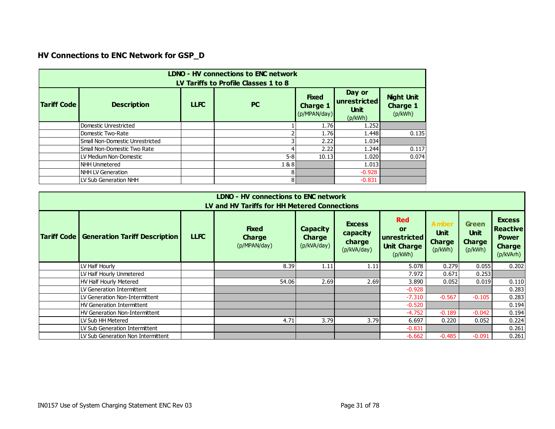# **HV Connections to ENC Network for GSP\_D**

|                    | <b>LDNO - HV connections to ENC network</b><br>LV Tariffs to Profile Classes 1 to 8 |             |           |                                                 |                                                  |                                                 |  |  |  |  |  |
|--------------------|-------------------------------------------------------------------------------------|-------------|-----------|-------------------------------------------------|--------------------------------------------------|-------------------------------------------------|--|--|--|--|--|
| <b>Tariff Code</b> | <b>Description</b>                                                                  | <b>LLFC</b> | <b>PC</b> | <b>Fixed</b><br><b>Charge 1</b><br>(p/MPAN/day) | Day or<br>unrestricted<br><b>Unit</b><br>(p/kWh) | <b>Night Unit</b><br><b>Charge 1</b><br>(p/kWh) |  |  |  |  |  |
|                    | Domestic Unrestricted                                                               |             |           | 1.76                                            | 1.252                                            |                                                 |  |  |  |  |  |
|                    | Domestic Two-Rate                                                                   |             |           | 1.76                                            | 1.448                                            | 0.135                                           |  |  |  |  |  |
|                    | Small Non-Domestic Unrestricted                                                     |             |           | 2.22                                            | 1.034                                            |                                                 |  |  |  |  |  |
|                    | Small Non-Domestic Two Rate                                                         |             |           | 2.22                                            | 1.244                                            | 0.117                                           |  |  |  |  |  |
|                    | LLV Medium Non-Domestic                                                             |             | $5-8$     | 10.13                                           | 1.020                                            | 0.074                                           |  |  |  |  |  |
|                    | INHH Unmetered                                                                      |             | 1&8       |                                                 | 1.013                                            |                                                 |  |  |  |  |  |
|                    | INHH LV Generation                                                                  |             | 8         |                                                 | $-0.928$                                         |                                                 |  |  |  |  |  |
|                    | LV Sub Generation NHH                                                               |             | 8         |                                                 | $-0.831$                                         |                                                 |  |  |  |  |  |

|                    | LDNO - HV connections to ENC network<br>LV and HV Tariffs for HH Metered Connections                                                                                                                                                                                                                                                                                                              |  |       |      |      |          |          |          |       |  |  |  |  |  |
|--------------------|---------------------------------------------------------------------------------------------------------------------------------------------------------------------------------------------------------------------------------------------------------------------------------------------------------------------------------------------------------------------------------------------------|--|-------|------|------|----------|----------|----------|-------|--|--|--|--|--|
| <b>Tariff Code</b> | <b>Red</b><br><b>Excess</b><br>Amber<br><b>Green</b><br><b>Fixed</b><br><b>Capacity</b><br>or<br><b>Unit</b><br><b>Unit</b><br>capacity<br><b>LLFC</b><br><b>Generation Tariff Description</b><br><b>Charge</b><br><b>Charge</b><br>unrestricted<br><b>Charge</b><br>charge<br><b>Charge</b><br>(p/MPAN/day)<br>(p/kVA/day)<br><b>Unit Charge</b><br>(p/kVA/day)<br>(p/kWh)<br>(p/kWh)<br>(p/kWh) |  |       |      |      |          |          |          |       |  |  |  |  |  |
|                    | LV Half Hourly                                                                                                                                                                                                                                                                                                                                                                                    |  | 8.39  | 1.11 | 1.11 | 5.078    | 0.279    | 0.055    | 0.202 |  |  |  |  |  |
|                    | LV Half Hourly Unmetered                                                                                                                                                                                                                                                                                                                                                                          |  |       |      |      | 7.972    | 0.671    | 0.253    |       |  |  |  |  |  |
|                    | HV Half Hourly Metered                                                                                                                                                                                                                                                                                                                                                                            |  | 54.06 | 2.69 | 2.69 | 3.890    | 0.052    | 0.019    | 0.110 |  |  |  |  |  |
|                    | LV Generation Intermittent                                                                                                                                                                                                                                                                                                                                                                        |  |       |      |      | $-0.928$ |          |          | 0.283 |  |  |  |  |  |
|                    | LV Generation Non-Intermittent                                                                                                                                                                                                                                                                                                                                                                    |  |       |      |      | $-7.310$ | $-0.567$ | $-0.105$ | 0.283 |  |  |  |  |  |
|                    | HV Generation Intermittent                                                                                                                                                                                                                                                                                                                                                                        |  |       |      |      | $-0.520$ |          |          | 0.194 |  |  |  |  |  |
|                    | HV Generation Non-Intermittent                                                                                                                                                                                                                                                                                                                                                                    |  |       |      |      | $-4.752$ | $-0.189$ | $-0.042$ | 0.194 |  |  |  |  |  |
|                    | LLV Sub HH Metered                                                                                                                                                                                                                                                                                                                                                                                |  | 4.71  | 3.79 | 3.79 | 6.697    | 0.220    | 0.052    | 0.224 |  |  |  |  |  |
|                    | LV Sub Generation Intermittent                                                                                                                                                                                                                                                                                                                                                                    |  |       |      |      | $-0.831$ |          |          | 0.261 |  |  |  |  |  |
|                    | LV Sub Generation Non Intermittent                                                                                                                                                                                                                                                                                                                                                                |  |       |      |      | $-6.662$ | $-0.485$ | $-0.091$ | 0.261 |  |  |  |  |  |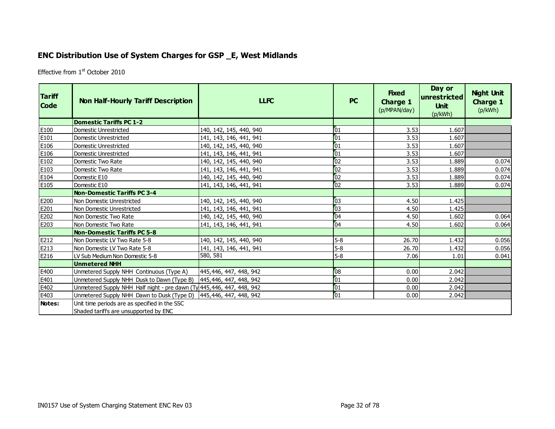## **ENC Distribution Use of System Charges for GSP \_E, West Midlands**

Effective from 1<sup>st</sup> October 2010

<span id="page-31-0"></span>

| <b>Tariff</b><br><b>Code</b> | <b>Non Half-Hourly Tariff Description</b>                              | <b>LLFC</b>             | PC              | <b>Fixed</b><br><b>Charge 1</b><br>(p/MPAN/day) | Day or<br>unrestricted<br><b>Unit</b><br>(p/kWh) | <b>Night Unit</b><br><b>Charge 1</b><br>(p/kWh) |
|------------------------------|------------------------------------------------------------------------|-------------------------|-----------------|-------------------------------------------------|--------------------------------------------------|-------------------------------------------------|
|                              | <b>Domestic Tariffs PC 1-2</b>                                         |                         |                 |                                                 |                                                  |                                                 |
| E100                         | Domestic Unrestricted                                                  | 140, 142, 145, 440, 940 | 01              | 3.53                                            | 1.607                                            |                                                 |
| E101                         | Domestic Unrestricted                                                  | 141, 143, 146, 441, 941 | 01              | 3.53                                            | 1.607                                            |                                                 |
| E106                         | Domestic Unrestricted                                                  | 140, 142, 145, 440, 940 | 01              | 3.53                                            | 1.607                                            |                                                 |
| E106                         | Domestic Unrestricted                                                  | 141, 143, 146, 441, 941 | 01              | 3.53                                            | 1.607                                            |                                                 |
| E102                         | Domestic Two Rate                                                      | 140, 142, 145, 440, 940 | 02              | 3.53                                            | 1.889                                            | 0.074                                           |
| E103                         | Domestic Two Rate                                                      | 141, 143, 146, 441, 941 | 62              | 3.53                                            | 1.889                                            | 0.074                                           |
| E104                         | Domestic E10                                                           | 140, 142, 145, 440, 940 | 02              | 3.53                                            | 1.889                                            | 0.074                                           |
| E105                         | Domestic E10                                                           | 141, 143, 146, 441, 941 | 02              | 3.53                                            | 1.889                                            | 0.074                                           |
|                              | <b>Non-Domestic Tariffs PC 3-4</b>                                     |                         |                 |                                                 |                                                  |                                                 |
| E200                         | Non Domestic Unrestricted                                              | 140, 142, 145, 440, 940 | 03              | 4.50                                            | 1.425                                            |                                                 |
| E201                         | Non Domestic Unrestricted                                              | 141, 143, 146, 441, 941 | 03              | 4.50                                            | 1.425                                            |                                                 |
| E202                         | Non Domestic Two Rate                                                  | 140, 142, 145, 440, 940 | 04              | 4.50                                            | 1.602                                            | 0.064                                           |
| E203                         | Non Domestic Two Rate                                                  | 141, 143, 146, 441, 941 | 04              | 4.50                                            | 1.602                                            | 0.064                                           |
|                              | <b>Non-Domestic Tariffs PC 5-8</b>                                     |                         |                 |                                                 |                                                  |                                                 |
| E212                         | Non Domestic LV Two Rate 5-8                                           | 140, 142, 145, 440, 940 | $5 - 8$         | 26.70                                           | 1.432                                            | 0.056                                           |
| E213                         | Non Domestic LV Two Rate 5-8                                           | 141, 143, 146, 441, 941 | $5 - 8$         | 26.70                                           | 1.432                                            | 0.056                                           |
| E216                         | LV Sub Medium Non Domestic 5-8                                         | 580, 581                | $5 - 8$         | 7.06                                            | 1.01                                             | 0.041                                           |
|                              | <b>Unmetered NHH</b>                                                   |                         |                 |                                                 |                                                  |                                                 |
| E400                         | Unmetered Supply NHH Continuous (Type A)                               | 445,446, 447, 448, 942  | 08              | 0.00                                            | 2.042                                            |                                                 |
| E401                         | Unmetered Supply NHH Dusk to Dawn (Type B)                             | 445,446, 447, 448, 942  | 01              | 0.00                                            | 2.042                                            |                                                 |
| E402                         | Unmetered Supply NHH Half night - pre dawn (Ty 445, 446, 447, 448, 942 |                         | 01              | 0.00                                            | 2.042                                            |                                                 |
| E403                         | Unmetered Supply NHH Dawn to Dusk (Type D)                             | 445,446, 447, 448, 942  | $\overline{01}$ | 0.00                                            | 2.042                                            |                                                 |
| Notes:                       | Unit time periods are as specified in the SSC                          |                         |                 |                                                 |                                                  |                                                 |
|                              | Shaded tariffs are unsupported by ENC                                  |                         |                 |                                                 |                                                  |                                                 |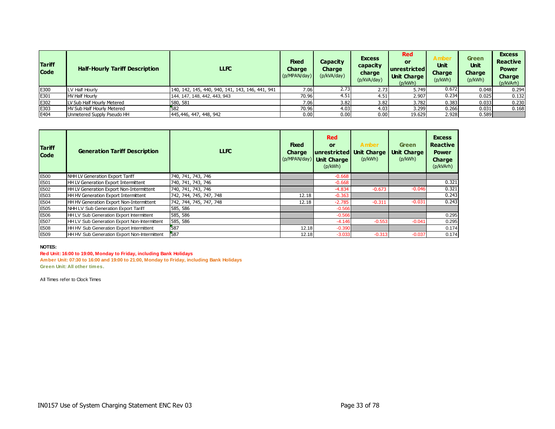| <b>Tariff</b><br><b>Code</b> | <b>Half-Hourly Tariff Description</b> | <b>LLFC</b>                                      | <b>Fixed</b><br><b>Charge</b><br>(p/MPAN/day) | Capacity<br>Charge<br>(p/kVA/day) | <b>Excess</b><br>capacity<br>charge<br>(p/kVA/day) | <b>Red</b><br>or<br><b>unrestricted</b><br><b>Unit Charge</b><br>(p/kWh) | Amber<br><b>Unit</b><br><b>Charge</b><br>(p/kWh) | <b>Green</b><br><b>Unit</b><br><b>Charge</b><br>(p/kWh) | <b>Excess</b><br><b>Reactive</b><br><b>Power</b><br><b>Charge</b><br>(p/kVArh) |
|------------------------------|---------------------------------------|--------------------------------------------------|-----------------------------------------------|-----------------------------------|----------------------------------------------------|--------------------------------------------------------------------------|--------------------------------------------------|---------------------------------------------------------|--------------------------------------------------------------------------------|
| E300                         | LV Half Hourly                        | 140, 142, 145, 440, 940, 141, 143, 146, 441, 941 | 7.06                                          | 2.73                              | 2.73                                               | 5.749                                                                    | 0.672                                            | 0.048                                                   | 0.294                                                                          |
| E301                         | <b>HV Half Hourly</b>                 | 144, 147, 148, 442, 443, 943                     | 70.96                                         | 4.51                              | 4.51                                               | 2.907                                                                    | 0.234                                            | 0.025                                                   | 0.132                                                                          |
| E302                         | LV Sub Half Hourly Metered            | 580, 581                                         | 7.061                                         | 3.82                              | 3.82                                               | 3.782                                                                    | 0.383                                            | 0.033                                                   | 0.230                                                                          |
| E303                         | HV Sub Half Hourly Metered            | 582                                              | 70.96                                         | 4.03                              | 4.03                                               | 3.299                                                                    | 0.266                                            | 0.031                                                   | 0.168                                                                          |
| E404                         | Unmetered Supply Pseudo HH            | 445,446, 447, 448, 942                           | 0.00                                          | 0.00                              | 0.00                                               | 19.629                                                                   | 2.928                                            | 0.589                                                   |                                                                                |

| <b>Tariff</b><br><b>Code</b> | <b>Generation Tariff Description</b>         | <b>LLFC</b>             | <b>Fixed</b><br><b>Charge</b> | <b>Red</b><br>or<br>unrestricted Unit Charge<br>(p/MPAN/day) Unit Charge<br>(p/kWh) | <b>Amber</b><br>(p/kWh) | <b>Green</b><br><b>Unit Charge</b><br>(p/kWh) | <b>Excess</b><br><b>Reactive</b><br><b>Power</b><br><b>Charge</b><br>(p/kVArh) |
|------------------------------|----------------------------------------------|-------------------------|-------------------------------|-------------------------------------------------------------------------------------|-------------------------|-----------------------------------------------|--------------------------------------------------------------------------------|
| E500                         | NHH LV Generation Export Tariff              | 740, 741, 743, 746      |                               | $-0.668$                                                                            |                         |                                               |                                                                                |
| E501                         | HH LV Generation Export Intermittent         | 740, 741, 743, 746      |                               | $-0.668$                                                                            |                         |                                               | 0.321                                                                          |
| E502                         | HH LV Generation Export Non-Intermittent     | 740, 741, 743, 746      |                               | $-4.834$                                                                            | $-0.673$                | $-0.046$                                      | 0.321                                                                          |
| E503                         | HH HV Generation Export Intermittent         | 742, 744, 745, 747, 748 | 12.18                         | $-0.363$                                                                            |                         |                                               | 0.243                                                                          |
| E504                         | HH HV Generation Export Non-Intermittent     | 742, 744, 745, 747, 748 | 12.18                         | $-2.785$                                                                            | $-0.311$                | $-0.031$                                      | 0.243                                                                          |
| E <sub>505</sub>             | NHH LV Sub Generation Export Tariff          | 585, 586                |                               | $-0.566$                                                                            |                         |                                               |                                                                                |
| E506                         | HH LV Sub Generation Export Intermittent     | 585, 586                |                               | $-0.566$                                                                            |                         |                                               | 0.295                                                                          |
| E507                         | HH LV Sub Generation Export Non-Intermittent | 585, 586                |                               | $-4.146$                                                                            | $-0.553$                | $-0.041$                                      | 0.295                                                                          |
| E508                         | HH HV Sub Generation Export Intermittent     | 587                     | 12.18                         | $-0.390$                                                                            |                         |                                               | 0.174                                                                          |
| E509                         | HH HV Sub Generation Export Non-Intermittent | 587                     | 12.18                         | $-3.033$                                                                            | $-0.313$                | $-0.037$                                      | 0.174                                                                          |

#### **NOTES:**

#### **Red Unit: 16:00 to 19:00, Monday to Friday, including Bank Holidays**

**Amber Unit: 07:30 to 16:00 and 19:00 to 21:00, Monday to Friday, including Bank Holidays Green Unit: All other times.**

All Times refer to Clock Times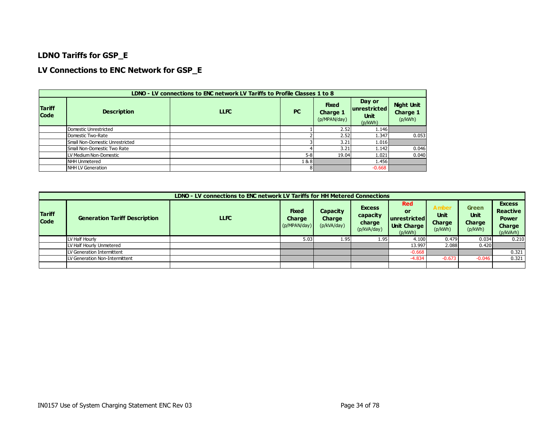#### **LDNO Tariffs for GSP\_E**

#### **LV Connections to ENC Network for GSP\_E**

|                              | LDNO - LV connections to ENC network LV Tariffs to Profile Classes 1 to 8 |             |           |                                          |                                                  |                                                 |  |  |  |  |  |
|------------------------------|---------------------------------------------------------------------------|-------------|-----------|------------------------------------------|--------------------------------------------------|-------------------------------------------------|--|--|--|--|--|
| <b>Tariff</b><br><b>Code</b> | <b>Description</b>                                                        | <b>LLFC</b> | <b>PC</b> | <b>Fixed</b><br>Charge 1<br>(p/MPAN/day) | Day or<br>unrestricted<br><b>Unit</b><br>(p/kWh) | <b>Night Unit</b><br><b>Charge 1</b><br>(p/kWh) |  |  |  |  |  |
|                              | Domestic Unrestricted                                                     |             |           | 2.52                                     | 1.146                                            |                                                 |  |  |  |  |  |
|                              | Domestic Two-Rate                                                         |             |           | 2.52                                     | 1.347                                            | 0.053                                           |  |  |  |  |  |
|                              | Small Non-Domestic Unrestricted                                           |             |           | 3.21                                     | 1.016                                            |                                                 |  |  |  |  |  |
|                              | Small Non-Domestic Two Rate                                               |             |           | 3.21                                     | 1.142                                            | 0.046                                           |  |  |  |  |  |
|                              | LV Medium Non-Domestic                                                    |             | $5 - 8$   | 19.04                                    | 1.021                                            | 0.040                                           |  |  |  |  |  |
|                              | NHH Unmetered                                                             |             | 1 & 8 I   |                                          | 1.456                                            |                                                 |  |  |  |  |  |
|                              | NHH LV Generation                                                         |             |           |                                          | $-0.668$                                         |                                                 |  |  |  |  |  |

|                              | LDNO - LV connections to ENC network LV Tariffs for HH Metered Connections |             |                                        |                                          |                                                    |                                                                   |                                                         |                                                  |                                                                                |  |  |  |
|------------------------------|----------------------------------------------------------------------------|-------------|----------------------------------------|------------------------------------------|----------------------------------------------------|-------------------------------------------------------------------|---------------------------------------------------------|--------------------------------------------------|--------------------------------------------------------------------------------|--|--|--|
| <b>Tariff</b><br><b>Code</b> | <b>Generation Tariff Description</b>                                       | <b>LLFC</b> | <b>Fixed</b><br>Charge<br>(p/MPAN/day) | Capacity<br><b>Charge</b><br>(p/kVA/day) | <b>Excess</b><br>capacity<br>charge<br>(p/kVA/day) | <b>Red</b><br>or<br>unrestricted<br><b>Unit Charge</b><br>(p/kWh) | <b>Amber</b><br><b>Unit</b><br><b>Charge</b><br>(p/kWh) | <b>Green</b><br><b>Unit</b><br>Charge<br>(p/kWh) | <b>Excess</b><br><b>Reactive</b><br><b>Power</b><br><b>Charge</b><br>(p/kVArh) |  |  |  |
|                              | LV Half Hourly                                                             |             | 5.03                                   | 1.95                                     | 1.95                                               | 4.100                                                             | 0.479                                                   | 0.034                                            | 0.210                                                                          |  |  |  |
|                              | LV Half Hourly Unmetered                                                   |             |                                        |                                          |                                                    | 13.997                                                            | 2.088                                                   | 0.420                                            |                                                                                |  |  |  |
|                              | LV Generation Intermittent                                                 |             |                                        |                                          |                                                    | $-0.668$                                                          |                                                         |                                                  | 0.321                                                                          |  |  |  |
|                              | LV Generation Non-Intermittent                                             |             |                                        |                                          |                                                    | $-4.834$                                                          | $-0.673$                                                | $-0.046$                                         | 0.321                                                                          |  |  |  |
|                              |                                                                            |             |                                        |                                          |                                                    |                                                                   |                                                         |                                                  |                                                                                |  |  |  |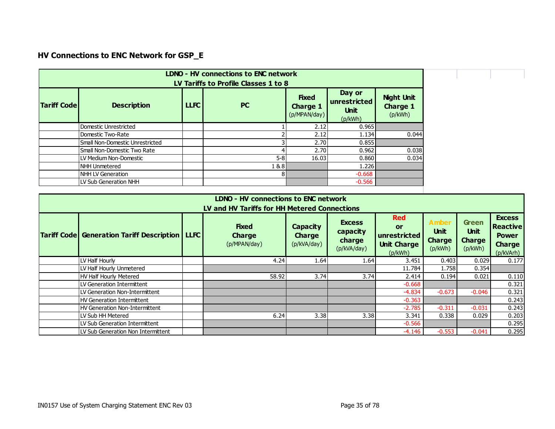# **HV Connections to ENC Network for GSP\_E**

| <b>LDNO - HV connections to ENC network</b><br>LV Tariffs to Profile Classes 1 to 8 |                                 |             |           |                                                 |                                                  |                                                 |  |  |
|-------------------------------------------------------------------------------------|---------------------------------|-------------|-----------|-------------------------------------------------|--------------------------------------------------|-------------------------------------------------|--|--|
| <b>Tariff Code</b>                                                                  | <b>Description</b>              | <b>LLFC</b> | <b>PC</b> | <b>Fixed</b><br><b>Charge 1</b><br>(p/MPAN/day) | Day or<br>unrestricted<br><b>Unit</b><br>(p/kWh) | <b>Night Unit</b><br><b>Charge 1</b><br>(p/kWh) |  |  |
|                                                                                     | Domestic Unrestricted           |             |           | 2.12                                            | 0.965                                            |                                                 |  |  |
|                                                                                     | Domestic Two-Rate               |             |           | 2.12                                            | 1.134                                            | 0.044                                           |  |  |
|                                                                                     | Small Non-Domestic Unrestricted |             |           | 2.70                                            | 0.855                                            |                                                 |  |  |
|                                                                                     | l Small Non-Domestic Two Rate   |             |           | 2.70                                            | 0.962                                            | 0.038                                           |  |  |
|                                                                                     | LV Medium Non-Domestic          |             | $5 - 8$   | 16.03                                           | 0.860                                            | 0.034                                           |  |  |
|                                                                                     | INHH Unmetered                  |             | 1 & 8     |                                                 | 1.226                                            |                                                 |  |  |
|                                                                                     | INHH LV Generation              |             |           |                                                 | $-0.668$                                         |                                                 |  |  |
|                                                                                     | LV Sub Generation NHH           |             |           |                                                 | $-0.566$                                         |                                                 |  |  |

| <b>LDNO - HV connections to ENC network</b><br>LV and HV Tariffs for HH Metered Connections |                                                           |  |                                               |                                                 |                                                    |                                                                   |                                                         |                                                         |                                                                                |  |  |
|---------------------------------------------------------------------------------------------|-----------------------------------------------------------|--|-----------------------------------------------|-------------------------------------------------|----------------------------------------------------|-------------------------------------------------------------------|---------------------------------------------------------|---------------------------------------------------------|--------------------------------------------------------------------------------|--|--|
|                                                                                             | <b>Tariff Code   Generation Tariff Description   LLFC</b> |  | <b>Fixed</b><br><b>Charge</b><br>(p/MPAN/day) | <b>Capacity</b><br><b>Charge</b><br>(p/kVA/day) | <b>Excess</b><br>capacity<br>charge<br>(p/kVA/day) | <b>Red</b><br>or<br>unrestricted<br><b>Unit Charge</b><br>(p/kWh) | <b>Amber</b><br><b>Unit</b><br><b>Charge</b><br>(p/kWh) | <b>Green</b><br><b>Unit</b><br><b>Charge</b><br>(p/kWh) | <b>Excess</b><br><b>Reactive</b><br><b>Power</b><br><b>Charge</b><br>(p/kVArh) |  |  |
|                                                                                             | LV Half Hourly                                            |  | 4.24                                          | 1.64                                            | 1.64                                               | 3.451                                                             | 0.403                                                   | 0.029                                                   | 0.177                                                                          |  |  |
|                                                                                             | LV Half Hourly Unmetered                                  |  |                                               |                                                 |                                                    | 11.784                                                            | 1.758                                                   | 0.354                                                   |                                                                                |  |  |
|                                                                                             | HV Half Hourly Metered                                    |  | 58.92                                         | 3.74                                            | 3.74                                               | 2.414                                                             | 0.194                                                   | 0.021                                                   | 0.110                                                                          |  |  |
|                                                                                             | LV Generation Intermittent                                |  |                                               |                                                 |                                                    | $-0.668$                                                          |                                                         |                                                         | 0.321                                                                          |  |  |
|                                                                                             | LV Generation Non-Intermittent                            |  |                                               |                                                 |                                                    | $-4.834$                                                          | $-0.673$                                                | $-0.046$                                                | 0.321                                                                          |  |  |
|                                                                                             | <b>HV Generation Intermittent</b>                         |  |                                               |                                                 |                                                    | $-0.363$                                                          |                                                         |                                                         | 0.243                                                                          |  |  |
|                                                                                             | <b>HV Generation Non-Intermittent</b>                     |  |                                               |                                                 |                                                    | $-2.785$                                                          | $-0.311$                                                | $-0.031$                                                | 0.243                                                                          |  |  |
|                                                                                             | LV Sub HH Metered                                         |  | 6.24                                          | 3.38                                            | 3.38                                               | 3.341                                                             | 0.338                                                   | 0.029                                                   | 0.203                                                                          |  |  |
|                                                                                             | LV Sub Generation Intermittent                            |  |                                               |                                                 |                                                    | $-0.566$                                                          |                                                         |                                                         | 0.295                                                                          |  |  |
|                                                                                             | LV Sub Generation Non Intermittent                        |  |                                               |                                                 |                                                    | $-4.146$                                                          | $-0.553$                                                | $-0.041$                                                | 0.295                                                                          |  |  |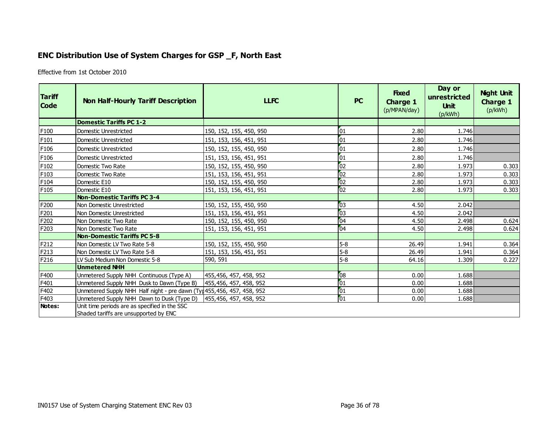## **ENC Distribution Use of System Charges for GSP \_F, North East**

Effective from 1st October 2010

<span id="page-35-0"></span>

| <b>Tariff</b><br><b>Code</b> | <b>Non Half-Hourly Tariff Description</b>                                              | <b>LLFC</b>             | <b>PC</b> | <b>Fixed</b><br>Charge 1<br>(p/MPAN/day) | Day or<br>unrestricted<br><b>Unit</b><br>(p/kWh) | <b>Night Unit</b><br><b>Charge 1</b><br>(p/kWh) |
|------------------------------|----------------------------------------------------------------------------------------|-------------------------|-----------|------------------------------------------|--------------------------------------------------|-------------------------------------------------|
|                              | <b>Domestic Tariffs PC 1-2</b>                                                         |                         |           |                                          |                                                  |                                                 |
| F100                         | Domestic Unrestricted                                                                  | 150, 152, 155, 450, 950 | 01        | 2.80                                     | 1.746                                            |                                                 |
| F101                         | Domestic Unrestricted                                                                  | 151, 153, 156, 451, 951 | 01        | 2.80                                     | 1.746                                            |                                                 |
| F <sub>106</sub>             | Domestic Unrestricted                                                                  | 150, 152, 155, 450, 950 | 01        | 2.80                                     | 1.746                                            |                                                 |
| F106                         | Domestic Unrestricted                                                                  | 151, 153, 156, 451, 951 | 01        | 2.80                                     | 1.746                                            |                                                 |
| F102                         | Domestic Two Rate                                                                      | 150, 152, 155, 450, 950 | 02        | 2.80                                     | 1.973                                            | 0.303                                           |
| F103                         | Domestic Two Rate                                                                      | 151, 153, 156, 451, 951 | 02        | 2.80                                     | 1.973                                            | 0.303                                           |
| F104                         | Domestic E10                                                                           | 150, 152, 155, 450, 950 | 02        | 2.80                                     | 1.973                                            | 0.303                                           |
| F105                         | Domestic E10                                                                           | 151, 153, 156, 451, 951 | 02        | 2.80                                     | 1.973                                            | 0.303                                           |
|                              | <b>Non-Domestic Tariffs PC 3-4</b>                                                     |                         |           |                                          |                                                  |                                                 |
| F200                         | Non Domestic Unrestricted                                                              | 150, 152, 155, 450, 950 | 03        | 4.50                                     | 2.042                                            |                                                 |
| F201                         | Non Domestic Unrestricted                                                              | 151, 153, 156, 451, 951 | 03        | 4.50                                     | 2.042                                            |                                                 |
| F202                         | Non Domestic Two Rate                                                                  | 150, 152, 155, 450, 950 | 04        | 4.50                                     | 2.498                                            | 0.624                                           |
| F203                         | Non Domestic Two Rate                                                                  | 151, 153, 156, 451, 951 | 04        | 4.50                                     | 2.498                                            | 0.624                                           |
|                              | <b>Non-Domestic Tariffs PC 5-8</b>                                                     |                         |           |                                          |                                                  |                                                 |
| F212                         | Non Domestic LV Two Rate 5-8                                                           | 150, 152, 155, 450, 950 | $5 - 8$   | 26.49                                    | 1.941                                            | 0.364                                           |
| F213                         | Non Domestic LV Two Rate 5-8                                                           | 151, 153, 156, 451, 951 | $5 - 8$   | 26.49                                    | 1.941                                            | 0.364                                           |
| F216                         | LV Sub Medium Non Domestic 5-8                                                         | 590, 591                | $5 - 8$   | 64.16                                    | 1.309                                            | 0.227                                           |
|                              | <b>Unmetered NHH</b>                                                                   |                         |           |                                          |                                                  |                                                 |
| F400                         | Unmetered Supply NHH Continuous (Type A)                                               | 455,456, 457, 458, 952  | 08        | 0.00                                     | 1.688                                            |                                                 |
| F401                         | Unmetered Supply NHH Dusk to Dawn (Type B)                                             | 455,456, 457, 458, 952  | 01        | 0.00                                     | 1.688                                            |                                                 |
| F402                         | Unmetered Supply NHH Half night - pre dawn (Ty 1455, 456, 457, 458, 952                |                         | 01        | 0.00                                     | 1.688                                            |                                                 |
| F403                         | Unmetered Supply NHH Dawn to Dusk (Type D)                                             | 455,456, 457, 458, 952  | 01        | 0.00                                     | 1.688                                            |                                                 |
| Notes:                       | Unit time periods are as specified in the SSC<br>Shaded tariffs are unsupported by ENC |                         |           |                                          |                                                  |                                                 |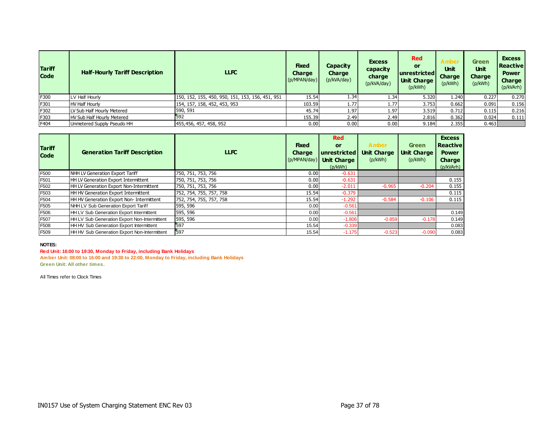| <b>Tariff</b><br><b>Code</b> | <b>Half-Hourly Tariff Description</b> | <b>LLFC</b>                                      | <b>Fixed</b><br><b>Charge</b><br>(p/MPAN/day) | Capacity<br><b>Charge</b><br>(p/kVA/day) | <b>Excess</b><br>capacity<br>charge<br>(p/kVA/day) | <b>Red</b><br>or<br><u> unrestricted</u><br><b>Unit Charge</b><br>(p/kWh) | <b>Unit</b><br><b>Charge</b><br>(p/kWh) | <b>Green</b><br><b>Unit</b><br><b>Charge</b><br>(p/kWh) | <b>Excess</b><br>l Reactivel<br><b>Power</b><br><b>Charge</b><br>(p/kVArh) |
|------------------------------|---------------------------------------|--------------------------------------------------|-----------------------------------------------|------------------------------------------|----------------------------------------------------|---------------------------------------------------------------------------|-----------------------------------------|---------------------------------------------------------|----------------------------------------------------------------------------|
| F300                         | LV Half Hourly                        | 150, 152, 155, 450, 950, 151, 153, 156, 451, 951 | 15.54                                         | 1.34                                     | 1.34                                               | 5.320                                                                     | 1.240                                   | 0.227                                                   | 0.270                                                                      |
| F301                         | <b>HV Half Hourly</b>                 | 154, 157, 158, 452, 453, 953                     | 103.59                                        | 1.77                                     | 1.77                                               | 3.753                                                                     | 0.662                                   | 0.091                                                   | 0.156                                                                      |
| F302                         | LV Sub Half Hourly Metered            | 590, 591                                         | 45.74                                         | 1.97                                     | 1.97                                               | 3.519                                                                     | 0.712                                   | 0.115                                                   | 0.216                                                                      |
| F303                         | HV Sub Half Hourly Metered            | 592                                              | 155.39                                        | 2.49                                     | 2.49                                               | 2.816                                                                     | 0.362                                   | 0.024                                                   | 0.111                                                                      |
| F404                         | Unmetered Supply Pseudo HH            | 455,456, 457, 458, 952                           | 0.00                                          | 0.00                                     | 0.00                                               | 9.184                                                                     | 2.355                                   | 0.463                                                   |                                                                            |

| <b>Tariff</b><br><b>Code</b> | <b>Generation Tariff Description</b>            | <b>LLFC</b>             | <b>Fixed</b><br><b>Charge</b><br>(p/MPAN/day) | <b>Red</b><br>or<br>unrestricted<br><b>Unit Charge</b><br>(p/kWh) | <b>Amber</b><br><b>Unit Charge</b><br>(p/kWh) | <b>Green</b><br><b>Unit Charge</b><br>(p/kWh) | <b>Excess</b><br><b>Reactive</b><br><b>Power</b><br><b>Charge</b><br>(p/kVArh) |
|------------------------------|-------------------------------------------------|-------------------------|-----------------------------------------------|-------------------------------------------------------------------|-----------------------------------------------|-----------------------------------------------|--------------------------------------------------------------------------------|
| F500                         | NHH LV Generation Export Tariff                 | 750, 751, 753, 756      | 0.00                                          | $-0.631$                                                          |                                               |                                               |                                                                                |
| F501                         | HH LV Generation Export Intermittent            | 750, 751, 753, 756      | 0.00                                          | $-0.631$                                                          |                                               |                                               | 0.155                                                                          |
| F502                         | <b>HH LV Generation Export Non-Intermittent</b> | 750, 751, 753, 756      | 0.00                                          | $-2.011$                                                          | $-0.965$                                      | $-0.204$                                      | 0.155                                                                          |
| F503                         | HH HV Generation Export Intermittent            | 752, 754, 755, 757, 758 | 15.54                                         | $-0.379$                                                          |                                               |                                               | 0.115                                                                          |
| F504                         | <b>HH HV Generation Export Non-Intermittent</b> | 752, 754, 755, 757, 758 | 15.54                                         | $-1.292$                                                          | $-0.584$                                      | $-0.106$                                      | 0.115                                                                          |
| F505                         | NHH LV Sub Generation Export Tariff             | 595, 596                | 0.00                                          | $-0.561$                                                          |                                               |                                               |                                                                                |
| F506                         | HH LV Sub Generation Export Intermittent        | 595, 596                | 0.00                                          | $-0.561$                                                          |                                               |                                               | 0.149                                                                          |
| F507                         | HH LV Sub Generation Export Non-Intermittent    | 595, 596                | 0.00                                          | $-1.806$                                                          | $-0.859$                                      | $-0.178$                                      | 0.149                                                                          |
| F508                         | HH HV Sub Generation Export Intermittent        | 597                     | 15.54                                         | $-0.339$                                                          |                                               |                                               | 0.083                                                                          |
| F509                         | HH HV Sub Generation Export Non-Intermittent    | 597                     | 15.54                                         | $-1.175$                                                          | $-0.523$                                      | $-0.090$                                      | 0.083                                                                          |

#### **Red Unit: 16:00 to 19:30, Monday to Friday, including Bank Holidays**

**Amber Unit: 08:00 to 16:00 and 19:30 to 22:00, Monday to Friday, including Bank Holidays Green Unit: All other times.**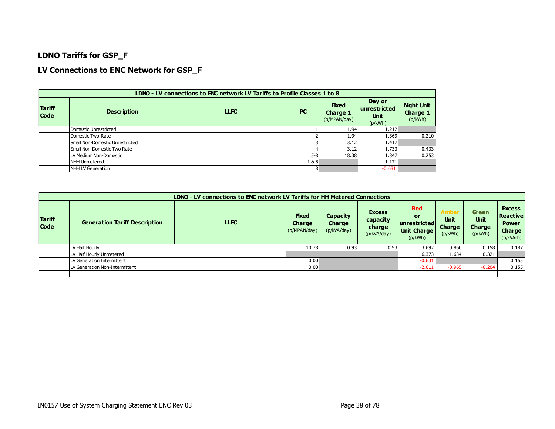### **LDNO Tariffs for GSP\_F**

### **LV Connections to ENC Network for GSP\_F**

|                              |                                 | LDNO - LV connections to ENC network LV Tariffs to Profile Classes 1 to 8 |           |                                                 |                                                  |                                          |
|------------------------------|---------------------------------|---------------------------------------------------------------------------|-----------|-------------------------------------------------|--------------------------------------------------|------------------------------------------|
| <b>Tariff</b><br><b>Code</b> | <b>Description</b>              | <b>LLFC</b>                                                               | <b>PC</b> | <b>Fixed</b><br><b>Charge 1</b><br>(p/MPAN/day) | Day or<br>unrestricted<br><b>Unit</b><br>(p/kWh) | <b>Night Unit</b><br>Charge 1<br>(p/kWh) |
|                              | Domestic Unrestricted           |                                                                           |           | 1.94                                            | 1.212                                            |                                          |
|                              | Domestic Two-Rate               |                                                                           |           | 1.94                                            | 1.369                                            | 0.210                                    |
|                              | Small Non-Domestic Unrestricted |                                                                           |           | 3.12                                            | 1.417                                            |                                          |
|                              | Small Non-Domestic Two Rate     |                                                                           |           | 3.12                                            | 1.733                                            | 0.433                                    |
|                              | LV Medium Non-Domestic          |                                                                           | $5 - 8$   | 18.38                                           | 1.347                                            | 0.253                                    |
|                              | NHH Unmetered                   |                                                                           | 1&8       |                                                 | 1.171                                            |                                          |
|                              | NHH LV Generation               |                                                                           | 8         |                                                 | $-0.631$                                         |                                          |

|                              |                                      | LDNO - LV connections to ENC network LV Tariffs for HH Metered Connections |                                               |                                          |                                                    |                                                              |                                                        |                                                         |                                                                                |
|------------------------------|--------------------------------------|----------------------------------------------------------------------------|-----------------------------------------------|------------------------------------------|----------------------------------------------------|--------------------------------------------------------------|--------------------------------------------------------|---------------------------------------------------------|--------------------------------------------------------------------------------|
| <b>Tariff</b><br><b>Code</b> | <b>Generation Tariff Description</b> | <b>LLFC</b>                                                                | <b>Fixed</b><br><b>Charge</b><br>(p/MPAN/day) | <b>Capacity</b><br>Charge<br>(p/kVA/day) | <b>Excess</b><br>capacity<br>charge<br>(p/kVA/day) | <b>Red</b><br>or<br>lunrestrictedl<br>Unit Charge<br>(p/kWh) | <b>Ambe</b><br><b>Unit</b><br><b>Charge</b><br>(p/kWh) | <b>Green</b><br><b>Unit</b><br><b>Charge</b><br>(p/kWh) | <b>Excess</b><br><b>Reactive</b><br><b>Power</b><br><b>Charge</b><br>(p/kVArh) |
|                              | LV Half Hourly                       |                                                                            | 10.78                                         | 0.93                                     | 0.93                                               | 3.692                                                        | 0.860                                                  | 0.158                                                   | 0.187                                                                          |
|                              | LV Half Hourly Unmetered             |                                                                            |                                               |                                          |                                                    | 6.373                                                        | 1.634                                                  | 0.321                                                   |                                                                                |
|                              | LV Generation Intermittent           |                                                                            | 0.00                                          |                                          |                                                    | $-0.631$                                                     |                                                        |                                                         | 0.155                                                                          |
|                              | LV Generation Non-Intermittent       |                                                                            | 0.00                                          |                                          |                                                    | $-2.011$                                                     | $-0.965$                                               | $-0.204$                                                | 0.155                                                                          |
|                              |                                      |                                                                            |                                               |                                          |                                                    |                                                              |                                                        |                                                         |                                                                                |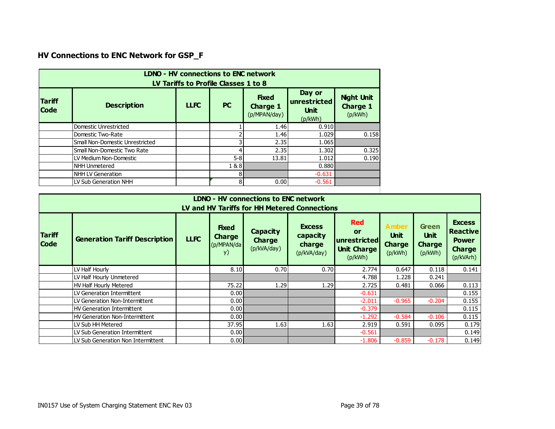# **HV Connections to ENC Network for GSP\_F**

|                              | <b>LDNO - HV connections to ENC network</b><br>LV Tariffs to Profile Classes 1 to 8 |             |           |                                                 |                                                  |                                                 |  |  |  |  |
|------------------------------|-------------------------------------------------------------------------------------|-------------|-----------|-------------------------------------------------|--------------------------------------------------|-------------------------------------------------|--|--|--|--|
| <b>Tariff</b><br><b>Code</b> | <b>Description</b>                                                                  | <b>LLFC</b> | <b>PC</b> | <b>Fixed</b><br><b>Charge 1</b><br>(p/MPAN/day) | Day or<br>unrestricted<br><b>Unit</b><br>(p/kWh) | <b>Night Unit</b><br><b>Charge 1</b><br>(p/kWh) |  |  |  |  |
|                              | Domestic Unrestricted                                                               |             |           | 1.46                                            | 0.910                                            |                                                 |  |  |  |  |
|                              | Domestic Two-Rate                                                                   |             |           | 1.46                                            | 1.029                                            | 0.158                                           |  |  |  |  |
|                              | Small Non-Domestic Unrestricted                                                     |             |           | 2.35                                            | 1.065                                            |                                                 |  |  |  |  |
|                              | Small Non-Domestic Two Rate                                                         |             |           | 2.35                                            | 1.302                                            | 0.325                                           |  |  |  |  |
|                              | LV Medium Non-Domestic                                                              |             | $5 - 8$   | 13.81                                           | 1.012                                            | 0.190                                           |  |  |  |  |
|                              | NHH Unmetered                                                                       |             | 1&8       |                                                 | 0.880                                            |                                                 |  |  |  |  |
|                              | <b>NHH LV Generation</b>                                                            |             | 8         |                                                 | $-0.631$                                         |                                                 |  |  |  |  |
|                              | LV Sub Generation NHH                                                               |             | 8         | 0.00                                            | $-0.561$                                         |                                                 |  |  |  |  |

|                              |                                      |             |                                                   | <b>LDNO - HV connections to ENC network</b>     | LV and HV Tariffs for HH Metered Connections       |                                                                          |                                                         |                                                         |                                                                                |
|------------------------------|--------------------------------------|-------------|---------------------------------------------------|-------------------------------------------------|----------------------------------------------------|--------------------------------------------------------------------------|---------------------------------------------------------|---------------------------------------------------------|--------------------------------------------------------------------------------|
| <b>Tariff</b><br><b>Code</b> | <b>Generation Tariff Description</b> | <b>LLFC</b> | <b>Fixed</b><br><b>Charge</b><br>(p/MPAN/da<br>y) | <b>Capacity</b><br><b>Charge</b><br>(p/kVA/day) | <b>Excess</b><br>capacity<br>charge<br>(p/kVA/day) | <b>Red</b><br><b>or</b><br>unrestricted<br><b>Unit Charge</b><br>(p/kWh) | <b>Amber</b><br><b>Unit</b><br><b>Charge</b><br>(p/kWh) | <b>Green</b><br><b>Unit</b><br><b>Charge</b><br>(p/kWh) | <b>Excess</b><br><b>Reactive</b><br><b>Power</b><br><b>Charge</b><br>(p/kVArh) |
|                              | LV Half Hourly                       |             | 8.10                                              | 0.70                                            | 0.70                                               | 2.774                                                                    | 0.647                                                   | 0.118                                                   | 0.141                                                                          |
|                              | LV Half Hourly Unmetered             |             |                                                   |                                                 |                                                    | 4.788                                                                    | 1.228                                                   | 0.241                                                   |                                                                                |
|                              | <b>HV Half Hourly Metered</b>        |             | 75.22                                             | 1.29                                            | 1.29                                               | 2.725                                                                    | 0.481                                                   | 0.066                                                   | 0.113                                                                          |
|                              | LV Generation Intermittent           |             | 0.00                                              |                                                 |                                                    | $-0.631$                                                                 |                                                         |                                                         | 0.155                                                                          |
|                              | LV Generation Non-Intermittent       |             | 0.00                                              |                                                 |                                                    | $-2.011$                                                                 | $-0.965$                                                | $-0.204$                                                | 0.155                                                                          |
|                              | <b>HV Generation Intermittent</b>    |             | 0.001                                             |                                                 |                                                    | $-0.379$                                                                 |                                                         |                                                         | 0.115                                                                          |
|                              | HV Generation Non-Intermittent       |             | 0.00                                              |                                                 |                                                    | $-1.292$                                                                 | $-0.584$                                                | $-0.106$                                                | 0.115                                                                          |
|                              | LV Sub HH Metered                    |             | 37.95                                             | 1.63                                            | 1.63                                               | 2.919                                                                    | 0.591                                                   | 0.095                                                   | 0.179                                                                          |
|                              | LV Sub Generation Intermittent       |             | 0.001                                             |                                                 |                                                    | $-0.561$                                                                 |                                                         |                                                         | 0.149                                                                          |
|                              | LV Sub Generation Non Intermittent   |             | 0.001                                             |                                                 |                                                    | $-1.806$                                                                 | $-0.859$                                                | $-0.178$                                                | 0.149                                                                          |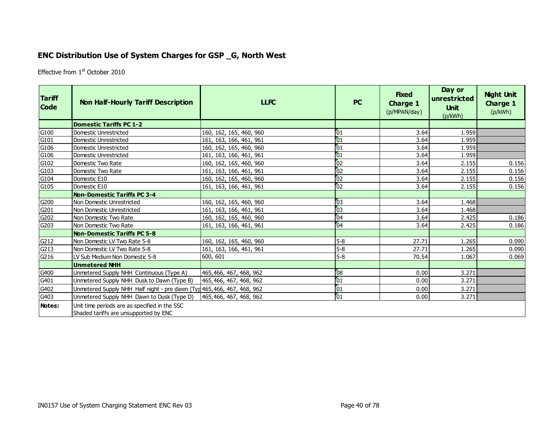## **ENC Distribution Use of System Charges for GSP \_G, North West**

Effective from 1<sup>st</sup> October 2010

| <b>Tariff</b><br><b>Code</b> | <b>Non Half-Hourly Tariff Description</b>                                              | <b>LLFC</b>             | <b>PC</b>       | <b>Fixed</b><br><b>Charge 1</b><br>(p/MPAN/day) | Day or<br>unrestricted<br><b>Unit</b><br>(p/kWh) | <b>Night Unit</b><br><b>Charge 1</b><br>(p/kWh) |
|------------------------------|----------------------------------------------------------------------------------------|-------------------------|-----------------|-------------------------------------------------|--------------------------------------------------|-------------------------------------------------|
|                              | <b>Domestic Tariffs PC 1-2</b>                                                         |                         |                 |                                                 |                                                  |                                                 |
| G100                         | Domestic Unrestricted                                                                  | 160, 162, 165, 460, 960 | 01              | 3.64                                            | 1.959                                            |                                                 |
| G101                         | Domestic Unrestricted                                                                  | 161, 163, 166, 461, 961 | 01              | 3.64                                            | 1.959                                            |                                                 |
| G106                         | Domestic Unrestricted                                                                  | 160, 162, 165, 460, 960 | 01              | 3.64                                            | 1.959                                            |                                                 |
| G106                         | Domestic Unrestricted                                                                  | 161, 163, 166, 461, 961 | 01              | 3.64                                            | 1.959                                            |                                                 |
| G102                         | Domestic Two Rate                                                                      | 160, 162, 165, 460, 960 | $\overline{02}$ | 3.64                                            | 2.155                                            | 0.156                                           |
| G103                         | Domestic Two Rate                                                                      | 161, 163, 166, 461, 961 | $\overline{02}$ | 3.64                                            | 2.155                                            | 0.156                                           |
| G104                         | Domestic E10                                                                           | 160, 162, 165, 460, 960 | $\overline{0}$  | 3.64                                            | 2.155                                            | 0.156                                           |
| G105                         | Domestic E10                                                                           | 161, 163, 166, 461, 961 | 62              | 3.64                                            | 2.155                                            | 0.156                                           |
|                              | <b>Non-Domestic Tariffs PC 3-4</b>                                                     |                         |                 |                                                 |                                                  |                                                 |
| G200                         | Non Domestic Unrestricted                                                              | 160, 162, 165, 460, 960 | 03              | 3.64                                            | 1.468                                            |                                                 |
| G201                         | Non Domestic Unrestricted                                                              | 161, 163, 166, 461, 961 | $\overline{03}$ | 3.64                                            | 1.468                                            |                                                 |
| G202                         | Non Domestic Two Rate                                                                  | 160, 162, 165, 460, 960 | 04              | 3.64                                            | 2.425                                            | 0.186                                           |
| G203                         | Non Domestic Two Rate                                                                  | 161, 163, 166, 461, 961 | 04              | 3.64                                            | 2.425                                            | 0.186                                           |
|                              | <b>Non-Domestic Tariffs PC 5-8</b>                                                     |                         |                 |                                                 |                                                  |                                                 |
| G212                         | Non Domestic LV Two Rate 5-8                                                           | 160, 162, 165, 460, 960 | 5-8             | 27.71                                           | 1.265                                            | 0.090                                           |
| G213                         | Non Domestic LV Two Rate 5-8                                                           | 161, 163, 166, 461, 961 | 5-8             | 27.71                                           | 1.265                                            | 0.090                                           |
| G216                         | LV Sub Medium Non Domestic 5-8                                                         | 600, 601                | $5-8$           | 70.54                                           | 1.067                                            | 0.069                                           |
|                              | <b>Unmetered NHH</b>                                                                   |                         |                 |                                                 |                                                  |                                                 |
| G400                         | Unmetered Supply NHH Continuous (Type A)                                               | 465,466, 467, 468, 962  | 08              | 0.00                                            | 3.271                                            |                                                 |
| G401                         | Unmetered Supply NHH Dusk to Dawn (Type B)                                             | 465,466, 467, 468, 962  | $\overline{01}$ | 0.00                                            | 3.271                                            |                                                 |
| G402                         | Unmetered Supply NHH Half night - pre dawn (Typ 465, 466, 467, 468, 962                |                         | $\sqrt{01}$     | 0.00                                            | 3.271                                            |                                                 |
| G403                         | Unmetered Supply NHH Dawn to Dusk (Type D)                                             | 465,466, 467, 468, 962  | $\overline{01}$ | 0.00                                            | 3.271                                            |                                                 |
| Notes:                       | Unit time periods are as specified in the SSC<br>Shaded tariffs are unsupported by ENC |                         |                 |                                                 |                                                  |                                                 |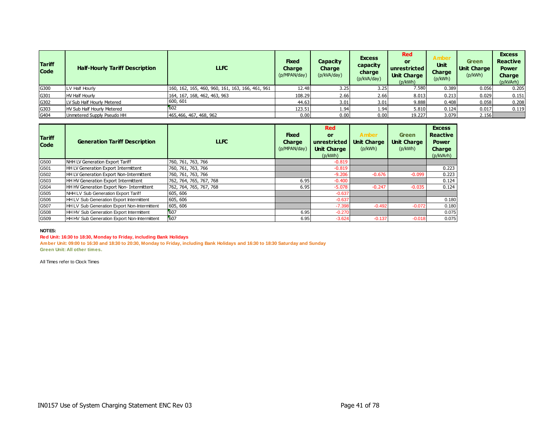| <b>Tariff</b><br><b>Code</b> | <b>Half-Hourly Tariff Description</b> | <b>LLFC</b>                                      | <b>Fixed</b><br><b>Charge</b><br>(p/MPAN/day) | Capacity<br><b>Charge</b><br>(p/kVA/day) | <b>Excess</b><br>capacity<br>charge<br>(p/kVA/day) | Red<br>or<br>unrestricted  <br><b>Unit Charge</b><br>(p/kWh) | <b>Amber</b><br><b>Unit</b><br>Charge<br>(p/kWh) | <b>Green</b><br><b>Unit Charge</b><br>(p/kWh) | <b>Excess</b><br><b>Reactive</b><br><b>Power</b><br>Charge<br>(p/kVArh) |
|------------------------------|---------------------------------------|--------------------------------------------------|-----------------------------------------------|------------------------------------------|----------------------------------------------------|--------------------------------------------------------------|--------------------------------------------------|-----------------------------------------------|-------------------------------------------------------------------------|
| G300                         | LV Half Hourly                        | 160, 162, 165, 460, 960, 161, 163, 166, 461, 961 | 12.48                                         | 3.25                                     | 3.25                                               | 7.580                                                        | 0.389                                            | 0.056                                         | 0.205                                                                   |
| G301                         | <b>HV Half Hourly</b>                 | 164, 167, 168, 462, 463, 963                     | 108.29                                        | 2.66                                     | 2.66                                               | 8.013                                                        | 0.213                                            | 0.029                                         | 0.151                                                                   |
| G302                         | LV Sub Half Hourly Metered            | 600, 601                                         | 44.63                                         | 3.01                                     | 3.01                                               | 9.888                                                        | 0.408                                            | 0.058                                         | 0.208                                                                   |
| G303                         | HV Sub Half Hourly Metered            | 602                                              | 123.51                                        | 1.94                                     | 1.94                                               | 5.810                                                        | 0.124                                            | 0.017                                         | 0.119                                                                   |
| G404                         | Unmetered Supply Pseudo HH            | 465, 466, 467, 468, 962                          | 0.00                                          | 0.00                                     | 0.00                                               | 19.227                                                       | 3.079                                            | 2.156                                         |                                                                         |

| <b>Tariff</b><br><b>Code</b> | <b>Generation Tariff Description</b>                | <b>LLFC</b>             | Fixed<br><b>Charge</b><br>(p/MPAN/day) | <b>Red</b><br>or<br>unrestricted<br><b>Unit Charge</b><br>(p/kWh) | <b>Amber</b><br><b>Unit Charge</b><br>(p/kWh) | <b>Green</b><br><b>Unit Charge</b><br>(p/kWh) | <b>Excess</b><br><b>Reactive</b><br><b>Power</b><br>Charge<br>(p/kVArh) |
|------------------------------|-----------------------------------------------------|-------------------------|----------------------------------------|-------------------------------------------------------------------|-----------------------------------------------|-----------------------------------------------|-------------------------------------------------------------------------|
| G500                         | NHH LV Generation Export Tariff                     | 760, 761, 763, 766      |                                        | $-0.819$                                                          |                                               |                                               |                                                                         |
| G501                         | <b>HH LV Generation Export Intermittent</b>         | 760, 761, 763, 766      |                                        | $-0.819$                                                          |                                               |                                               | 0.223                                                                   |
| G502                         | <b>HH LV Generation Export Non-Intermittent</b>     | 760, 761, 763, 766      |                                        | $-9.206$                                                          | $-0.676$                                      | $-0.099$                                      | 0.223                                                                   |
| G503                         | HH HV Generation Export Intermittent                | 762, 764, 765, 767, 768 | 6.95                                   | $-0.400$                                                          |                                               |                                               | 0.124                                                                   |
| G504                         | <b>HH HV Generation Export Non-Intermittent</b>     | 762, 764, 765, 767, 768 | 6.95                                   | $-5.078$                                                          | $-0.247$                                      | $-0.035$                                      | 0.124                                                                   |
| G505                         | NHH LV Sub Generation Export Tariff                 | 605, 606                |                                        | $-0.637$                                                          |                                               |                                               |                                                                         |
| G506                         | <b>HH LV Sub Generation Export Intermittent</b>     | 605, 606                |                                        | $-0.637$                                                          |                                               |                                               | 0.180                                                                   |
| G507                         | <b>HH LV Sub Generation Export Non-Intermittent</b> | 605, 606                |                                        | $-7.398$                                                          | $-0.492$                                      | $-0.072$                                      | 0.180                                                                   |
| G508                         | <b>HH HV Sub Generation Export Intermittent</b>     | 607                     | 6.95                                   | $-0.270$                                                          |                                               |                                               | 0.075                                                                   |
| G509                         | HH HV Sub Generation Export Non-Intermittent        | 607                     | 6.95                                   | $-3.624$                                                          | $-0.137$                                      | $-0.018$                                      | 0.075                                                                   |

#### **Red Unit: 16:30 to 18:30, Monday to Friday, including Bank Holidays**

**Amber Unit: 09:00 to 16:30 and 18:30 to 20:30, Monday to Friday, including Bank Holidays and 16:30 to 18:30 Saturday and Sunday Green Unit: All other times.**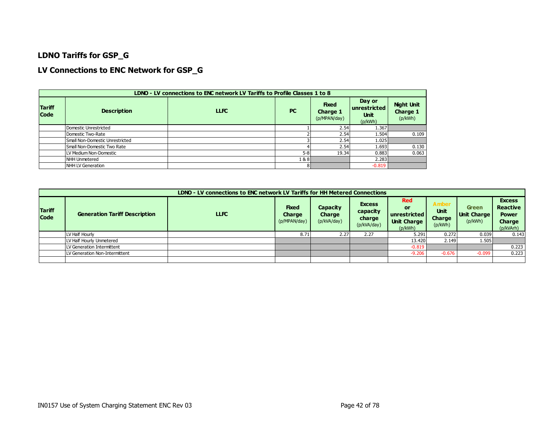### **LDNO Tariffs for GSP\_G**

### **LV Connections to ENC Network for GSP\_G**

|                              |                                 | LDNO - LV connections to ENC network LV Tariffs to Profile Classes 1 to 8 |           |                                          |                                                  |                                          |
|------------------------------|---------------------------------|---------------------------------------------------------------------------|-----------|------------------------------------------|--------------------------------------------------|------------------------------------------|
| <b>Tariff</b><br><b>Code</b> | <b>Description</b>              | <b>LLFC</b>                                                               | <b>PC</b> | <b>Fixed</b><br>Charge 1<br>(p/MPAN/day) | Day or<br>unrestricted<br><b>Unit</b><br>(p/kWh) | <b>Night Unit</b><br>Charge 1<br>(p/kWh) |
|                              | Domestic Unrestricted           |                                                                           |           | 2.54                                     | 1.367                                            |                                          |
|                              | Domestic Two-Rate               |                                                                           |           | 2.54                                     | 1.504                                            | 0.109                                    |
|                              | Small Non-Domestic Unrestricted |                                                                           |           | 2.54                                     | 1.025                                            |                                          |
|                              | Small Non-Domestic Two Rate     |                                                                           |           | 2.54                                     | 1.693                                            | 0.130                                    |
|                              | LV Medium Non-Domestic          |                                                                           | $5 - 8$   | 19.34                                    | 0.883                                            | 0.063                                    |
|                              | NHH Unmetered                   |                                                                           | 1&8       |                                          | 2.283                                            |                                          |
|                              | NHH LV Generation               |                                                                           | 8         |                                          | $-0.819$                                         |                                          |

|                              |                                      | LDNO - LV connections to ENC network LV Tariffs for HH Metered Connections |                                               |                                          |                                                    |                                                                   |                                                         |                                        |                                                                         |
|------------------------------|--------------------------------------|----------------------------------------------------------------------------|-----------------------------------------------|------------------------------------------|----------------------------------------------------|-------------------------------------------------------------------|---------------------------------------------------------|----------------------------------------|-------------------------------------------------------------------------|
| <b>Tariff</b><br><b>Code</b> | <b>Generation Tariff Description</b> | <b>LLFC</b>                                                                | <b>Fixed</b><br><b>Charge</b><br>(p/MPAN/day) | Capacity<br><b>Charge</b><br>(p/kVA/day) | <b>Excess</b><br>capacity<br>charge<br>(p/kVA/day) | <b>Red</b><br>or<br>unrestricted<br><b>Unit Charge</b><br>(p/kWh) | <b>Amber</b><br><b>Unit</b><br><b>Charge</b><br>(p/kWh) | <b>Green</b><br>Unit Charge<br>(p/kWh) | <b>Excess</b><br><b>Reactive</b><br><b>Power</b><br>Charge<br>(p/kVArh) |
|                              | LV Half Hourly                       |                                                                            | 8.71                                          | 2.27                                     | 2.27                                               | 5.291                                                             | 0.272                                                   | 0.039                                  | 0.143                                                                   |
|                              | LV Half Hourly Unmetered             |                                                                            |                                               |                                          |                                                    | 13.420                                                            | 2.149                                                   | 1.505                                  |                                                                         |
|                              | LV Generation Intermittent           |                                                                            |                                               |                                          |                                                    | $-0.819$                                                          |                                                         |                                        | 0.223                                                                   |
|                              | LV Generation Non-Intermittent       |                                                                            |                                               |                                          |                                                    | $-9.206$                                                          | $-0.676$                                                | $-0.099$                               | 0.223                                                                   |
|                              |                                      |                                                                            |                                               |                                          |                                                    |                                                                   |                                                         |                                        |                                                                         |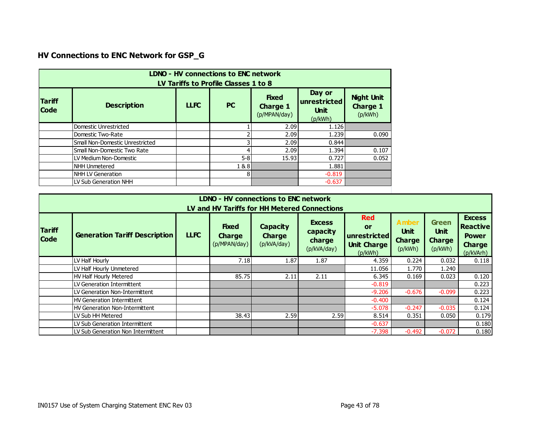# **HV Connections to ENC Network for GSP\_G**

| <b>LDNO - HV connections to ENC network</b><br>LV Tariffs to Profile Classes 1 to 8 |                                 |             |           |                                                 |                                                  |                                          |  |  |  |
|-------------------------------------------------------------------------------------|---------------------------------|-------------|-----------|-------------------------------------------------|--------------------------------------------------|------------------------------------------|--|--|--|
| <b>Tariff</b><br><b>Code</b>                                                        | <b>Description</b>              | <b>LLFC</b> | <b>PC</b> | <b>Fixed</b><br><b>Charge 1</b><br>(p/MPAN/day) | Day or<br>unrestricted<br><b>Unit</b><br>(p/kWh) | <b>Night Unit</b><br>Charge 1<br>(p/kWh) |  |  |  |
|                                                                                     | Domestic Unrestricted           |             |           | 2.09                                            | 1.126                                            |                                          |  |  |  |
|                                                                                     | Domestic Two-Rate               |             |           | 2.09                                            | 1.239                                            | 0.090                                    |  |  |  |
|                                                                                     | Small Non-Domestic Unrestricted |             |           | 2.09                                            | 0.844                                            |                                          |  |  |  |
|                                                                                     | Small Non-Domestic Two Rate     |             |           | 2.09                                            | 1.394                                            | 0.107                                    |  |  |  |
|                                                                                     | LV Medium Non-Domestic          |             | $5-8$     | 15.93                                           | 0.727                                            | 0.052                                    |  |  |  |
|                                                                                     | <b>NHH Unmetered</b>            |             | 1&8       |                                                 | 1.881                                            |                                          |  |  |  |
|                                                                                     | <b>NHH LV Generation</b>        |             | 81        |                                                 | $-0.819$                                         |                                          |  |  |  |
|                                                                                     | LV Sub Generation NHH           |             |           |                                                 | $-0.637$                                         |                                          |  |  |  |

|                              | LDNO - HV connections to ENC network<br>LV and HV Tariffs for HH Metered Connections |             |                                               |                                                 |                                                    |                                                                          |                                                         |                                                         |                                                                                |  |  |  |
|------------------------------|--------------------------------------------------------------------------------------|-------------|-----------------------------------------------|-------------------------------------------------|----------------------------------------------------|--------------------------------------------------------------------------|---------------------------------------------------------|---------------------------------------------------------|--------------------------------------------------------------------------------|--|--|--|
| <b>Tariff</b><br><b>Code</b> | <b>Generation Tariff Description</b>                                                 | <b>LLFC</b> | <b>Fixed</b><br><b>Charge</b><br>(p/MPAN/day) | <b>Capacity</b><br><b>Charge</b><br>(p/kVA/day) | <b>Excess</b><br>capacity<br>charge<br>(p/kVA/day) | <b>Red</b><br><b>or</b><br>unrestricted<br><b>Unit Charge</b><br>(p/kWh) | <b>Amber</b><br><b>Unit</b><br><b>Charge</b><br>(p/kWh) | <b>Green</b><br><b>Unit</b><br><b>Charge</b><br>(p/kWh) | <b>Excess</b><br><b>Reactive</b><br><b>Power</b><br><b>Charge</b><br>(p/kVArh) |  |  |  |
|                              | LV Half Hourly                                                                       |             | 7.18                                          | 1.87                                            | 1.87                                               | 4.359                                                                    | 0.224                                                   | 0.032                                                   | 0.118                                                                          |  |  |  |
|                              | LV Half Hourly Unmetered                                                             |             |                                               |                                                 |                                                    | 11.056                                                                   | 1.770                                                   | 1.240                                                   |                                                                                |  |  |  |
|                              | HV Half Hourly Metered                                                               |             | 85.75                                         | 2.11                                            | 2.11                                               | 6.345                                                                    | 0.169                                                   | 0.023                                                   | 0.120                                                                          |  |  |  |
|                              | LV Generation Intermittent                                                           |             |                                               |                                                 |                                                    | $-0.819$                                                                 |                                                         |                                                         | 0.223                                                                          |  |  |  |
|                              | LV Generation Non-Intermittent                                                       |             |                                               |                                                 |                                                    | $-9.206$                                                                 | $-0.676$                                                | $-0.099$                                                | 0.223                                                                          |  |  |  |
|                              | <b>HV Generation Intermittent</b>                                                    |             |                                               |                                                 |                                                    | $-0.400$                                                                 |                                                         |                                                         | 0.124                                                                          |  |  |  |
|                              | <b>HV Generation Non-Intermittent</b>                                                |             |                                               |                                                 |                                                    | $-5.078$                                                                 | $-0.247$                                                | $-0.035$                                                | 0.124                                                                          |  |  |  |
|                              | LV Sub HH Metered                                                                    |             | 38.43                                         | 2.59                                            | 2.59                                               | 8.514                                                                    | 0.351                                                   | 0.050                                                   | 0.179                                                                          |  |  |  |
|                              | LV Sub Generation Intermittent                                                       |             |                                               |                                                 |                                                    | $-0.637$                                                                 |                                                         |                                                         | 0.180                                                                          |  |  |  |
|                              | LV Sub Generation Non Intermittent                                                   |             |                                               |                                                 |                                                    | $-7.398$                                                                 | $-0.492$                                                | $-0.072$                                                | 0.180                                                                          |  |  |  |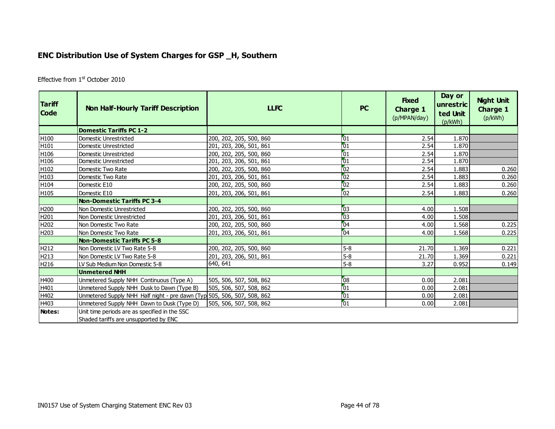### **ENC Distribution Use of System Charges for GSP \_H, Southern**

Effective from 1<sup>st</sup> October 2010

| <b>Tariff</b><br><b>Code</b> | <b>Non Half-Hourly Tariff Description</b>                               | <b>LLFC</b>             | <b>PC</b>       | <b>Fixed</b><br><b>Charge 1</b><br>(p/MPAN/day) | Day or<br>unrestric<br>ted Unit<br>(p/kWh) | <b>Night Unit</b><br><b>Charge 1</b><br>(p/kWh) |
|------------------------------|-------------------------------------------------------------------------|-------------------------|-----------------|-------------------------------------------------|--------------------------------------------|-------------------------------------------------|
|                              | <b>Domestic Tariffs PC 1-2</b>                                          |                         |                 |                                                 |                                            |                                                 |
| H100                         | Domestic Unrestricted                                                   | 200, 202, 205, 500, 860 | 101             | 2.54                                            | 1.870                                      |                                                 |
| H101                         | Domestic Unrestricted                                                   | 201, 203, 206, 501, 861 | 01              | 2.54                                            | 1.870                                      |                                                 |
| H106                         | <b>Domestic Unrestricted</b>                                            | 200, 202, 205, 500, 860 | $\sqrt{01}$     | 2.54                                            | 1.870                                      |                                                 |
| H106                         | Domestic Unrestricted                                                   | 201, 203, 206, 501, 861 | 01              | 2.54                                            | 1.870                                      |                                                 |
| H102                         | Domestic Two Rate                                                       | 200, 202, 205, 500, 860 | $\overline{02}$ | 2.54                                            | 1.883                                      | 0.260                                           |
| H103                         | Domestic Two Rate                                                       | 201, 203, 206, 501, 861 | $\overline{02}$ | 2.54                                            | 1.883                                      | 0.260                                           |
| H104                         | Domestic E10                                                            | 200, 202, 205, 500, 860 | $\overline{0}2$ | 2.54                                            | 1.883                                      | 0.260                                           |
| H105                         | Domestic E10                                                            | 201, 203, 206, 501, 861 | $\sqrt{02}$     | 2.54                                            | 1.883                                      | 0.260                                           |
|                              | <b>Non-Domestic Tariffs PC 3-4</b>                                      |                         |                 |                                                 |                                            |                                                 |
| H200                         | Non Domestic Unrestricted                                               | 200, 202, 205, 500, 860 | $\sqrt{03}$     | 4.00                                            | 1.508                                      |                                                 |
| H201                         | Non Domestic Unrestricted                                               | 201, 203, 206, 501, 861 | 03              | 4.00                                            | 1.508                                      |                                                 |
| H202                         | Non Domestic Two Rate                                                   | 200, 202, 205, 500, 860 | 104             | 4.00                                            | 1.568                                      | 0.225                                           |
| H203                         | Non Domestic Two Rate                                                   | 201, 203, 206, 501, 861 | $\sqrt{04}$     | 4.00                                            | 1.568                                      | 0.225                                           |
|                              | <b>Non-Domestic Tariffs PC 5-8</b>                                      |                         |                 |                                                 |                                            |                                                 |
| H212                         | Non Domestic LV Two Rate 5-8                                            | 200, 202, 205, 500, 860 | $5-8$           | 21.70                                           | 1.369                                      | 0.221                                           |
| H213                         | Non Domestic LV Two Rate 5-8                                            | 201, 203, 206, 501, 861 | $5 - 8$         | 21.70                                           | 1.369                                      | 0.221                                           |
| H216                         | LV Sub Medium Non Domestic 5-8                                          | 640, 641                | $5-8$           | 3.27                                            | 0.952                                      | 0.149                                           |
|                              | <b>Unmetered NHH</b>                                                    |                         |                 |                                                 |                                            |                                                 |
| H400                         | Unmetered Supply NHH Continuous (Type A)                                | 505, 506, 507, 508, 862 | 08              | 0.00                                            | 2.081                                      |                                                 |
| H401                         | Unmetered Supply NHH Dusk to Dawn (Type B)                              | 505, 506, 507, 508, 862 | $\sqrt{01}$     | 0.00                                            | 2.081                                      |                                                 |
| H402                         | Unmetered Supply NHH Half night - pre dawn (Typ 505, 506, 507, 508, 862 |                         | $\boxed{01}$    | 0.00                                            | 2.081                                      |                                                 |
| H403                         | Unmetered Supply NHH Dawn to Dusk (Type D)                              | 505, 506, 507, 508, 862 | $\sqrt{01}$     | 0.00                                            | 2.081                                      |                                                 |
| Notes:                       | Unit time periods are as specified in the SSC                           |                         |                 |                                                 |                                            |                                                 |
|                              | Shaded tariffs are unsupported by ENC                                   |                         |                 |                                                 |                                            |                                                 |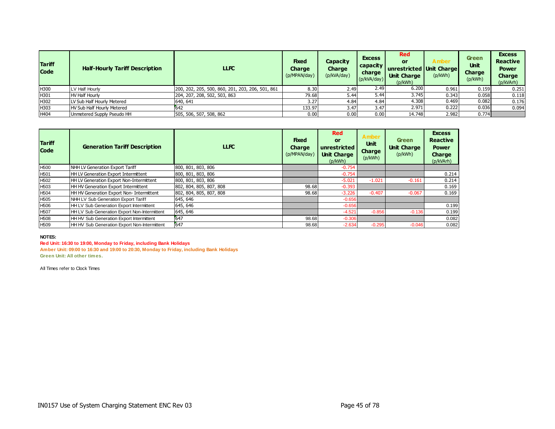| <b>Tariff</b><br><b>Code</b> | <b>Half-Hourly Tariff Description</b> | <b>LLFC</b>                                      | <b>Fixed</b><br><b>Charge</b><br>(p/MPAN/day) | Capacity<br><b>Charge</b><br>(p/kVA/day) | <b>Excess</b><br>  capacity  <br>charge<br>(p/kVA/day) | <b>Red</b><br>or<br>unrestricted Unit Charge<br><b>Unit Charge</b><br>(p/kWh) | Amber<br>(p/kWh) | <b>Green</b><br>Unit<br><b>Charge</b><br>(p/kWh) | <b>Excess</b><br><b>Reactive</b><br><b>Power</b><br><b>Charge</b><br>(p/kVArh) |
|------------------------------|---------------------------------------|--------------------------------------------------|-----------------------------------------------|------------------------------------------|--------------------------------------------------------|-------------------------------------------------------------------------------|------------------|--------------------------------------------------|--------------------------------------------------------------------------------|
| H300                         | LV Half Hourly                        | 200, 202, 205, 500, 860, 201, 203, 206, 501, 861 | 8.30                                          | 2.49                                     | 2.49                                                   | 6.200                                                                         | 0.961            | 0.159                                            | 0.251                                                                          |
| H301                         | <b>HV Half Hourly</b>                 | 204, 207, 208, 502, 503, 863                     | 79.68                                         | 5.44                                     | 5.44                                                   | 3.745                                                                         | 0.343            | 0.058                                            | 0.118                                                                          |
| H302                         | LV Sub Half Hourly Metered            | 640, 641                                         | 3.27                                          | 4.84                                     | 4.84                                                   | 4.308                                                                         | 0.469            | 0.082                                            | 0.176                                                                          |
| H303                         | HV Sub Half Hourly Metered            |                                                  | 133.97                                        | 3.47                                     | 3.47                                                   | 2.971                                                                         | 0.222            | 0.036                                            | 0.094                                                                          |
| H404                         | Unmetered Supply Pseudo HH            | 505, 506, 507, 508, 862                          | 0.00                                          | 0.00                                     | 0.00                                                   | 14.748                                                                        | 2.982            | 0.774                                            |                                                                                |

| <b>Tariff</b><br><b>Code</b> | <b>Generation Tariff Description</b>         | <b>LLFC</b>             | <b>Fixed</b><br><b>Charge</b><br>(p/MPAN/day) | <b>Red</b><br><b>or</b><br>unrestricted<br><b>Unit Charge</b><br>(p/kWh) | <b>Amber</b><br><b>Unit</b><br><b>Charge</b><br>(p/kWh) | <b>Green</b><br><b>Unit Charge</b><br>(p/kWh) | <b>Excess</b><br><b>Reactive</b><br><b>Power</b><br>Charge<br>(p/kVArh) |
|------------------------------|----------------------------------------------|-------------------------|-----------------------------------------------|--------------------------------------------------------------------------|---------------------------------------------------------|-----------------------------------------------|-------------------------------------------------------------------------|
| H <sub>500</sub>             | NHH LV Generation Export Tariff              | 800, 801, 803, 806      |                                               | $-0.754$                                                                 |                                                         |                                               |                                                                         |
| H <sub>501</sub>             | HH LV Generation Export Intermittent         | 800, 801, 803, 806      |                                               | $-0.754$                                                                 |                                                         |                                               | 0.214                                                                   |
| H <sub>502</sub>             | HH LV Generation Export Non-Intermittent     | 800, 801, 803, 806      |                                               | $-5.021$                                                                 | $-1.021$                                                | $-0.161$                                      | 0.214                                                                   |
| H <sub>503</sub>             | HH HV Generation Export Intermittent         | 802, 804, 805, 807, 808 | 98.68                                         | $-0.393$                                                                 |                                                         |                                               | 0.169                                                                   |
| H <sub>504</sub>             | HH HV Generation Export Non- Intermittent    | 802, 804, 805, 807, 808 | 98.68                                         | $-3.226$                                                                 | $-0.407$                                                | $-0.067$                                      | 0.169                                                                   |
| H <sub>505</sub>             | NHH LV Sub Generation Export Tariff          | 645, 646                |                                               | $-0.656$                                                                 |                                                         |                                               |                                                                         |
| H <sub>506</sub>             | HH LV Sub Generation Export Intermittent     | 645, 646                |                                               | $-0.656$                                                                 |                                                         |                                               | 0.199                                                                   |
| H <sub>507</sub>             | HH LV Sub Generation Export Non-Intermittent | 645, 646                |                                               | $-4.521$                                                                 | $-0.856$                                                | $-0.136$                                      | 0.199                                                                   |
| H <sub>508</sub>             | HH HV Sub Generation Export Intermittent     | 647                     | 98.68                                         | $-0.306$                                                                 |                                                         |                                               | 0.082                                                                   |
| H <sub>509</sub>             | HH HV Sub Generation Export Non-Intermittent | 647                     | 98.68                                         | $-2.634$                                                                 | $-0.295$                                                | $-0.046$                                      | 0.082                                                                   |

#### **Red Unit: 16:30 to 19:00, Monday to Friday, including Bank Holidays**

**Amber Unit: 09:00 to 16:30 and 19:00 to 20:30, Monday to Friday, including Bank Holidays Green Unit: All other times.**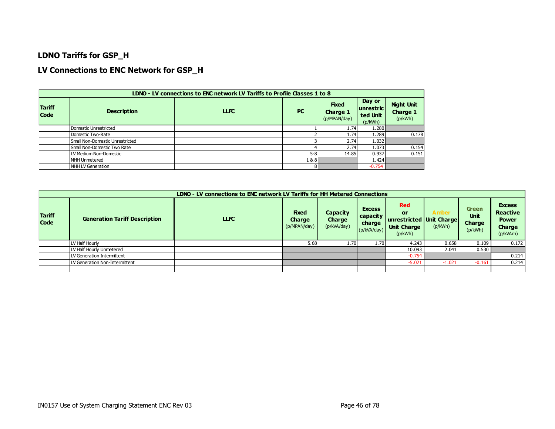### **LDNO Tariffs for GSP\_H**

### **LV Connections to ENC Network for GSP\_H**

|                              |                                 | LDNO - LV connections to ENC network LV Tariffs to Profile Classes 1 to 8 |           |                                          |                                                |                                                 |
|------------------------------|---------------------------------|---------------------------------------------------------------------------|-----------|------------------------------------------|------------------------------------------------|-------------------------------------------------|
| <b>Tariff</b><br><b>Code</b> | <b>Description</b>              | <b>LLFC</b>                                                               | <b>PC</b> | <b>Fixed</b><br>Charge 1<br>(p/MPAN/day) | Day or<br>  unrestric  <br>ted Unit<br>(p/kWh) | <b>Night Unit</b><br><b>Charge 1</b><br>(p/kWh) |
|                              | Domestic Unrestricted           |                                                                           |           | 1.74                                     | 1.280                                          |                                                 |
|                              | Domestic Two-Rate               |                                                                           |           | 1.74                                     | 1.289                                          | 0.178                                           |
|                              | Small Non-Domestic Unrestricted |                                                                           |           | 2.74                                     | 1.032                                          |                                                 |
|                              | Small Non-Domestic Two Rate     |                                                                           |           | 2.74                                     | 1.073                                          | 0.154                                           |
|                              | LV Medium Non-Domestic          |                                                                           | $5 - 8$   | 14.85                                    | 0.937                                          | 0.151                                           |
|                              | NHH Unmetered                   |                                                                           | 1&8       |                                          | 1.424                                          |                                                 |
|                              | NHH LV Generation               |                                                                           |           |                                          | $-0.754$                                       |                                                 |

|                              |                                      | LDNO - LV connections to ENC network LV Tariffs for HH Metered Connections |                                               |                                   |                                                      |                                                                                 |                         |                                                  |                                                                         |
|------------------------------|--------------------------------------|----------------------------------------------------------------------------|-----------------------------------------------|-----------------------------------|------------------------------------------------------|---------------------------------------------------------------------------------|-------------------------|--------------------------------------------------|-------------------------------------------------------------------------|
| <b>Tariff</b><br><b>Code</b> | <b>Generation Tariff Description</b> | <b>LLFC</b>                                                                | <b>Fixed</b><br><b>Charge</b><br>(p/MPAN/day) | Capacity<br>Charge<br>(p/kVA/day) | <b>Excess</b><br>capacity  <br>charge<br>(p/kVA/day) | <b>Red</b><br>or<br>unrestricted   Unit Charge<br><b>Unit Charge</b><br>(p/kWh) | <b>Amber</b><br>(p/kWh) | <b>Green</b><br><b>Unit</b><br>Charge<br>(p/kWh) | <b>Excess</b><br><b>Reactive</b><br><b>Power</b><br>Charge<br>(p/kVArh) |
|                              | LV Half Hourly                       |                                                                            | 5.68                                          | 1.70                              | 1.70                                                 | 4.243                                                                           | 0.658                   | 0.109                                            | 0.172                                                                   |
|                              | LV Half Hourly Unmetered             |                                                                            |                                               |                                   |                                                      | 10.093                                                                          | 2.041                   | 0.530                                            |                                                                         |
|                              | V Generation Intermittent.           |                                                                            |                                               |                                   |                                                      | $-0.754$                                                                        |                         |                                                  | 0.214                                                                   |
|                              | V Generation Non-Intermittent        |                                                                            |                                               |                                   |                                                      | $-5.021$                                                                        | $-1.021$                | $-0.161$                                         | 0.214                                                                   |
|                              |                                      |                                                                            |                                               |                                   |                                                      |                                                                                 |                         |                                                  |                                                                         |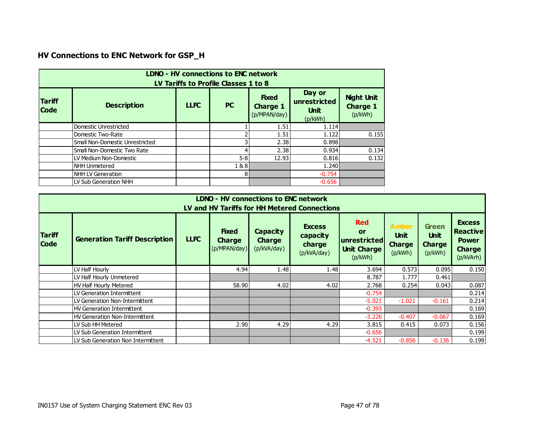# **HV Connections to ENC Network for GSP\_H**

| <b>Tariff</b><br><b>Code</b> | <b>Description</b>              | <b>LLFC</b> | <b>PC</b> | <b>Fixed</b><br><b>Charge 1</b> | Day or<br>unrestricted<br><b>Unit</b> | <b>Night Unit</b><br><b>Charge 1</b> |
|------------------------------|---------------------------------|-------------|-----------|---------------------------------|---------------------------------------|--------------------------------------|
|                              |                                 |             |           | (p/MPAN/day)                    | (p/kWh)                               | (p/kWh)                              |
|                              | Domestic Unrestricted           |             |           | 1.51                            | 1.114                                 |                                      |
|                              | Domestic Two-Rate               |             |           | 1.51                            | 1.122                                 | 0.155                                |
|                              | Small Non-Domestic Unrestricted |             |           | 2.38                            | 0.898                                 |                                      |
|                              | Small Non-Domestic Two Rate     |             |           | 2.38                            | 0.934                                 | 0.134                                |
|                              | LV Medium Non-Domestic          |             | $5 - 8$   | 12.93                           | 0.816                                 | 0.132                                |
|                              | <b>NHH Unmetered</b>            |             | 1&8       |                                 | 1.240                                 |                                      |
|                              | NHH LV Generation               |             | 81        |                                 | $-0.754$                              |                                      |
|                              | LV Sub Generation NHH           |             |           |                                 | $-0.656$                              |                                      |

|                              | LDNO - HV connections to ENC network<br>LV and HV Tariffs for HH Metered Connections |             |                                               |                                                 |                                                    |                                                                          |                                                         |                                                  |                                                                                |  |  |  |
|------------------------------|--------------------------------------------------------------------------------------|-------------|-----------------------------------------------|-------------------------------------------------|----------------------------------------------------|--------------------------------------------------------------------------|---------------------------------------------------------|--------------------------------------------------|--------------------------------------------------------------------------------|--|--|--|
| <b>Tariff</b><br><b>Code</b> | <b>Generation Tariff Description</b>                                                 | <b>LLFC</b> | <b>Fixed</b><br><b>Charge</b><br>(p/MPAN/day) | <b>Capacity</b><br><b>Charge</b><br>(p/kVA/day) | <b>Excess</b><br>capacity<br>charge<br>(p/kVA/day) | <b>Red</b><br><b>or</b><br>unrestricted<br><b>Unit Charge</b><br>(p/kWh) | <b>Amber</b><br><b>Unit</b><br><b>Charge</b><br>(p/kWh) | Green<br><b>Unit</b><br><b>Charge</b><br>(p/kWh) | <b>Excess</b><br><b>Reactive</b><br><b>Power</b><br><b>Charge</b><br>(p/kVArh) |  |  |  |
|                              | LV Half Hourly                                                                       |             | 4.94                                          | 1.48                                            | 1.48                                               | 3.694                                                                    | 0.573                                                   | 0.095                                            | 0.150                                                                          |  |  |  |
|                              | LV Half Hourly Unmetered                                                             |             |                                               |                                                 |                                                    | 8.787                                                                    | 1.777                                                   | 0.461                                            |                                                                                |  |  |  |
|                              | HV Half Hourly Metered                                                               |             | 58.90                                         | 4.02                                            | 4.02                                               | 2.768                                                                    | 0.254                                                   | 0.043                                            | 0.087                                                                          |  |  |  |
|                              | LV Generation Intermittent                                                           |             |                                               |                                                 |                                                    | $-0.754$                                                                 |                                                         |                                                  | 0.214                                                                          |  |  |  |
|                              | LV Generation Non-Intermittent                                                       |             |                                               |                                                 |                                                    | $-5.021$                                                                 | $-1.021$                                                | $-0.161$                                         | 0.214                                                                          |  |  |  |
|                              | <b>HV Generation Intermittent</b>                                                    |             |                                               |                                                 |                                                    | $-0.393$                                                                 |                                                         |                                                  | 0.169                                                                          |  |  |  |
|                              | <b>HV Generation Non-Intermittent</b>                                                |             |                                               |                                                 |                                                    | $-3.226$                                                                 | $-0.407$                                                | $-0.067$                                         | 0.169                                                                          |  |  |  |
|                              | LV Sub HH Metered                                                                    |             | 2.90                                          | 4.29                                            | 4.29                                               | 3.815                                                                    | 0.415                                                   | 0.073                                            | 0.156                                                                          |  |  |  |
|                              | LV Sub Generation Intermittent                                                       |             |                                               |                                                 |                                                    | $-0.656$                                                                 |                                                         |                                                  | 0.199                                                                          |  |  |  |
|                              | LV Sub Generation Non Intermittent                                                   |             |                                               |                                                 |                                                    | $-4.521$                                                                 | $-0.856$                                                | $-0.136$                                         | 0.199                                                                          |  |  |  |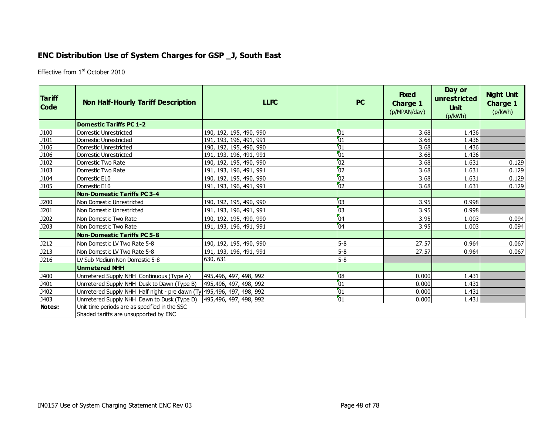## **ENC Distribution Use of System Charges for GSP \_J, South East**

Effective from 1st October 2010

| <b>Tariff</b><br><b>Code</b> | <b>Non Half-Hourly Tariff Description</b>                                              | <b>LLFC</b>             | <b>PC</b>       | <b>Fixed</b><br><b>Charge 1</b><br>(p/MPAN/day) | Day or<br>unrestricted<br><b>Unit</b><br>(p/kWh) | <b>Night Unit</b><br><b>Charge 1</b><br>(p/kWh) |
|------------------------------|----------------------------------------------------------------------------------------|-------------------------|-----------------|-------------------------------------------------|--------------------------------------------------|-------------------------------------------------|
|                              | <b>Domestic Tariffs PC 1-2</b>                                                         |                         |                 |                                                 |                                                  |                                                 |
| J100                         | Domestic Unrestricted                                                                  | 190, 192, 195, 490, 990 | 01              | 3.68                                            | 1.436                                            |                                                 |
| J101                         | Domestic Unrestricted                                                                  | 191, 193, 196, 491, 991 | 01              | 3.68                                            | 1.436                                            |                                                 |
| J <sub>106</sub>             | Domestic Unrestricted                                                                  | 190, 192, 195, 490, 990 | 01              | 3.68                                            | 1.436                                            |                                                 |
| J106                         | Domestic Unrestricted                                                                  | 191, 193, 196, 491, 991 | 01              | 3.68                                            | 1.436                                            |                                                 |
| J102                         | Domestic Two Rate                                                                      | 190, 192, 195, 490, 990 | $^{6}$          | 3.68                                            | 1.631                                            | 0.129                                           |
| J103                         | Domestic Two Rate                                                                      | 191, 193, 196, 491, 991 | $\overline{02}$ | 3.68                                            | 1.631                                            | 0.129                                           |
| J104                         | Domestic E10                                                                           | 190, 192, 195, 490, 990 | $\overline{02}$ | 3.68                                            | 1.631                                            | 0.129                                           |
| <b>J105</b>                  | Domestic E10                                                                           | 191, 193, 196, 491, 991 | $\overline{02}$ | 3.68                                            | 1.631                                            | 0.129                                           |
|                              | <b>Non-Domestic Tariffs PC 3-4</b>                                                     |                         |                 |                                                 |                                                  |                                                 |
| J200                         | Non Domestic Unrestricted                                                              | 190, 192, 195, 490, 990 | 03              | 3.95                                            | 0.998                                            |                                                 |
| J201                         | Non Domestic Unrestricted                                                              | 191, 193, 196, 491, 991 | 03              | 3.95                                            | 0.998                                            |                                                 |
| J202                         | Non Domestic Two Rate                                                                  | 190, 192, 195, 490, 990 | 04              | 3.95                                            | 1.003                                            | 0.094                                           |
| J203                         | Non Domestic Two Rate                                                                  | 191, 193, 196, 491, 991 | 04              | 3.95                                            | 1.003                                            | 0.094                                           |
|                              | <b>Non-Domestic Tariffs PC 5-8</b>                                                     |                         |                 |                                                 |                                                  |                                                 |
| J212                         | Non Domestic LV Two Rate 5-8                                                           | 190, 192, 195, 490, 990 | $5-8$           | 27.57                                           | 0.964                                            | 0.067                                           |
| J213                         | Non Domestic LV Two Rate 5-8                                                           | 191, 193, 196, 491, 991 | $5-8$           | 27.57                                           | 0.964                                            | 0.067                                           |
| <b>J216</b>                  | LV Sub Medium Non Domestic 5-8                                                         | 630, 631                | $5-8$           |                                                 |                                                  |                                                 |
|                              | <b>Unmetered NHH</b>                                                                   |                         |                 |                                                 |                                                  |                                                 |
| J400                         | Unmetered Supply NHH Continuous (Type A)                                               | 495,496, 497, 498, 992  | 08              | 0.000                                           | 1.431                                            |                                                 |
| J401                         | Unmetered Supply NHH Dusk to Dawn (Type B)                                             | 495,496, 497, 498, 992  | $\overline{01}$ | 0.000                                           | 1.431                                            |                                                 |
| J402                         | Unmetered Supply NHH Half night - pre dawn (Ty 495, 496, 497, 498, 992                 |                         | $\overline{01}$ | 0.000                                           | 1.431                                            |                                                 |
| J403                         | Unmetered Supply NHH Dawn to Dusk (Type D)                                             | 495,496, 497, 498, 992  | $\overline{01}$ | 0.000                                           | 1.431                                            |                                                 |
| Notes:                       | Unit time periods are as specified in the SSC<br>Shaded tariffs are unsupported by ENC |                         |                 |                                                 |                                                  |                                                 |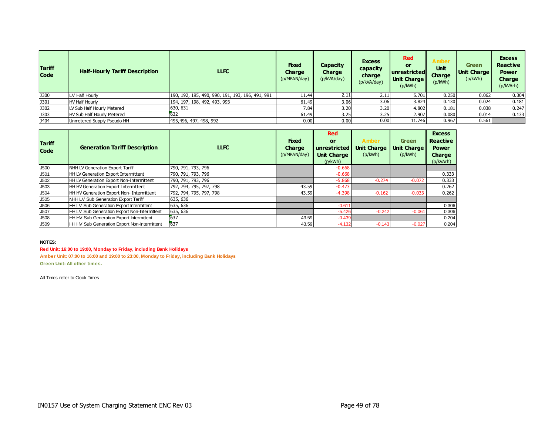| <b>Tariff</b><br><b>Code</b> | <b>Half-Hourly Tariff Description</b> | <b>LLFC</b>                                      | <b>Fixed</b><br>Charge<br>(p/MPAN/day) | Capacity<br>Charge<br>(p/kVA/day) | <b>Excess</b><br>capacity<br>charge<br>(p/kVA/day) | <b>Red</b><br><b>or</b><br>unrestricted<br><b>Unit Charge</b><br>(p/kWh) | <b>Amber</b><br>Unit<br>Charge<br>(p/kWh) | Green<br><b>Unit Charge</b><br>(p/kWh) | <b>Excess</b><br><b>Reactive</b><br><b>Power</b><br>Charge<br>(p/kVArh) |
|------------------------------|---------------------------------------|--------------------------------------------------|----------------------------------------|-----------------------------------|----------------------------------------------------|--------------------------------------------------------------------------|-------------------------------------------|----------------------------------------|-------------------------------------------------------------------------|
| <b>J300</b>                  | LV Half Hourly                        | 190, 192, 195, 490, 990, 191, 193, 196, 491, 991 | 11.44                                  | 2.11                              | 2.11                                               | 5.701                                                                    | 0.250                                     | 0.062                                  | 0.304                                                                   |
| <b>J301</b>                  | <b>HV Half Hourly</b>                 | 194, 197, 198, 492, 493, 993                     | 61.49                                  | 3.06                              | 3.06                                               | 3.824                                                                    | 0.130                                     | 0.024                                  | 0.181                                                                   |
| <b>J302</b>                  | LV Sub Half Hourly Metered            | 630, 631                                         | 7.84                                   | 3.20                              | 3.20                                               | 4.802                                                                    | 0.181                                     | 0.038                                  | 0.247                                                                   |
| <b>J303</b>                  | HV Sub Half Hourly Metered            | 632                                              | 61.49                                  | 3.25                              | 3.25                                               | 2.907                                                                    | 0.080                                     | 0.014                                  | 0.133                                                                   |
| J404                         | Unmetered Supply Pseudo HH            | 495,496, 497, 498, 992                           | 0.00                                   | 0.00                              | 0.00                                               | 11.746                                                                   | 0.967                                     | 0.561                                  |                                                                         |

| <b>Tariff</b><br><b>Code</b> | <b>Generation Tariff Description</b>         | <b>LLFC</b>             | <b>Fixed</b><br><b>Charge</b><br>(p/MPAN/day) | <b>Red</b><br>or<br>unrestricted<br><b>Unit Charge</b><br>(p/kWh) | <b>Amber</b><br><b>Unit Charge</b><br>(p/kWh) | <b>Green</b><br><b>Unit Charge</b><br>(p/kWh) | <b>Excess</b><br><b>Reactive</b><br><b>Power</b><br>Charge<br>(p/kVArh) |
|------------------------------|----------------------------------------------|-------------------------|-----------------------------------------------|-------------------------------------------------------------------|-----------------------------------------------|-----------------------------------------------|-------------------------------------------------------------------------|
| J500                         | NHH LV Generation Export Tariff              | 790, 791, 793, 796      |                                               | $-0.668$                                                          |                                               |                                               |                                                                         |
| J501                         | HH LV Generation Export Intermittent         | 790, 791, 793, 796      |                                               | $-0.668$                                                          |                                               |                                               | 0.333                                                                   |
| J502                         | HH LV Generation Export Non-Intermittent     | 790, 791, 793, 796      |                                               | $-5.868$                                                          | $-0.274$                                      | $-0.072$                                      | 0.333                                                                   |
| J503                         | HH HV Generation Export Intermittent         | 792, 794, 795, 797, 798 | 43.59                                         | $-0.473$                                                          |                                               |                                               | 0.262                                                                   |
| J504                         | HH HV Generation Export Non- Intermittent    | 792, 794, 795, 797, 798 | 43.59                                         | $-4.398$                                                          | $-0.162$                                      | $-0.033$                                      | 0.262                                                                   |
| J505                         | NHH LV Sub Generation Export Tariff          | 635, 636                |                                               |                                                                   |                                               |                                               |                                                                         |
| J506                         | HH LV Sub Generation Export Intermittent     | 635, 636                |                                               | $-0.611$                                                          |                                               |                                               | 0.306                                                                   |
| J507                         | HH LV Sub Generation Export Non-Intermittent | 635, 636                |                                               | $-5.426$                                                          | $-0.242$                                      | $-0.061$                                      | 0.306                                                                   |
| J508                         | HH HV Sub Generation Export Intermittent     | 637                     | 43.59                                         | $-0.439$                                                          |                                               |                                               | 0.204                                                                   |
| J509                         | HH HV Sub Generation Export Non-Intermittent | 637                     | 43.59                                         | $-4.132$                                                          | $-0.143$                                      | $-0.027$                                      | 0.204                                                                   |

**Red Unit: 16:00 to 19:00, Monday to Friday, including Bank Holidays Amber Unit: 07:00 to 16:00 and 19:00 to 23:00, Monday to Friday, including Bank Holidays Green Unit: All other times.**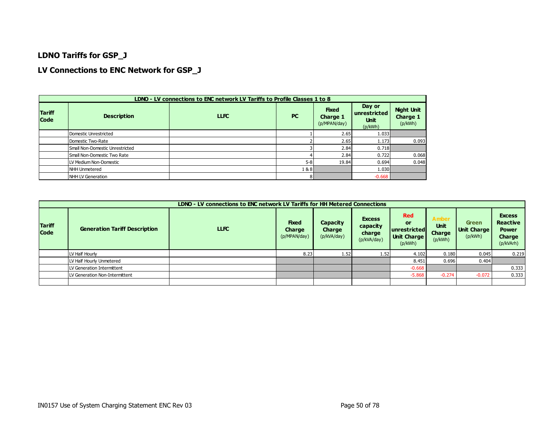### **LDNO Tariffs for GSP\_J**

### **LV Connections to ENC Network for GSP\_J**

|                              |                                 | LDNO - LV connections to ENC network LV Tariffs to Profile Classes 1 to 8 |           |                                          |                                                  |                                          |
|------------------------------|---------------------------------|---------------------------------------------------------------------------|-----------|------------------------------------------|--------------------------------------------------|------------------------------------------|
| <b>Tariff</b><br><b>Code</b> | <b>Description</b>              | <b>LLFC</b>                                                               | <b>PC</b> | <b>Fixed</b><br>Charge 1<br>(p/MPAN/day) | Day or<br>unrestricted<br><b>Unit</b><br>(p/kWh) | <b>Night Unit</b><br>Charge 1<br>(p/kWh) |
|                              | Domestic Unrestricted           |                                                                           |           | 2.65                                     | 1.033                                            |                                          |
|                              | Domestic Two-Rate               |                                                                           |           | 2.65                                     | 1.173                                            | 0.093                                    |
|                              | Small Non-Domestic Unrestricted |                                                                           |           | 2.84                                     | 0.718                                            |                                          |
|                              | Small Non-Domestic Two Rate     |                                                                           |           | 2.84                                     | 0.722                                            | 0.068                                    |
|                              | LV Medium Non-Domestic          |                                                                           | $5 - 8$   | 19.84                                    | 0.694                                            | 0.048                                    |
|                              | NHH Unmetered                   |                                                                           | 1&8       |                                          | 1.030                                            |                                          |
|                              | NHH LV Generation               |                                                                           | 8         |                                          | $-0.668$                                         |                                          |

|                              | LDNO - LV connections to ENC network LV Tariffs for HH Metered Connections |             |                                        |                                          |                                                    |                                                                     |                                           |                                        |                                                                         |  |  |  |
|------------------------------|----------------------------------------------------------------------------|-------------|----------------------------------------|------------------------------------------|----------------------------------------------------|---------------------------------------------------------------------|-------------------------------------------|----------------------------------------|-------------------------------------------------------------------------|--|--|--|
| <b>Tariff</b><br><b>Code</b> | <b>Generation Tariff Description</b>                                       | <b>LLFC</b> | <b>Fixed</b><br>Charge<br>(p/MPAN/day) | <b>Capacity</b><br>Charge<br>(p/kVA/day) | <b>Excess</b><br>capacity<br>charge<br>(p/kVA/day) | <b>Red</b><br>or<br>lunrestrictedl<br><b>Unit Charge</b><br>(p/kWh) | Amber<br><b>Unit</b><br>Charge<br>(p/kWh) | <b>Green</b><br>Unit Charge<br>(p/kWh) | <b>Excess</b><br><b>Reactive</b><br><b>Power</b><br>Charge<br>(p/kVArh) |  |  |  |
|                              | LV Half Hourly                                                             |             | 8.23                                   | 1.52                                     | 1.52                                               | 4.102                                                               | 0.180                                     | 0.045                                  | 0.219                                                                   |  |  |  |
|                              | LV Half Hourly Unmetered                                                   |             |                                        |                                          |                                                    | 8.451                                                               | 0.696                                     | 0.404                                  |                                                                         |  |  |  |
|                              | LV Generation Intermittent                                                 |             |                                        |                                          |                                                    | $-0.668$                                                            |                                           |                                        | 0.333                                                                   |  |  |  |
|                              | LV Generation Non-Intermittent                                             |             |                                        |                                          |                                                    | $-5.868$                                                            | $-0.274$                                  | $-0.072$                               | 0.333                                                                   |  |  |  |
|                              |                                                                            |             |                                        |                                          |                                                    |                                                                     |                                           |                                        |                                                                         |  |  |  |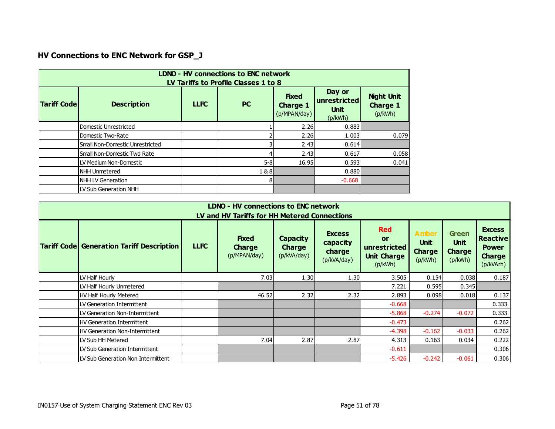# **HV Connections to ENC Network for GSP\_J**

|                     | LDNO - HV connections to ENC network<br>LV Tariffs to Profile Classes 1 to 8 |             |                |                                                 |                                                  |                                                 |  |  |  |  |  |  |
|---------------------|------------------------------------------------------------------------------|-------------|----------------|-------------------------------------------------|--------------------------------------------------|-------------------------------------------------|--|--|--|--|--|--|
| <b>Tariff Codel</b> | <b>Description</b>                                                           | <b>LLFC</b> | <b>PC</b>      | <b>Fixed</b><br><b>Charge 1</b><br>(p/MPAN/day) | Day or<br>unrestricted<br><b>Unit</b><br>(p/kWh) | <b>Night Unit</b><br><b>Charge 1</b><br>(p/kWh) |  |  |  |  |  |  |
|                     | Domestic Unrestricted                                                        |             |                | 2.26                                            | 0.883                                            |                                                 |  |  |  |  |  |  |
|                     | Domestic Two-Rate                                                            |             |                | 2.26                                            | 1.003                                            | 0.079                                           |  |  |  |  |  |  |
|                     | Small Non-Domestic Unrestricted                                              |             |                | 2.43                                            | 0.614                                            |                                                 |  |  |  |  |  |  |
|                     | Small Non-Domestic Two Rate                                                  |             | 4              | 2.43                                            | 0.617                                            | 0.058                                           |  |  |  |  |  |  |
|                     | LLV Medium Non-Domestic                                                      |             | $5 - 8$        | 16.95                                           | 0.593                                            | 0.041                                           |  |  |  |  |  |  |
|                     | NHH Unmetered                                                                |             | 1&8            |                                                 | 0.880                                            |                                                 |  |  |  |  |  |  |
|                     | NHH LV Generation                                                            |             | 8 <sup>1</sup> |                                                 | $-0.668$                                         |                                                 |  |  |  |  |  |  |
|                     | LV Sub Generation NHH                                                        |             |                |                                                 |                                                  |                                                 |  |  |  |  |  |  |

| <b>LDNO - HV connections to ENC network</b><br>LV and HV Tariffs for HH Metered Connections |             |                                               |                                                 |                                                    |                                                                          |                                                         |                                                         |                                                                                |  |  |  |  |  |
|---------------------------------------------------------------------------------------------|-------------|-----------------------------------------------|-------------------------------------------------|----------------------------------------------------|--------------------------------------------------------------------------|---------------------------------------------------------|---------------------------------------------------------|--------------------------------------------------------------------------------|--|--|--|--|--|
| <b>Tariff Code Generation Tariff Description</b>                                            | <b>LLFC</b> | <b>Fixed</b><br><b>Charge</b><br>(p/MPAN/day) | <b>Capacity</b><br><b>Charge</b><br>(p/kVA/day) | <b>Excess</b><br>capacity<br>charge<br>(p/kVA/day) | <b>Red</b><br><b>or</b><br>unrestricted<br><b>Unit Charge</b><br>(p/kWh) | <b>Amber</b><br><b>Unit</b><br><b>Charge</b><br>(p/kWh) | <b>Green</b><br><b>Unit</b><br><b>Charge</b><br>(p/kWh) | <b>Excess</b><br><b>Reactive</b><br><b>Power</b><br><b>Charge</b><br>(p/kVArh) |  |  |  |  |  |
| LV Half Hourly                                                                              |             | 7.03                                          | 1.30                                            | 1.30                                               | 3.505                                                                    | 0.154                                                   | 0.038                                                   | 0.187                                                                          |  |  |  |  |  |
| LV Half Hourly Unmetered                                                                    |             |                                               |                                                 |                                                    | 7.221                                                                    | 0.595                                                   | 0.345                                                   |                                                                                |  |  |  |  |  |
| HV Half Hourly Metered                                                                      |             | 46.52                                         | 2.32                                            | 2.32                                               | 2.893                                                                    | 0.098                                                   | 0.018                                                   | 0.137                                                                          |  |  |  |  |  |
| LV Generation Intermittent                                                                  |             |                                               |                                                 |                                                    | $-0.668$                                                                 |                                                         |                                                         | 0.333                                                                          |  |  |  |  |  |
| LV Generation Non-Intermittent                                                              |             |                                               |                                                 |                                                    | $-5.868$                                                                 | $-0.274$                                                | $-0.072$                                                | 0.333                                                                          |  |  |  |  |  |
| <b>HV Generation Intermittent</b>                                                           |             |                                               |                                                 |                                                    | $-0.473$                                                                 |                                                         |                                                         | 0.262                                                                          |  |  |  |  |  |
| HV Generation Non-Intermittent                                                              |             |                                               |                                                 |                                                    | $-4.398$                                                                 | $-0.162$                                                | $-0.033$                                                | 0.262                                                                          |  |  |  |  |  |
| LV Sub HH Metered                                                                           |             | 7.04                                          | 2.87                                            | 2.87                                               | 4.313                                                                    | 0.163                                                   | 0.034                                                   | 0.222                                                                          |  |  |  |  |  |
| LV Sub Generation Intermittent                                                              |             |                                               |                                                 |                                                    | $-0.611$                                                                 |                                                         |                                                         | 0.306                                                                          |  |  |  |  |  |
| LV Sub Generation Non Intermittent                                                          |             |                                               |                                                 |                                                    | $-5.426$                                                                 | $-0.242$                                                | $-0.061$                                                | 0.306                                                                          |  |  |  |  |  |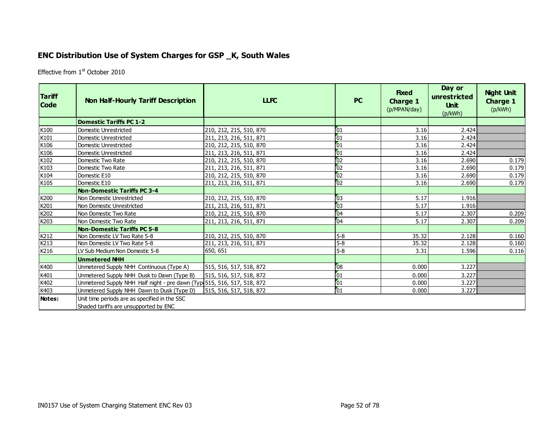## **ENC Distribution Use of System Charges for GSP \_K, South Wales**

Effective from 1<sup>st</sup> October 2010

| <b>Tariff</b><br><b>Code</b> | <b>Non Half-Hourly Tariff Description</b>                                              | <b>LLFC</b>             | <b>PC</b>       | <b>Fixed</b><br><b>Charge 1</b><br>(p/MPAN/day) | Day or<br>unrestricted<br><b>Unit</b><br>(p/kWh) | <b>Night Unit</b><br><b>Charge 1</b><br>(p/kWh) |
|------------------------------|----------------------------------------------------------------------------------------|-------------------------|-----------------|-------------------------------------------------|--------------------------------------------------|-------------------------------------------------|
|                              | <b>Domestic Tariffs PC 1-2</b>                                                         |                         |                 |                                                 |                                                  |                                                 |
| K100                         | Domestic Unrestricted                                                                  | 210, 212, 215, 510, 870 | 01              | 3.16                                            | 2.424                                            |                                                 |
| K101                         | Domestic Unrestricted                                                                  | 211, 213, 216, 511, 871 | 01              | 3.16                                            | 2.424                                            |                                                 |
| K106                         | <b>Domestic Unrestricted</b>                                                           | 210, 212, 215, 510, 870 | $\sqrt{01}$     | 3.16                                            | 2.424                                            |                                                 |
| K106                         | <b>Domestic Unrestricted</b>                                                           | 211, 213, 216, 511, 871 | $\overline{01}$ | 3.16                                            | 2.424                                            |                                                 |
| K102                         | Domestic Two Rate                                                                      | 210, 212, 215, 510, 870 | 02              | 3.16                                            | 2.690                                            | 0.179                                           |
| K103                         | Domestic Two Rate                                                                      | 211, 213, 216, 511, 871 | $\overline{02}$ | 3.16                                            | 2.690                                            | 0.179                                           |
| K104                         | Domestic E10                                                                           | 210, 212, 215, 510, 870 | $\overline{02}$ | 3.16                                            | 2.690                                            | 0.179                                           |
| K105                         | Domestic E10                                                                           | 211, 213, 216, 511, 871 | 02              | 3.16                                            | 2.690                                            | 0.179                                           |
|                              | <b>Non-Domestic Tariffs PC 3-4</b>                                                     |                         |                 |                                                 |                                                  |                                                 |
| K200                         | Non Domestic Unrestricted                                                              | 210, 212, 215, 510, 870 | 03              | 5.17                                            | 1.916                                            |                                                 |
| K201                         | Non Domestic Unrestricted                                                              | 211, 213, 216, 511, 871 | 03              | 5.17                                            | 1.916                                            |                                                 |
| K202                         | Non Domestic Two Rate                                                                  | 210, 212, 215, 510, 870 | $\overline{04}$ | 5.17                                            | 2.307                                            | 0.209                                           |
| K203                         | Non Domestic Two Rate                                                                  | 211, 213, 216, 511, 871 | 04              | 5.17                                            | 2.307                                            | 0.209                                           |
|                              | <b>Non-Domestic Tariffs PC 5-8</b>                                                     |                         |                 |                                                 |                                                  |                                                 |
| K212                         | Non Domestic LV Two Rate 5-8                                                           | 210, 212, 215, 510, 870 | $5-8$           | 35.32                                           | 2.128                                            | 0.160                                           |
| K213                         | Non Domestic LV Two Rate 5-8                                                           | 211, 213, 216, 511, 871 | $5-8$           | 35.32                                           | 2.128                                            | 0.160                                           |
| K216                         | LV Sub Medium Non Domestic 5-8                                                         | 650, 651                | $5-8$           | 3.31                                            | 1.596                                            | 0.116                                           |
|                              | <b>Unmetered NHH</b>                                                                   |                         |                 |                                                 |                                                  |                                                 |
| K400                         | Unmetered Supply NHH Continuous (Type A)                                               | 515, 516, 517, 518, 872 | 08              | 0.000                                           | 3.227                                            |                                                 |
| K401                         | Unmetered Supply NHH Dusk to Dawn (Type B)                                             | 515, 516, 517, 518, 872 | 01              | 0.000                                           | 3.227                                            |                                                 |
| K402                         | Unmetered Supply NHH Half night - pre dawn (Typ 515, 516, 517, 518, 872                |                         | 01              | 0.000                                           | 3.227                                            |                                                 |
| K403                         | Unmetered Supply NHH Dawn to Dusk (Type D)                                             | 515, 516, 517, 518, 872 | 01              | 0.000                                           | 3.227                                            |                                                 |
| Notes:                       | Unit time periods are as specified in the SSC<br>Shaded tariffs are unsupported by ENC |                         |                 |                                                 |                                                  |                                                 |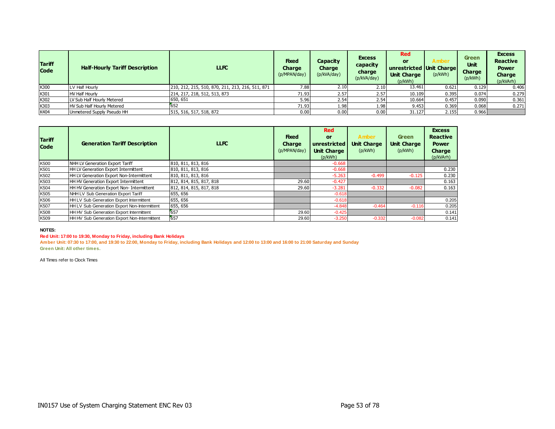| <b>Tariff</b><br><b>Code</b> | <b>Half-Hourly Tariff Description</b> | <b>LLFC</b>                                      | <b>Fixed</b><br><b>Charge</b><br>(p/MPAN/day) | Capacity<br>Charge<br>(p/kVA/day) | <b>Excess</b><br>capacity<br>charge<br>(p/kVA/day) | <b>Red</b><br>or<br>unrestricted Unit Charge<br><b>Unit Charge</b><br>(p/kWh) | Amber<br>(p/kWh) | <b>Green</b><br><b>Unit</b><br><b>Charge</b><br>(p/kWh) | <b>Excess</b><br><b>Reactive</b><br><b>Power</b><br><b>Charge</b><br>(p/kVArh) |
|------------------------------|---------------------------------------|--------------------------------------------------|-----------------------------------------------|-----------------------------------|----------------------------------------------------|-------------------------------------------------------------------------------|------------------|---------------------------------------------------------|--------------------------------------------------------------------------------|
| K300                         | LV Half Hourly                        | 210, 212, 215, 510, 870, 211, 213, 216, 511, 871 | /0.88                                         | 2.10                              | 2.10                                               | 13.461                                                                        | 0.621            | 0.129                                                   | 0.406                                                                          |
| K301                         | <b>HV Half Hourly</b>                 | 214, 217, 218, 512, 513, 873                     | 71.93                                         | 2.57                              | 2.57                                               | 10.109                                                                        | 0.395            | 0.074                                                   | 0.279                                                                          |
| K302                         | LV Sub Half Hourly Metered            | 650, 651                                         | 5.96                                          | 2.54                              | 2.54                                               | 10.664                                                                        | 0.457            | 0.090                                                   | 0.361                                                                          |
| K303                         | HV Sub Half Hourly Metered            | 652                                              | 71.93                                         | 1.98                              | 1.98                                               | 9.453                                                                         | 0.369            | 0.068                                                   | 0.271                                                                          |
| K404                         | Unmetered Supply Pseudo HH            | 515, 516, 517, 518, 872                          | 0.00                                          | 0.00                              | 0.00                                               | 31.127                                                                        | 2.155            | 0.966                                                   |                                                                                |

| <b>Tariff</b><br><b>Code</b> | <b>Generation Tariff Description</b>         | <b>LLFC</b>             | <b>Fixed</b><br>Charge<br>(p/MPAN/day) | <b>Red</b><br><b>or</b><br>unrestricted<br><b>Unit Charge</b><br>(p/kWh) | <b>Amber</b><br><b>Unit Charge</b><br>(p/kWh) | <b>Green</b><br><b>Unit Charge</b><br>(p/kWh) | <b>Excess</b><br><b>Reactive</b><br><b>Power</b><br>Charge<br>(p/kVArh) |
|------------------------------|----------------------------------------------|-------------------------|----------------------------------------|--------------------------------------------------------------------------|-----------------------------------------------|-----------------------------------------------|-------------------------------------------------------------------------|
| K500                         | NHH LV Generation Export Tariff              | 810, 811, 813, 816      |                                        | $-0.668$                                                                 |                                               |                                               |                                                                         |
| K501                         | HH LV Generation Export Intermittent         | 810, 811, 813, 816      |                                        | $-0.668$                                                                 |                                               |                                               | 0.230                                                                   |
| K502                         | HH LV Generation Export Non-Intermittent     | 810, 811, 813, 816      |                                        | $-5.263$                                                                 | $-0.499$                                      | $-0.125$                                      | 0.230                                                                   |
| K503                         | HH HV Generation Export Intermittent         | 812, 814, 815, 817, 818 | 29.60                                  | $-0.427$                                                                 |                                               |                                               | 0.163                                                                   |
| K504                         | HH HV Generation Export Non- Intermittent    | 812, 814, 815, 817, 818 | 29.60                                  | $-3.281$                                                                 | $-0.332$                                      | $-0.082$                                      | 0.163                                                                   |
| K505                         | NHH LV Sub Generation Export Tariff          | 655, 656                |                                        | $-0.618$                                                                 |                                               |                                               |                                                                         |
| K506                         | HH LV Sub Generation Export Intermittent     | 655, 656                |                                        | $-0.618$                                                                 |                                               |                                               | 0.205                                                                   |
| K507                         | HH LV Sub Generation Export Non-Intermittent | 655, 656                |                                        | $-4.848$                                                                 | $-0.464$                                      | $-0.116$                                      | 0.205                                                                   |
| K508                         | HH HV Sub Generation Export Intermittent     | 657                     | 29.60                                  | $-0.425$                                                                 |                                               |                                               | 0.141                                                                   |
| K509                         | HH HV Sub Generation Export Non-Intermittent | 657                     | 29.60                                  | $-3.250$                                                                 | $-0.332$                                      | $-0.082$                                      | 0.141                                                                   |

#### **Red Unit: 17:00 to 19:30, Monday to Friday, including Bank Holidays**

**Amber Unit: 07:30 to 17:00, and 19:30 to 22:00, Monday to Friday, including Bank Holidays and 12:00 to 13:00 and 16:00 to 21:00 Saturday and Sunday Green Unit: All other times.**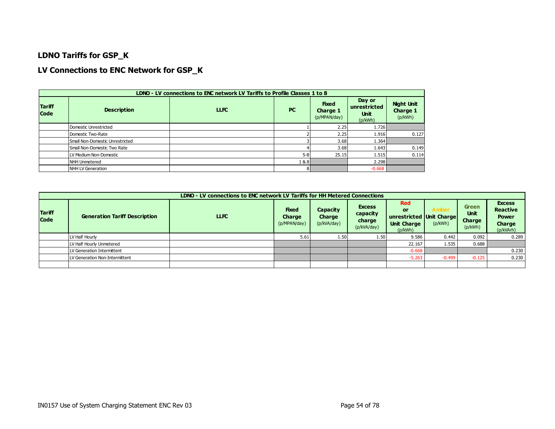### **LDNO Tariffs for GSP\_K**

### **LV Connections to ENC Network for GSP\_K**

|                              | LDNO - LV connections to ENC network LV Tariffs to Profile Classes 1 to 8 |             |           |                                          |                                                  |                                                 |  |  |  |  |  |  |
|------------------------------|---------------------------------------------------------------------------|-------------|-----------|------------------------------------------|--------------------------------------------------|-------------------------------------------------|--|--|--|--|--|--|
| <b>Tariff</b><br><b>Code</b> | <b>Description</b>                                                        | <b>LLFC</b> | <b>PC</b> | <b>Fixed</b><br>Charge 1<br>(p/MPAN/day) | Day or<br>unrestricted<br><b>Unit</b><br>(p/kWh) | <b>Night Unit</b><br><b>Charge 1</b><br>(p/kWh) |  |  |  |  |  |  |
|                              | Domestic Unrestricted                                                     |             |           | 2.25                                     | 1.726                                            |                                                 |  |  |  |  |  |  |
|                              | Domestic Two-Rate                                                         |             |           | 2.25                                     | 1.916                                            | 0.127                                           |  |  |  |  |  |  |
|                              | Small Non-Domestic Unrestricted                                           |             |           | 3.68                                     | 1.364                                            |                                                 |  |  |  |  |  |  |
|                              | Small Non-Domestic Two Rate                                               |             |           | 3.68                                     | 1.643                                            | 0.149                                           |  |  |  |  |  |  |
|                              | LV Medium Non-Domestic                                                    |             | $5 - 8$   | 25.15                                    | 1.515                                            | 0.114                                           |  |  |  |  |  |  |
|                              | <b>INHH Unmetered</b>                                                     |             | 1&8       |                                          | 2.298                                            |                                                 |  |  |  |  |  |  |
|                              | NHH LV Generation                                                         |             | 81        |                                          | $-0.668$                                         |                                                 |  |  |  |  |  |  |

|                              | LDNO - LV connections to ENC network LV Tariffs for HH Metered Connections |             |                                               |                                          |                                                    |                                                                               |                  |                                                  |                                                                         |  |  |
|------------------------------|----------------------------------------------------------------------------|-------------|-----------------------------------------------|------------------------------------------|----------------------------------------------------|-------------------------------------------------------------------------------|------------------|--------------------------------------------------|-------------------------------------------------------------------------|--|--|
| <b>Tariff</b><br><b>Code</b> | <b>Generation Tariff Description</b>                                       | <b>LLFC</b> | <b>Fixed</b><br><b>Charge</b><br>(p/MPAN/day) | Capacity<br><b>Charge</b><br>(p/kVA/day) | <b>Excess</b><br>capacity<br>charge<br>(p/kVA/day) | <b>Red</b><br>or<br>unrestricted Unit Charge<br><b>Unit Charge</b><br>(p/kWh) | Amber<br>(p/kWh) | Green<br><b>Unit</b><br><b>Charge</b><br>(p/kWh) | <b>Excess</b><br><b>Reactive</b><br><b>Power</b><br>Charge<br>(p/kVArh) |  |  |
|                              | LV Half Hourly                                                             |             | 5.61                                          | 1.50                                     | 1.50                                               | 9.586                                                                         | 0.442            | 0.092                                            | 0.289                                                                   |  |  |
|                              | LV Half Hourly Unmetered                                                   |             |                                               |                                          |                                                    | 22.167                                                                        | 1.535            | 0.688                                            |                                                                         |  |  |
|                              | LV Generation Intermittent                                                 |             |                                               |                                          |                                                    | $-0.668$                                                                      |                  |                                                  | 0.230                                                                   |  |  |
|                              | LV Generation Non-Intermittent                                             |             |                                               |                                          |                                                    | $-5.263$                                                                      | $-0.499$         | $-0.125$                                         | 0.230                                                                   |  |  |
|                              |                                                                            |             |                                               |                                          |                                                    |                                                                               |                  |                                                  |                                                                         |  |  |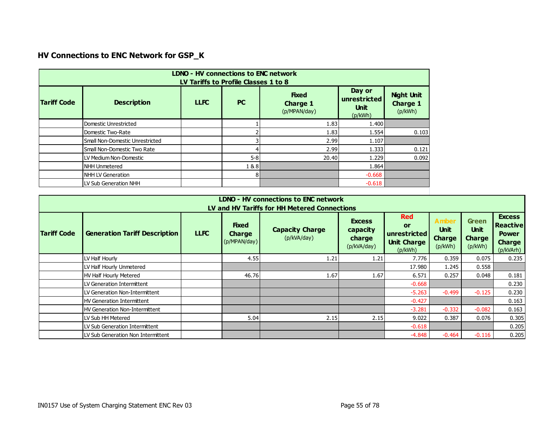# **HV Connections to ENC Network for GSP\_K**

|                    | <b>LDNO - HV connections to ENC network</b><br>LV Tariffs to Profile Classes 1 to 8 |             |           |                                                 |                                                  |                                                 |  |  |  |  |  |  |
|--------------------|-------------------------------------------------------------------------------------|-------------|-----------|-------------------------------------------------|--------------------------------------------------|-------------------------------------------------|--|--|--|--|--|--|
| <b>Tariff Code</b> | <b>Description</b>                                                                  | <b>LLFC</b> | <b>PC</b> | <b>Fixed</b><br><b>Charge 1</b><br>(p/MPAN/day) | Day or<br>unrestricted<br><b>Unit</b><br>(p/kWh) | <b>Night Unit</b><br><b>Charge 1</b><br>(p/kWh) |  |  |  |  |  |  |
|                    | Domestic Unrestricted                                                               |             |           | 1.83                                            | 1.400                                            |                                                 |  |  |  |  |  |  |
|                    | Domestic Two-Rate                                                                   |             |           | 1.83                                            | 1.554                                            | 0.103                                           |  |  |  |  |  |  |
|                    | Small Non-Domestic Unrestricted                                                     |             |           | 2.99                                            | 1.107                                            |                                                 |  |  |  |  |  |  |
|                    | Small Non-Domestic Two Rate                                                         |             |           | 2.99                                            | 1.333                                            | 0.121                                           |  |  |  |  |  |  |
|                    | LV Medium Non-Domestic                                                              |             | $5 - 8$   | 20.40                                           | 1.229                                            | 0.092                                           |  |  |  |  |  |  |
|                    | <b>NHH Unmetered</b>                                                                |             | 1&8       |                                                 | 1.864                                            |                                                 |  |  |  |  |  |  |
|                    | NHH LV Generation                                                                   |             | 81        |                                                 | $-0.668$                                         |                                                 |  |  |  |  |  |  |
|                    | LV Sub Generation NHH                                                               |             |           |                                                 | $-0.618$                                         |                                                 |  |  |  |  |  |  |

|                                              | <b>LDNO - HV connections to ENC network</b> |             |                                               |                                       |                                                    |                                                                   |                                                         |                                                         |                                                                         |  |  |  |
|----------------------------------------------|---------------------------------------------|-------------|-----------------------------------------------|---------------------------------------|----------------------------------------------------|-------------------------------------------------------------------|---------------------------------------------------------|---------------------------------------------------------|-------------------------------------------------------------------------|--|--|--|
| LV and HV Tariffs for HH Metered Connections |                                             |             |                                               |                                       |                                                    |                                                                   |                                                         |                                                         |                                                                         |  |  |  |
| <b>Tariff Code</b>                           | <b>Generation Tariff Description</b>        | <b>LLFC</b> | <b>Fixed</b><br><b>Charge</b><br>(p/MPAN/day) | <b>Capacity Charge</b><br>(p/kVA/day) | <b>Excess</b><br>capacity<br>charge<br>(p/kVA/day) | <b>Red</b><br>or<br>unrestricted<br><b>Unit Charge</b><br>(p/kWh) | <b>Amber</b><br><b>Unit</b><br><b>Charge</b><br>(p/kWh) | <b>Green</b><br><b>Unit</b><br><b>Charge</b><br>(p/kWh) | <b>Excess</b><br>Reactive<br><b>Power</b><br><b>Charge</b><br>(p/kVArh) |  |  |  |
|                                              | LV Half Hourly                              |             | 4.55                                          | 1.21                                  | 1.21                                               | 7.776                                                             | 0.359                                                   | 0.075                                                   | 0.235                                                                   |  |  |  |
|                                              | LV Half Hourly Unmetered                    |             |                                               |                                       |                                                    | 17.980                                                            | 1.245                                                   | 0.558                                                   |                                                                         |  |  |  |
|                                              | <b>HV Half Hourly Metered</b>               |             | 46.76                                         | 1.67                                  | 1.67                                               | 6.571                                                             | 0.257                                                   | 0.048                                                   | 0.181                                                                   |  |  |  |
|                                              | LV Generation Intermittent                  |             |                                               |                                       |                                                    | $-0.668$                                                          |                                                         |                                                         | 0.230                                                                   |  |  |  |
|                                              | LV Generation Non-Intermittent              |             |                                               |                                       |                                                    | $-5.263$                                                          | $-0.499$                                                | $-0.125$                                                | 0.230                                                                   |  |  |  |
|                                              | HV Generation Intermittent                  |             |                                               |                                       |                                                    | $-0.427$                                                          |                                                         |                                                         | 0.163                                                                   |  |  |  |
|                                              | HV Generation Non-Intermittent              |             |                                               |                                       |                                                    | $-3.281$                                                          | $-0.332$                                                | $-0.082$                                                | 0.163                                                                   |  |  |  |
|                                              | LV Sub HH Metered                           |             | 5.04                                          | 2.15                                  | 2.15                                               | 9.022                                                             | 0.387                                                   | 0.076                                                   | 0.305                                                                   |  |  |  |
|                                              | LV Sub Generation Intermittent              |             |                                               |                                       |                                                    | $-0.618$                                                          |                                                         |                                                         | 0.205                                                                   |  |  |  |
|                                              | LV Sub Generation Non Intermittent          |             |                                               |                                       |                                                    | $-4.848$                                                          | $-0.464$                                                | $-0.116$                                                | 0.205                                                                   |  |  |  |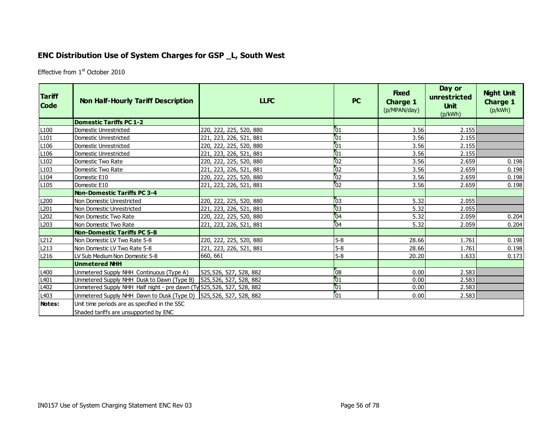## **ENC Distribution Use of System Charges for GSP \_L, South West**

Effective from 1<sup>st</sup> October 2010

| <b>Tariff</b><br><b>Code</b> | <b>Non Half-Hourly Tariff Description</b>                              | <b>LLFC</b>             | <b>PC</b>       | <b>Fixed</b><br><b>Charge 1</b><br>(p/MPAN/day) | Day or<br>unrestricted<br><b>Unit</b><br>(p/kWh) | <b>Night Unit</b><br><b>Charge 1</b><br>(p/kWh) |
|------------------------------|------------------------------------------------------------------------|-------------------------|-----------------|-------------------------------------------------|--------------------------------------------------|-------------------------------------------------|
|                              | <b>Domestic Tariffs PC 1-2</b>                                         |                         |                 |                                                 |                                                  |                                                 |
| L <sub>100</sub>             | Domestic Unrestricted                                                  | 220, 222, 225, 520, 880 | $\sqrt{01}$     | 3.56                                            | 2.155                                            |                                                 |
| L <sub>101</sub>             | Domestic Unrestricted                                                  | 221, 223, 226, 521, 881 | $\sqrt{01}$     | 3.56                                            | 2.155                                            |                                                 |
| L <sub>106</sub>             | Domestic Unrestricted                                                  | 220, 222, 225, 520, 880 | $\sqrt{01}$     | 3.56                                            | 2.155                                            |                                                 |
| L <sub>106</sub>             | Domestic Unrestricted                                                  | 221, 223, 226, 521, 881 | $\sqrt{01}$     | 3.56                                            | 2.155                                            |                                                 |
| L <sub>102</sub>             | Domestic Two Rate                                                      | 220, 222, 225, 520, 880 | $\overline{02}$ | 3.56                                            | 2.659                                            | 0.198                                           |
| L <sub>103</sub>             | Domestic Two Rate                                                      | 221, 223, 226, 521, 881 | $\overline{02}$ | 3.56                                            | 2.659                                            | 0.198                                           |
| L <sub>104</sub>             | Domestic E10                                                           | 220, 222, 225, 520, 880 | $\overline{02}$ | 3.56                                            | 2.659                                            | 0.198                                           |
| L <sub>105</sub>             | Domestic E10                                                           | 221, 223, 226, 521, 881 | $\overline{02}$ | 3.56                                            | 2.659                                            | 0.198                                           |
|                              | <b>Non-Domestic Tariffs PC 3-4</b>                                     |                         |                 |                                                 |                                                  |                                                 |
| L200                         | Non Domestic Unrestricted                                              | 220, 222, 225, 520, 880 | 103             | 5.32                                            | 2.055                                            |                                                 |
| L201                         | Non Domestic Unrestricted                                              | 221, 223, 226, 521, 881 | 103             | 5.32                                            | 2.055                                            |                                                 |
| L202                         | Non Domestic Two Rate                                                  | 220, 222, 225, 520, 880 | 04              | 5.32                                            | 2.059                                            | 0.204                                           |
| L <sub>203</sub>             | Non Domestic Two Rate                                                  | 221, 223, 226, 521, 881 | 04              | 5.32                                            | 2.059                                            | 0.204                                           |
|                              | <b>Non-Domestic Tariffs PC 5-8</b>                                     |                         |                 |                                                 |                                                  |                                                 |
| L <sub>212</sub>             | Non Domestic LV Two Rate 5-8                                           | 220, 222, 225, 520, 880 | $5-8$           | 28.66                                           | 1.761                                            | 0.198                                           |
| L213                         | Non Domestic LV Two Rate 5-8                                           | 221, 223, 226, 521, 881 | $5 - 8$         | 28.66                                           | 1.761                                            | 0.198                                           |
| L216                         | LV Sub Medium Non Domestic 5-8                                         | 660, 661                | $5-8$           | 20.20                                           | 1.633                                            | 0.173                                           |
|                              | <b>Unmetered NHH</b>                                                   |                         |                 |                                                 |                                                  |                                                 |
| L <sub>400</sub>             | Unmetered Supply NHH Continuous (Type A)                               | 525,526, 527, 528, 882  | $\sqrt{08}$     | 0.00                                            | 2.583                                            |                                                 |
| L401                         | Unmetered Supply NHH Dusk to Dawn (Type B)                             | 525,526, 527, 528, 882  | 01              | 0.00                                            | 2.583                                            |                                                 |
| L402                         | Unmetered Supply NHH Half night - pre dawn (Ty 525, 526, 527, 528, 882 |                         | 01              | 0.00                                            | 2.583                                            |                                                 |
| L403                         | Unmetered Supply NHH Dawn to Dusk (Type D)                             | 525,526, 527, 528, 882  | $\sqrt{01}$     | 0.00                                            | 2.583                                            |                                                 |
| Notes:                       | Unit time periods are as specified in the SSC                          |                         |                 |                                                 |                                                  |                                                 |
|                              | Shaded tariffs are unsupported by ENC                                  |                         |                 |                                                 |                                                  |                                                 |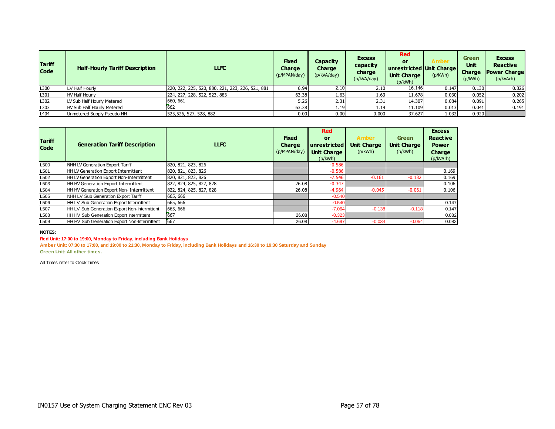| <b>Tariff</b><br><b>Code</b> | <b>Half-Hourly Tariff Description</b> | <b>LLFC</b>                                      | <b>Fixed</b><br><b>Charge</b><br>(p/MPAN/day) | Capacity<br><b>Charge</b><br>(p/kVA/day) | <b>Excess</b><br>capacity<br>charge<br>(p/kVA/day) | Red<br>or<br>unrestricted Unit Charge<br><b>Unit Charge</b><br>(p/kWh) | Amber<br>(p/kWh) | <b>Green</b><br>Unit<br><b>Charge</b><br>(p/kWh) | <b>Excess</b><br><b>Reactive</b><br><b>Power Charge</b><br>(p/kVArh) |
|------------------------------|---------------------------------------|--------------------------------------------------|-----------------------------------------------|------------------------------------------|----------------------------------------------------|------------------------------------------------------------------------|------------------|--------------------------------------------------|----------------------------------------------------------------------|
| L300                         | LV Half Hourly                        | 220, 222, 225, 520, 880, 221, 223, 226, 521, 881 | 6.94                                          | 2.10                                     | 2.10                                               | 16.146                                                                 | 0.147            | 0.130                                            | 0.326                                                                |
| L301                         | <b>HV Half Hourly</b>                 | 224, 227, 228, 522, 523, 883                     | 63.38                                         | 1.63                                     | 1.63                                               | 11.678                                                                 | 0.030            | 0.052                                            | 0.202                                                                |
| L302                         | LV Sub Half Hourly Metered            | 660, 661                                         | 5.26                                          | 2.31                                     | 2.31                                               | 14.307                                                                 | 0.084            | 0.091                                            | 0.265                                                                |
| L303                         | HV Sub Half Hourly Metered            | 662                                              | 63.38                                         | 1.19                                     | 1.19                                               | 11.109                                                                 | 0.013            | 0.041                                            | 0.191                                                                |
| L <sub>404</sub>             | Unmetered Supply Pseudo HH            | 525,526, 527, 528, 882                           | 0.00                                          | 0.00                                     | 0.000                                              | 37.627                                                                 | 1.032            | 0.920                                            |                                                                      |

| <b>Tariff</b><br><b>Code</b> | <b>Generation Tariff Description</b>            | <b>LLFC</b>             | <b>Fixed</b><br><b>Charge</b><br>(p/MPAN/day) | <b>Red</b><br><b>or</b><br>unrestricted<br><b>Unit Charge</b><br>(p/kWh) | <b>Amber</b><br><b>Unit Charge</b><br>(p/kWh) | <b>Green</b><br><b>Unit Charge</b><br>(p/kWh) | <b>Excess</b><br><b>Reactive</b><br><b>Power</b><br>Charge<br>(p/kVArh) |
|------------------------------|-------------------------------------------------|-------------------------|-----------------------------------------------|--------------------------------------------------------------------------|-----------------------------------------------|-----------------------------------------------|-------------------------------------------------------------------------|
| L500                         | NHH LV Generation Export Tariff                 | 820, 821, 823, 826      |                                               | $-0.586$                                                                 |                                               |                                               |                                                                         |
| L501                         | <b>HH LV Generation Export Intermittent</b>     | 820, 821, 823, 826      |                                               | $-0.586$                                                                 |                                               |                                               | 0.169                                                                   |
| L <sub>502</sub>             | <b>HH LV Generation Export Non-Intermittent</b> | 820, 821, 823, 826      |                                               | $-7.546$                                                                 | $-0.161$                                      | $-0.132$                                      | 0.169                                                                   |
| L503                         | <b>HH HV Generation Export Intermittent</b>     | 822, 824, 825, 827, 828 | 26.08                                         | $-0.347$                                                                 |                                               |                                               | 0.106                                                                   |
| L504                         | HH HV Generation Export Non-Intermittent        | 822, 824, 825, 827, 828 | 26.08                                         | $-4.964$                                                                 | $-0.045$                                      | $-0.061$                                      | 0.106                                                                   |
| L505                         | NHH LV Sub Generation Export Tariff             | 665, 666                |                                               | $-0.540$                                                                 |                                               |                                               |                                                                         |
| L506                         | HH LV Sub Generation Export Intermittent        | 665, 666                |                                               | $-0.540$                                                                 |                                               |                                               | 0.147                                                                   |
| L507                         | HH LV Sub Generation Export Non-Intermittent    | 665, 666                |                                               | $-7.064$                                                                 | $-0.138$                                      | $-0.118$                                      | 0.147                                                                   |
| L508                         | HH HV Sub Generation Export Intermittent        | 667                     | 26.08                                         | $-0.323$                                                                 |                                               |                                               | 0.082                                                                   |
| L509                         | HH HV Sub Generation Export Non-Intermittent    | 667                     | 26.08                                         | $-4.697$                                                                 | $-0.034$                                      | $-0.054$                                      | 0.082                                                                   |

#### **Red Unit: 17:00 to 19:00, Monday to Friday, including Bank Holidays**

**Amber Unit: 07:30 to 17:00, and 19:00 to 21:30, Monday to Friday, including Bank Holidays and 16:30 to 19:30 Saturday and Sunday Green Unit: All other times.**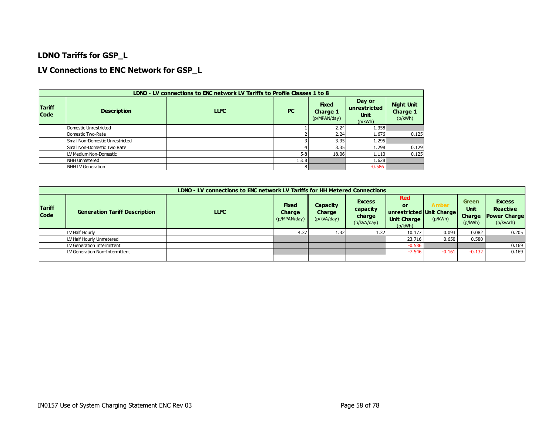### **LDNO Tariffs for GSP\_L**

### **LV Connections to ENC Network for GSP\_L**

|                              | LDNO - LV connections to ENC network LV Tariffs to Profile Classes 1 to 8 |             |           |                                          |                                                  |                                          |  |  |  |  |  |  |  |
|------------------------------|---------------------------------------------------------------------------|-------------|-----------|------------------------------------------|--------------------------------------------------|------------------------------------------|--|--|--|--|--|--|--|
| <b>Tariff</b><br><b>Code</b> | <b>Description</b>                                                        | <b>LLFC</b> | <b>PC</b> | <b>Fixed</b><br>Charge 1<br>(p/MPAN/day) | Day or<br>unrestricted<br><b>Unit</b><br>(p/kWh) | <b>Night Unit</b><br>Charge 1<br>(p/kWh) |  |  |  |  |  |  |  |
|                              | Domestic Unrestricted                                                     |             |           | 2.24                                     | 1.358                                            |                                          |  |  |  |  |  |  |  |
|                              | Domestic Two-Rate                                                         |             |           | 2.24                                     | 1.676                                            | 0.125                                    |  |  |  |  |  |  |  |
|                              | Small Non-Domestic Unrestricted                                           |             |           | 3.35                                     | 1.295                                            |                                          |  |  |  |  |  |  |  |
|                              | Small Non-Domestic Two Rate                                               |             |           | 3.35                                     | 1.298                                            | 0.129                                    |  |  |  |  |  |  |  |
|                              | LV Medium Non-Domestic                                                    |             | $5-8$     | 18.06                                    | 1.110                                            | 0.125                                    |  |  |  |  |  |  |  |
|                              | NHH Unmetered                                                             |             | 1&8       |                                          | 1.628                                            |                                          |  |  |  |  |  |  |  |
|                              | NHH LV Generation                                                         |             | 81        |                                          | $-0.586$                                         |                                          |  |  |  |  |  |  |  |

|                              |                                      | LDNO - LV connections to ENC network LV Tariffs for HH Metered Connections |                                        |                                          |                                                    |                                                                               |                  |                                    |                                                                      |
|------------------------------|--------------------------------------|----------------------------------------------------------------------------|----------------------------------------|------------------------------------------|----------------------------------------------------|-------------------------------------------------------------------------------|------------------|------------------------------------|----------------------------------------------------------------------|
| <b>Tariff</b><br><b>Code</b> | <b>Generation Tariff Description</b> | <b>LLFC</b>                                                                | <b>Fixed</b><br>Charge<br>(p/MPAN/day) | Capacity<br><b>Charge</b><br>(p/kVA/day) | <b>Excess</b><br>capacity<br>charge<br>(p/kVA/day) | <b>Red</b><br>or<br>unrestricted Unit Charge<br><b>Unit Charge</b><br>(p/kWh) | Amber<br>(p/kWh) | Green<br>Unit<br>Charge<br>(p/kWh) | <b>Excess</b><br><b>Reactive</b><br><b>Power Charge</b><br>(p/kVArh) |
|                              | LV Half Hourly                       |                                                                            | 4.37                                   | 1.32                                     | 1.32                                               | 10.177                                                                        | 0.093            | 0.082                              | 0.205                                                                |
|                              | LV Half Hourly Unmetered             |                                                                            |                                        |                                          |                                                    | 23.716                                                                        | 0.650            | 0.580                              |                                                                      |
|                              | LV Generation Intermittent           |                                                                            |                                        |                                          |                                                    | $-0.586$                                                                      |                  |                                    | 0.169                                                                |
|                              | LV Generation Non-Intermittent       |                                                                            |                                        |                                          |                                                    | $-7.546$                                                                      | -0.161           | $-0.132$                           | 0.169                                                                |
|                              |                                      |                                                                            |                                        |                                          |                                                    |                                                                               |                  |                                    |                                                                      |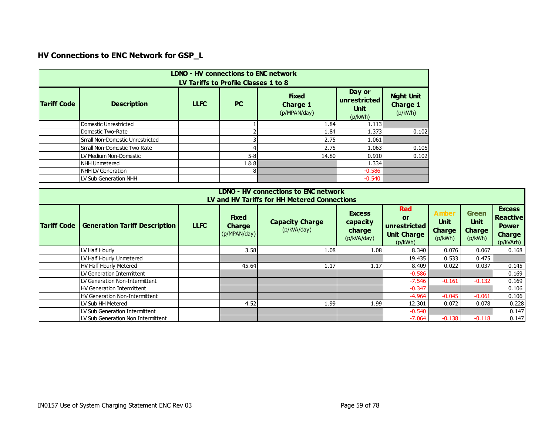# **HV Connections to ENC Network for GSP\_L**

|                    | <b>LDNO - HV connections to ENC network</b><br>LV Tariffs to Profile Classes 1 to 8                                                                                                                      |  |         |       |          |       |  |  |  |  |  |  |  |
|--------------------|----------------------------------------------------------------------------------------------------------------------------------------------------------------------------------------------------------|--|---------|-------|----------|-------|--|--|--|--|--|--|--|
| <b>Tariff Code</b> | Day or<br><b>Night Unit</b><br><b>Fixed</b><br>unrestricted<br><b>LLFC</b><br><b>Description</b><br><b>PC</b><br><b>Charge 1</b><br><b>Charge 1</b><br><b>Unit</b><br>(p/kWh)<br>(p/MPAN/day)<br>(p/kWh) |  |         |       |          |       |  |  |  |  |  |  |  |
|                    | Domestic Unrestricted                                                                                                                                                                                    |  |         | 1.84  | 1.113    |       |  |  |  |  |  |  |  |
|                    | Domestic Two-Rate                                                                                                                                                                                        |  |         | 1.84  | 1.373    | 0.102 |  |  |  |  |  |  |  |
|                    | Small Non-Domestic Unrestricted                                                                                                                                                                          |  |         | 2.75  | 1.061    |       |  |  |  |  |  |  |  |
|                    | Small Non-Domestic Two Rate                                                                                                                                                                              |  |         | 2.75  | 1.063    | 0.105 |  |  |  |  |  |  |  |
|                    | LV Medium Non-Domestic                                                                                                                                                                                   |  | $5 - 8$ | 14.80 | 0.910    | 0.102 |  |  |  |  |  |  |  |
|                    | NHH Unmetered                                                                                                                                                                                            |  | 1&8     |       | 1.334    |       |  |  |  |  |  |  |  |
|                    | <b>NHH LV Generation</b>                                                                                                                                                                                 |  |         |       | $-0.586$ |       |  |  |  |  |  |  |  |
|                    | LV Sub Generation NHH                                                                                                                                                                                    |  |         |       | $-0.540$ |       |  |  |  |  |  |  |  |

|                                                                                                                                                                                                                                                                                                                                                                                                                             | <b>LDNO - HV connections to ENC network</b><br>LV and HV Tariffs for HH Metered Connections |  |       |      |      |          |          |          |       |  |  |  |  |  |
|-----------------------------------------------------------------------------------------------------------------------------------------------------------------------------------------------------------------------------------------------------------------------------------------------------------------------------------------------------------------------------------------------------------------------------|---------------------------------------------------------------------------------------------|--|-------|------|------|----------|----------|----------|-------|--|--|--|--|--|
| <b>Red</b><br><b>Amber</b><br><b>Green</b><br><b>Excess</b><br><b>Fixed</b><br><b>or</b><br><b>Unit</b><br><b>Unit</b><br><b>Capacity Charge</b><br>capacity<br><b>Tariff Code</b><br><b>Generation Tariff Description</b><br><b>LLFC</b><br>unrestricted<br><b>Charge</b><br>(p/kVA/day)<br><b>Charge</b><br>charge<br><b>Charge</b><br>(p/MPAN/day)<br><b>Unit Charge</b><br>(p/kWh)<br>(p/kWh)<br>(p/kVA/day)<br>(p/kWh) |                                                                                             |  |       |      |      |          |          |          |       |  |  |  |  |  |
|                                                                                                                                                                                                                                                                                                                                                                                                                             | LV Half Hourly                                                                              |  | 3.58  | 1.08 | 1.08 | 8.340    | 0.076    | 0.067    | 0.168 |  |  |  |  |  |
|                                                                                                                                                                                                                                                                                                                                                                                                                             | LV Half Hourly Unmetered                                                                    |  |       |      |      | 19.435   | 0.533    | 0.475    |       |  |  |  |  |  |
|                                                                                                                                                                                                                                                                                                                                                                                                                             | HV Half Hourly Metered                                                                      |  | 45.64 | 1.17 | 1.17 | 8.409    | 0.022    | 0.037    | 0.145 |  |  |  |  |  |
|                                                                                                                                                                                                                                                                                                                                                                                                                             | LV Generation Intermittent                                                                  |  |       |      |      | $-0.586$ |          |          | 0.169 |  |  |  |  |  |
|                                                                                                                                                                                                                                                                                                                                                                                                                             | LV Generation Non-Intermittent                                                              |  |       |      |      | $-7.546$ | $-0.161$ | $-0.132$ | 0.169 |  |  |  |  |  |
|                                                                                                                                                                                                                                                                                                                                                                                                                             | HV Generation Intermittent                                                                  |  |       |      |      | $-0.347$ |          |          | 0.106 |  |  |  |  |  |
|                                                                                                                                                                                                                                                                                                                                                                                                                             | HV Generation Non-Intermittent                                                              |  |       |      |      | $-4.964$ | $-0.045$ | $-0.061$ | 0.106 |  |  |  |  |  |
|                                                                                                                                                                                                                                                                                                                                                                                                                             | LV Sub HH Metered                                                                           |  | 4.52  | 1.99 | 1.99 | 12.301   | 0.072    | 0.078    | 0.228 |  |  |  |  |  |
|                                                                                                                                                                                                                                                                                                                                                                                                                             | LV Sub Generation Intermittent                                                              |  |       |      |      | $-0.540$ |          |          | 0.147 |  |  |  |  |  |
|                                                                                                                                                                                                                                                                                                                                                                                                                             | LV Sub Generation Non Intermittent                                                          |  |       |      |      | $-7.064$ | $-0.138$ | $-0.118$ | 0.147 |  |  |  |  |  |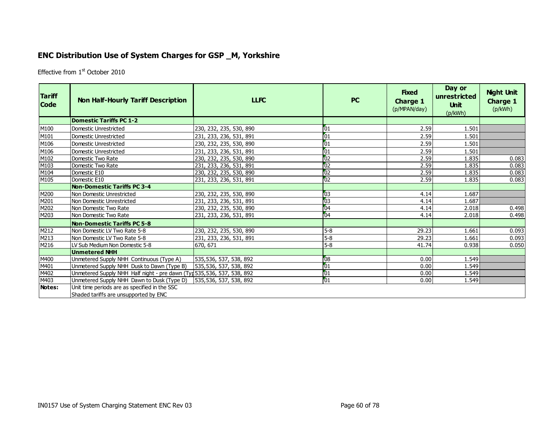## **ENC Distribution Use of System Charges for GSP \_M, Yorkshire**

Effective from 1<sup>st</sup> October 2010

| <b>Tariff</b><br><b>Code</b> | <b>Non Half-Hourly Tariff Description</b>                               | <b>LLFC</b>             | <b>PC</b>       | <b>Fixed</b><br>Charge 1<br>(p/MPAN/day) | Day or<br>unrestricted<br><b>Unit</b><br>(p/kWh) | <b>Night Unit</b><br><b>Charge 1</b><br>(p/kWh) |
|------------------------------|-------------------------------------------------------------------------|-------------------------|-----------------|------------------------------------------|--------------------------------------------------|-------------------------------------------------|
|                              | <b>Domestic Tariffs PC 1-2</b>                                          |                         |                 |                                          |                                                  |                                                 |
| M100                         | Domestic Unrestricted                                                   | 230, 232, 235, 530, 890 | 01              | 2.59                                     | 1.501                                            |                                                 |
| M101                         | Domestic Unrestricted                                                   | 231, 233, 236, 531, 891 | 01              | 2.59                                     | 1.501                                            |                                                 |
| M106                         | Domestic Unrestricted                                                   | 230, 232, 235, 530, 890 | $\overline{01}$ | 2.59                                     | 1.501                                            |                                                 |
| M106                         | Domestic Unrestricted                                                   | 231, 233, 236, 531, 891 | $\overline{01}$ | 2.59                                     | 1.501                                            |                                                 |
| M102                         | Domestic Two Rate                                                       | 230, 232, 235, 530, 890 | $\overline{02}$ | 2.59                                     | 1.835                                            | 0.083                                           |
| M103                         | Domestic Two Rate                                                       | 231, 233, 236, 531, 891 | $\overline{02}$ | 2.59                                     | 1.835                                            | 0.083                                           |
| M104                         | Domestic E10                                                            | 230, 232, 235, 530, 890 | 02              | 2.59                                     | 1.835                                            | 0.083                                           |
| M105                         | Domestic E10                                                            | 231, 233, 236, 531, 891 | 02              | 2.59                                     | 1.835                                            | 0.083                                           |
|                              | <b>Non-Domestic Tariffs PC 3-4</b>                                      |                         |                 |                                          |                                                  |                                                 |
| M200                         | l Non Domestic Unrestricted                                             | 230, 232, 235, 530, 890 | $\overline{03}$ | 4.14                                     | 1.687                                            |                                                 |
| M201                         | Non Domestic Unrestricted                                               | 231, 233, 236, 531, 891 | $\overline{03}$ | 4.14                                     | 1.687                                            |                                                 |
| M202                         | l Non Domestic Two Rate                                                 | 230, 232, 235, 530, 890 | 04              | 4.14                                     | 2.018                                            | 0.498                                           |
| M203                         | Non Domestic Two Rate                                                   | 231, 233, 236, 531, 891 | $\overline{04}$ | 4.14                                     | 2.018                                            | 0.498                                           |
|                              | <b>Non-Domestic Tariffs PC 5-8</b>                                      |                         |                 |                                          |                                                  |                                                 |
| M212                         | Non Domestic LV Two Rate 5-8                                            | 230, 232, 235, 530, 890 | $5-8$           | 29.23                                    | 1.661                                            | 0.093                                           |
| M213                         | Non Domestic LV Two Rate 5-8                                            | 231, 233, 236, 531, 891 | $5-8$           | 29.23                                    | 1.661                                            | 0.093                                           |
| M216                         | LV Sub Medium Non Domestic 5-8                                          | 670, 671                | $5-8$           | 41.74                                    | 0.938                                            | 0.050                                           |
|                              | <b>Unmetered NHH</b>                                                    |                         |                 |                                          |                                                  |                                                 |
| M400                         | Unmetered Supply NHH Continuous (Type A)                                | 535,536, 537, 538, 892  | $\overline{08}$ | 0.00                                     | 1.549                                            |                                                 |
| M401                         | Unmetered Supply NHH Dusk to Dawn (Type B)                              | 535,536, 537, 538, 892  | $\overline{01}$ | 0.00                                     | 1.549                                            |                                                 |
| M402                         | Unmetered Supply NHH Half night - pre dawn (Typ 535, 536, 537, 538, 892 |                         | $\overline{01}$ | 0.00                                     | 1.549                                            |                                                 |
| M403                         | Unmetered Supply NHH Dawn to Dusk (Type D)                              | 535,536, 537, 538, 892  | 01              | 0.00                                     | 1.549                                            |                                                 |
| Notes:                       | Unit time periods are as specified in the SSC                           |                         |                 |                                          |                                                  |                                                 |
|                              | Shaded tariffs are unsupported by ENC                                   |                         |                 |                                          |                                                  |                                                 |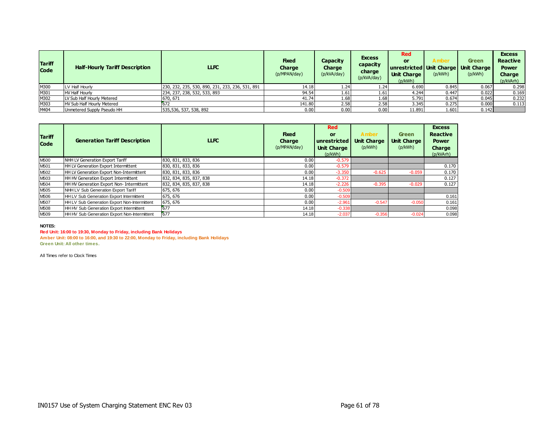| <b>Tariff</b><br><b>Code</b> | <b>Half-Hourly Tariff Description</b> | <b>LLFC</b>                                      | <b>Fixed</b><br><b>Charge</b><br>(p/MPAN/day) | Capacity<br>Charge<br>(p/kVA/day) | <b>Excess</b><br>capacity<br>charge<br>(p/kVA/day) | <b>Red</b><br>or<br>unrestricted Unit Charge   Unit Charge<br><b>Unit Charge</b><br>(p/kWh) | A mber<br>(p/kWh) | <b>Green</b><br>(p/kWh) | <b>Excess</b><br><b>Reactive</b><br><b>Power</b><br><b>Charge</b><br>(p/kVArh) |
|------------------------------|---------------------------------------|--------------------------------------------------|-----------------------------------------------|-----------------------------------|----------------------------------------------------|---------------------------------------------------------------------------------------------|-------------------|-------------------------|--------------------------------------------------------------------------------|
| M300                         | LV Half Hourly                        | 230, 232, 235, 530, 890, 231, 233, 236, 531, 891 | 14.18                                         | 1.24                              | 1.24                                               | 6.690                                                                                       | 0.845             | 0.067                   | 0.298                                                                          |
| M301                         | <b>HV Half Hourly</b>                 | 234, 237, 238, 532, 533, 893                     | 94.54                                         | 1.61                              | 1.61                                               | 4.244                                                                                       | 0.447             | 0.022                   | 0.169                                                                          |
| M302                         | LV Sub Half Hourly Metered            | 670, 671                                         | 41.74                                         | 1.68                              | 1.68                                               | 5.791                                                                                       | 0.674             | 0.045                   | 0.232                                                                          |
| M303                         | <b>HV Sub Half Hourly Metered</b>     | 672                                              | 141.80                                        | 2.58                              | 2.58                                               | 3.345                                                                                       | 0.275             | 0.000                   | 0.113                                                                          |
| M404                         | Unmetered Supply Pseudo HH            | 535,536, 537, 538, 892                           | 0.00                                          | $0.00\,$                          | 0.00                                               | 11.891                                                                                      | 1.601             | 0.142                   |                                                                                |

| <b>Tariff</b><br><b>Code</b> | <b>Generation Tariff Description</b>         | <b>LLFC</b>             | <b>Fixed</b><br><b>Charge</b><br>(p/MPAN/day) | <b>Red</b><br><b>or</b><br><b>unrestricted</b><br><b>Unit Charge</b><br>(p/kWh) | <b>Amber</b><br><b>Unit Charge</b><br>(p/kWh) | <b>Green</b><br><b>Unit Charge</b><br>(p/kWh) | <b>Excess</b><br><b>Reactive</b><br><b>Power</b><br>Charge<br>(p/kVArh) |
|------------------------------|----------------------------------------------|-------------------------|-----------------------------------------------|---------------------------------------------------------------------------------|-----------------------------------------------|-----------------------------------------------|-------------------------------------------------------------------------|
| M500                         | NHH LV Generation Export Tariff              | 830, 831, 833, 836      | 0.00                                          | $-0.579$                                                                        |                                               |                                               |                                                                         |
| M501                         | <b>HH LV Generation Export Intermittent</b>  | 830, 831, 833, 836      | 0.00                                          | $-0.579$                                                                        |                                               |                                               | 0.170                                                                   |
| M502                         | HH LV Generation Export Non-Intermittent     | 830, 831, 833, 836      | 0.00                                          | $-3.350$                                                                        | $-0.625$                                      | $-0.059$                                      | 0.170                                                                   |
| M503                         | HH HV Generation Export Intermittent         | 832, 834, 835, 837, 838 | 14.18                                         | $-0.372$                                                                        |                                               |                                               | 0.127                                                                   |
| M504                         | HH HV Generation Export Non- Intermittent    | 832, 834, 835, 837, 838 | 14.18                                         | $-2.226$                                                                        | $-0.395$                                      | $-0.029$                                      | 0.127                                                                   |
| M505                         | NHH LV Sub Generation Export Tariff          | 675, 676                | 0.00                                          | $-0.509$                                                                        |                                               |                                               |                                                                         |
| M506                         | HH LV Sub Generation Export Intermittent     | 675, 676                | 0.00                                          | $-0.509$                                                                        |                                               |                                               | 0.161                                                                   |
| M507                         | HH LV Sub Generation Export Non-Intermittent | 675, 676                | 0.00                                          | $-2.961$                                                                        | $-0.547$                                      | $-0.050$                                      | 0.161                                                                   |
| M508                         | HH HV Sub Generation Export Intermittent     | 677                     | 14.18                                         | $-0.338$                                                                        |                                               |                                               | 0.098                                                                   |
| M509                         | HH HV Sub Generation Export Non-Intermittent | 677                     | 14.18                                         | $-2.037$                                                                        | $-0.356$                                      | $-0.024$                                      | 0.098                                                                   |

**Red Unit: 16:00 to 19:30, Monday to Friday, including Bank Holidays**

**Amber Unit: 08:00 to 16:00, and 19:30 to 22:00, Monday to Friday, including Bank Holidays Green Unit: All other times.**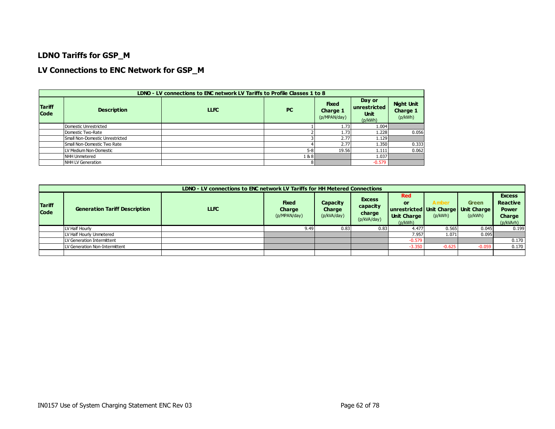### **LDNO Tariffs for GSP\_M**

### **LV Connections to ENC Network for GSP\_M**

|                       | LDNO - LV connections to ENC network LV Tariffs to Profile Classes 1 to 8 |             |         |                                                 |                                                  |                                                 |  |  |  |  |  |  |  |
|-----------------------|---------------------------------------------------------------------------|-------------|---------|-------------------------------------------------|--------------------------------------------------|-------------------------------------------------|--|--|--|--|--|--|--|
| <b>Tariff</b><br>Code | <b>Description</b>                                                        | <b>LLFC</b> | PC      | <b>Fixed</b><br><b>Charge 1</b><br>(p/MPAN/day) | Day or<br>unrestricted<br><b>Unit</b><br>(p/kWh) | <b>Night Unit</b><br><b>Charge 1</b><br>(p/kWh) |  |  |  |  |  |  |  |
|                       | Domestic Unrestricted                                                     |             |         | 1.73                                            | 1.004                                            |                                                 |  |  |  |  |  |  |  |
|                       | Domestic Two-Rate                                                         |             |         | 1.73                                            | 1.228                                            | 0.056                                           |  |  |  |  |  |  |  |
|                       | Small Non-Domestic Unrestricted                                           |             |         | 2.77                                            | 1.129                                            |                                                 |  |  |  |  |  |  |  |
|                       | Small Non-Domestic Two Rate                                               |             |         | 2.77                                            | 1.350                                            | 0.333                                           |  |  |  |  |  |  |  |
|                       | LV Medium Non-Domestic                                                    |             | $5 - 8$ | 19.56                                           | 1.111                                            | 0.062                                           |  |  |  |  |  |  |  |
|                       | <b>NHH Unmetered</b>                                                      |             | 1&8     |                                                 | 1.037                                            |                                                 |  |  |  |  |  |  |  |
|                       | NHH LV Generation                                                         |             |         |                                                 | $-0.579$                                         |                                                 |  |  |  |  |  |  |  |

|                              |                                                     | LDNO - LV connections to ENC network LV Tariffs for HH Metered Connections |                                        |                                   |                                                    |                                                   |                   |                                                                 |                                                                                |
|------------------------------|-----------------------------------------------------|----------------------------------------------------------------------------|----------------------------------------|-----------------------------------|----------------------------------------------------|---------------------------------------------------|-------------------|-----------------------------------------------------------------|--------------------------------------------------------------------------------|
| <b>Tariff</b><br><b>Code</b> | <b>LLFC</b><br><b>Generation Tariff Description</b> |                                                                            | <b>Fixed</b><br>Charge<br>(p/MPAN/day) | Capacity<br>Charge<br>(p/kVA/day) | <b>Excess</b><br>capacity<br>charge<br>(p/kVA/day) | <b>Red</b><br>or<br><b>Unit Charge</b><br>(p/kWh) | A mber<br>(p/kWh) | <b>Green</b><br>unrestricted Unit Charge Unit Charge<br>(p/kWh) | <b>Excess</b><br><b>Reactive</b><br><b>Power</b><br><b>Charge</b><br>(p/kVArh) |
|                              | LV Half Hourly                                      |                                                                            | 9.49                                   | 0.83                              | 0.83                                               | 4.477                                             | 0.565             | 0.045                                                           | 0.199                                                                          |
|                              | LV Half Hourly Unmetered                            |                                                                            |                                        |                                   |                                                    | 7.957                                             | 1.071             | 0.095                                                           |                                                                                |
|                              | LV Generation Intermittent                          |                                                                            |                                        |                                   |                                                    | $-0.579$                                          |                   |                                                                 | 0.170                                                                          |
|                              | LV Generation Non-Intermittent                      |                                                                            |                                        |                                   |                                                    | $-3.350$                                          | $-0.625$          | $-0.059$                                                        | 0.170                                                                          |
|                              |                                                     |                                                                            |                                        |                                   |                                                    |                                                   |                   |                                                                 |                                                                                |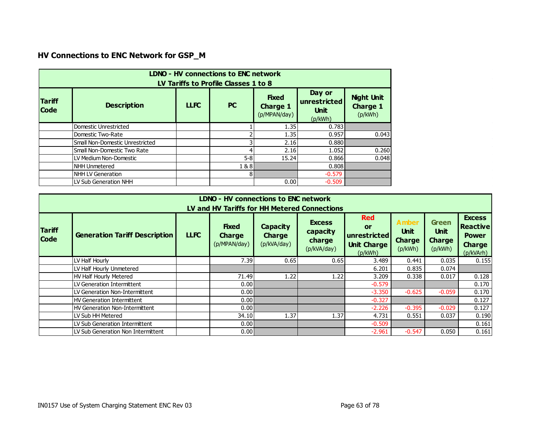# **HV Connections to ENC Network for GSP\_M**

|                                                                                                                                                                                                                                          | <b>LDNO - HV connections to ENC network</b><br>LV Tariffs to Profile Classes 1 to 8 |  |         |       |          |       |  |  |  |  |  |  |
|------------------------------------------------------------------------------------------------------------------------------------------------------------------------------------------------------------------------------------------|-------------------------------------------------------------------------------------|--|---------|-------|----------|-------|--|--|--|--|--|--|
| Day or<br><b>Night Unit</b><br><b>Fixed</b><br><b>Tariff</b><br>unrestricted<br><b>LLFC</b><br><b>PC</b><br><b>Description</b><br><b>Charge 1</b><br><b>Charge 1</b><br><b>Code</b><br><b>Unit</b><br>(p/kWh)<br>(p/MPAN/day)<br>(p/kWh) |                                                                                     |  |         |       |          |       |  |  |  |  |  |  |
|                                                                                                                                                                                                                                          | Domestic Unrestricted                                                               |  |         | 1.35  | 0.783    |       |  |  |  |  |  |  |
|                                                                                                                                                                                                                                          | Domestic Two-Rate                                                                   |  |         | 1.35  | 0.957    | 0.043 |  |  |  |  |  |  |
|                                                                                                                                                                                                                                          | Small Non-Domestic Unrestricted                                                     |  |         | 2.16  | 0.880    |       |  |  |  |  |  |  |
|                                                                                                                                                                                                                                          | Small Non-Domestic Two Rate                                                         |  | 4       | 2.16  | 1.052    | 0.260 |  |  |  |  |  |  |
|                                                                                                                                                                                                                                          | LV Medium Non-Domestic                                                              |  | $5 - 8$ | 15.24 | 0.866    | 0.048 |  |  |  |  |  |  |
|                                                                                                                                                                                                                                          | <b>NHH Unmetered</b>                                                                |  | 1&8     |       | 0.808    |       |  |  |  |  |  |  |
|                                                                                                                                                                                                                                          | <b>NHH LV Generation</b>                                                            |  | 8       |       | $-0.579$ |       |  |  |  |  |  |  |
|                                                                                                                                                                                                                                          | LV Sub Generation NHH                                                               |  |         | 0.00  | $-0.509$ |       |  |  |  |  |  |  |

|                                                                                                                                                                                                                                                                                                                                                                        | LDNO - HV connections to ENC network<br>LV and HV Tariffs for HH Metered Connections |  |       |      |      |          |          |          |                                                                                |  |  |  |
|------------------------------------------------------------------------------------------------------------------------------------------------------------------------------------------------------------------------------------------------------------------------------------------------------------------------------------------------------------------------|--------------------------------------------------------------------------------------|--|-------|------|------|----------|----------|----------|--------------------------------------------------------------------------------|--|--|--|
| <b>Red</b><br><b>Amber</b><br><b>Excess</b><br><b>Fixed</b><br>Capacity<br>or<br><b>Tariff</b><br><b>Unit</b><br>capacity<br><b>Generation Tariff Description</b><br><b>LLFC</b><br>unrestricted<br><b>Charge</b><br><b>Charge</b><br><b>Code</b><br>charge<br><b>Charge</b><br>(p/kVA/day)<br>(p/MPAN/day)<br><b>Unit Charge</b><br>(p/kVA/day)<br>(p/kWh)<br>(p/kWh) |                                                                                      |  |       |      |      |          |          |          | <b>Excess</b><br><b>Reactive</b><br><b>Power</b><br><b>Charge</b><br>(p/kVArh) |  |  |  |
|                                                                                                                                                                                                                                                                                                                                                                        | LV Half Hourly                                                                       |  | 7.39  | 0.65 | 0.65 | 3.489    | 0.441    | 0.035    | 0.155                                                                          |  |  |  |
|                                                                                                                                                                                                                                                                                                                                                                        | LV Half Hourly Unmetered                                                             |  |       |      |      | 6.201    | 0.835    | 0.074    |                                                                                |  |  |  |
|                                                                                                                                                                                                                                                                                                                                                                        | HV Half Hourly Metered                                                               |  | 71.49 | 1.22 | 1.22 | 3.209    | 0.338    | 0.017    | 0.128                                                                          |  |  |  |
|                                                                                                                                                                                                                                                                                                                                                                        | LV Generation Intermittent                                                           |  | 0.001 |      |      | $-0.579$ |          |          | 0.170                                                                          |  |  |  |
|                                                                                                                                                                                                                                                                                                                                                                        | LV Generation Non-Intermittent                                                       |  | 0.001 |      |      | $-3.350$ | $-0.625$ | $-0.059$ | 0.170                                                                          |  |  |  |
|                                                                                                                                                                                                                                                                                                                                                                        | <b>HV Generation Intermittent</b>                                                    |  | 0.00  |      |      | $-0.327$ |          |          | 0.127                                                                          |  |  |  |
|                                                                                                                                                                                                                                                                                                                                                                        | <b>HV Generation Non-Intermittent</b>                                                |  | 0.00  |      |      | $-2.226$ | $-0.395$ | $-0.029$ | 0.127                                                                          |  |  |  |
|                                                                                                                                                                                                                                                                                                                                                                        | LV Sub HH Metered                                                                    |  | 34.10 | 1.37 | 1.37 | 4.731    | 0.551    | 0.037    | 0.190                                                                          |  |  |  |
|                                                                                                                                                                                                                                                                                                                                                                        | LV Sub Generation Intermittent                                                       |  | 0.001 |      |      | $-0.509$ |          |          | 0.161                                                                          |  |  |  |
|                                                                                                                                                                                                                                                                                                                                                                        | LV Sub Generation Non Intermittent                                                   |  | 0.001 |      |      | $-2.961$ | $-0.547$ | 0.050    | 0.161                                                                          |  |  |  |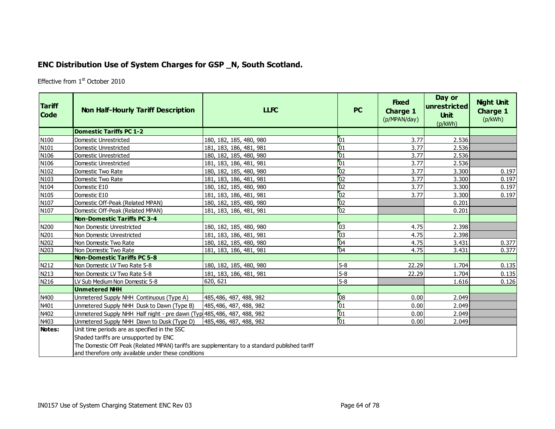# **ENC Distribution Use of System Charges for GSP \_N, South Scotland.**

Effective from 1<sup>st</sup> October 2010

| <b>Tariff</b><br><b>Code</b> | <b>Non Half-Hourly Tariff Description</b>                                                                                                                                                                                                      | <b>LLFC</b>             | <b>PC</b>       | <b>Fixed</b><br><b>Charge 1</b><br>(p/MPAN/day) | Day or<br>unrestricted<br><b>Unit</b><br>(p/kWh) | <b>Night Unit</b><br><b>Charge 1</b><br>(p/kWh) |
|------------------------------|------------------------------------------------------------------------------------------------------------------------------------------------------------------------------------------------------------------------------------------------|-------------------------|-----------------|-------------------------------------------------|--------------------------------------------------|-------------------------------------------------|
|                              | <b>Domestic Tariffs PC 1-2</b>                                                                                                                                                                                                                 |                         |                 |                                                 |                                                  |                                                 |
| N100                         | Domestic Unrestricted                                                                                                                                                                                                                          | 180, 182, 185, 480, 980 | 01              | 3.77                                            | 2.536                                            |                                                 |
| N101                         | Domestic Unrestricted                                                                                                                                                                                                                          | 181, 183, 186, 481, 981 | $\overline{01}$ | 3.77                                            | 2.536                                            |                                                 |
| N106                         | Domestic Unrestricted                                                                                                                                                                                                                          | 180, 182, 185, 480, 980 | $\overline{01}$ | 3.77                                            | 2.536                                            |                                                 |
| N106                         | Domestic Unrestricted                                                                                                                                                                                                                          | 181, 183, 186, 481, 981 | $\overline{01}$ | 3.77                                            | 2.536                                            |                                                 |
| N102                         | Domestic Two Rate                                                                                                                                                                                                                              | 180, 182, 185, 480, 980 | 02              | 3.77                                            | 3.300                                            | 0.197                                           |
| N103                         | Domestic Two Rate                                                                                                                                                                                                                              | 181, 183, 186, 481, 981 | 02              | 3.77                                            | 3.300                                            | 0.197                                           |
| N104                         | Domestic E10                                                                                                                                                                                                                                   | 180, 182, 185, 480, 980 | 02              | 3.77                                            | 3.300                                            | 0.197                                           |
| N105                         | Domestic E10                                                                                                                                                                                                                                   | 181, 183, 186, 481, 981 | 02              | 3.77                                            | 3.300                                            | 0.197                                           |
| N107                         | Domestic Off-Peak (Related MPAN)                                                                                                                                                                                                               | 180, 182, 185, 480, 980 | 02              |                                                 | 0.201                                            |                                                 |
| N107                         | Domestic Off-Peak (Related MPAN)                                                                                                                                                                                                               | 181, 183, 186, 481, 981 | 02              |                                                 | 0.201                                            |                                                 |
|                              | <b>Non-Domestic Tariffs PC 3-4</b>                                                                                                                                                                                                             |                         |                 |                                                 |                                                  |                                                 |
| N200                         | Non Domestic Unrestricted                                                                                                                                                                                                                      | 180, 182, 185, 480, 980 | 03              | 4.75                                            | 2.398                                            |                                                 |
| N201                         | Non Domestic Unrestricted                                                                                                                                                                                                                      | 181, 183, 186, 481, 981 | $\overline{03}$ | 4.75                                            | 2.398                                            |                                                 |
| N202                         | Non Domestic Two Rate                                                                                                                                                                                                                          | 180, 182, 185, 480, 980 | 04              | 4.75                                            | 3.431                                            | 0.377                                           |
| N203                         | Non Domestic Two Rate                                                                                                                                                                                                                          | 181, 183, 186, 481, 981 | 04              | 4.75                                            | 3.431                                            | 0.377                                           |
|                              | <b>Non-Domestic Tariffs PC 5-8</b>                                                                                                                                                                                                             |                         |                 |                                                 |                                                  |                                                 |
| N212                         | Non Domestic LV Two Rate 5-8                                                                                                                                                                                                                   | 180, 182, 185, 480, 980 | $5 - 8$         | 22.29                                           | 1.704                                            | 0.135                                           |
| N213                         | Non Domestic LV Two Rate 5-8                                                                                                                                                                                                                   | 181, 183, 186, 481, 981 | $5-8$           | 22.29                                           | 1.704                                            | 0.135                                           |
| N216                         | LV Sub Medium Non Domestic 5-8                                                                                                                                                                                                                 | 620, 621                | $5-8$           |                                                 | 1.616                                            | 0.126                                           |
|                              | <b>Unmetered NHH</b>                                                                                                                                                                                                                           |                         |                 |                                                 |                                                  |                                                 |
| N400                         | Unmetered Supply NHH Continuous (Type A)                                                                                                                                                                                                       | 485,486, 487, 488, 982  | 08              | 0.00                                            | 2.049                                            |                                                 |
| N401                         | Unmetered Supply NHH Dusk to Dawn (Type B)                                                                                                                                                                                                     | 485,486, 487, 488, 982  | $\sqrt{01}$     | 0.00                                            | 2.049                                            |                                                 |
| N402                         | Unmetered Supply NHH Half night - pre dawn (Typ 485, 486, 487, 488, 982                                                                                                                                                                        |                         | 01              | 0.00                                            | 2.049                                            |                                                 |
| N403                         | Unmetered Supply NHH Dawn to Dusk (Type D)                                                                                                                                                                                                     | 485,486, 487, 488, 982  | $\overline{01}$ | 0.00                                            | 2.049                                            |                                                 |
| Notes:                       | Unit time periods are as specified in the SSC<br>Shaded tariffs are unsupported by ENC<br>The Domestic Off Peak (Related MPAN) tariffs are supplementary to a standard published tariff<br>and therefore only available under these conditions |                         |                 |                                                 |                                                  |                                                 |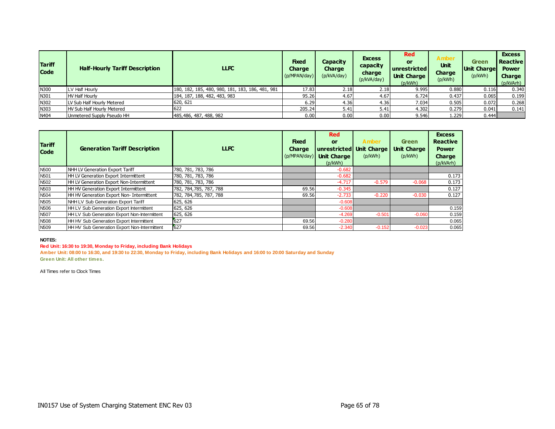| <b>Tariff</b><br><b>Code</b> | <b>Half-Hourly Tariff Description</b> | <b>LLFC</b>                                      | <b>Fixed</b><br>Charge<br>(p/MPAN/day) | Capacity<br>Charge<br>(p/kVA/day) | <b>Excess</b><br>capacity<br>charge<br>(p/kVA/day) | <b>Red</b><br>or<br><b>unrestricted</b><br><b>Unit Charge</b><br>(p/kWh) | Amber<br><b>Unit</b><br><b>Charge</b><br>(p/kWh) | Green<br><b>Unit Charge</b><br>(p/kWh) | <b>Excess</b><br><b>Reactive</b><br><b>Power</b><br><b>Charge</b><br>(p/kVArh) |
|------------------------------|---------------------------------------|--------------------------------------------------|----------------------------------------|-----------------------------------|----------------------------------------------------|--------------------------------------------------------------------------|--------------------------------------------------|----------------------------------------|--------------------------------------------------------------------------------|
| N300                         | LV Half Hourly                        | 180, 182, 185, 480, 980, 181, 183, 186, 481, 981 | 17.83                                  | 2.18                              | 2.18                                               | 9.995                                                                    | 0.880                                            | 0.116                                  | 0.340                                                                          |
| N301                         | <b>HV Half Hourly</b>                 | 184, 187, 188, 482, 483, 983                     | 95.26                                  | 4.67                              | 4.67                                               | 6.724                                                                    | 0.437                                            | 0.065                                  | 0.199                                                                          |
| N302                         | LV Sub Half Hourly Metered            | 620, 621                                         | 6.29                                   | 4.36                              | 4.36                                               | 7.034                                                                    | 0.505                                            | 0.072                                  | 0.268                                                                          |
| N303                         | <b>HV Sub Half Hourly Metered</b>     | 622                                              | 205.24                                 | 5.41                              | 5.41                                               | 4.302                                                                    | 0.279                                            | 0.041                                  | 0.141                                                                          |
| N404                         | Unmetered Supply Pseudo HH            | 485,486, 487, 488, 982                           | 0.00                                   | 0.00                              | 0.00                                               | 9.546                                                                    | .229'                                            | 0.444                                  |                                                                                |

| <b>Tariff</b><br><b>Code</b> | <b>Generation Tariff Description</b>         | <b>LLFC</b>             | <b>Fixed</b><br><b>Charge</b><br>(p/MPAN/day) | <b>Red</b><br><b>or</b><br><b>Unit Charge</b><br>(p/kWh) | <b>Amber</b><br>unrestricted Unit Charge<br>(p/kWh) | <b>Green</b><br><b>Unit Charge</b><br>(p/kWh) | <b>Excess</b><br><b>Reactive</b><br><b>Power</b><br>Charge<br>(p/kVArh) |
|------------------------------|----------------------------------------------|-------------------------|-----------------------------------------------|----------------------------------------------------------|-----------------------------------------------------|-----------------------------------------------|-------------------------------------------------------------------------|
| <b>N500</b>                  | NHH LV Generation Export Tariff              | 780, 781, 783, 786      |                                               | $-0.682$                                                 |                                                     |                                               |                                                                         |
| N <sub>501</sub>             | HH LV Generation Export Intermittent         | 780, 781, 783, 786      |                                               | $-0.682$                                                 |                                                     |                                               | 0.173                                                                   |
| N <sub>502</sub>             | HH LV Generation Export Non-Intermittent     | 780, 781, 783, 786      |                                               | $-4.717$                                                 | $-0.579$                                            | $-0.068$                                      | 0.173                                                                   |
| N <sub>503</sub>             | HH HV Generation Export Intermittent         | 782, 784, 785, 787, 788 | 69.56                                         | $-0.345$                                                 |                                                     |                                               | 0.127                                                                   |
| N <sub>504</sub>             | HH HV Generation Export Non- Intermittent    | 782, 784, 785, 787, 788 | 69.56                                         | $-2.733$                                                 | $-0.220$                                            | $-0.030$                                      | 0.127                                                                   |
| N <sub>505</sub>             | NHH LV Sub Generation Export Tariff          | 625, 626                |                                               | $-0.608$                                                 |                                                     |                                               |                                                                         |
| N <sub>506</sub>             | HH LV Sub Generation Export Intermittent     | 625, 626                |                                               | $-0.608$                                                 |                                                     |                                               | 0.159                                                                   |
| <b>N507</b>                  | HH LV Sub Generation Export Non-Intermittent | 625, 626                |                                               | $-4.269$                                                 | $-0.501$                                            | $-0.060$                                      | 0.159                                                                   |
| <b>N508</b>                  | HH HV Sub Generation Export Intermittent     | 627                     | 69.56                                         | $-0.280$                                                 |                                                     |                                               | 0.065                                                                   |
| N <sub>509</sub>             | HH HV Sub Generation Export Non-Intermittent | 627                     | 69.56                                         | $-2.340$                                                 | $-0.152$                                            | $-0.023$                                      | 0.065                                                                   |

#### **Red Unit: 16:30 to 19:30, Monday to Friday, including Bank Holidays**

**Amber Unit: 08:00 to 16:30, and 19:30 to 22:30, Monday to Friday, including Bank Holidays and 16:00 to 20:00 Saturday and Sunday Green Unit: All other times.**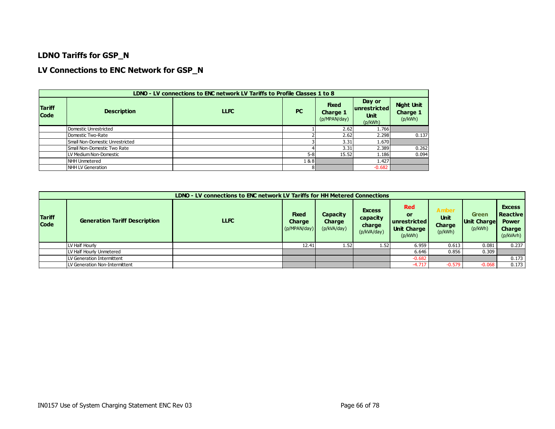### **LDNO Tariffs for GSP\_N**

### **LV Connections to ENC Network for GSP\_N**

|                              | LDNO - LV connections to ENC network LV Tariffs to Profile Classes 1 to 8 |             |           |                                                 |                                                    |                                          |  |  |  |  |  |  |  |
|------------------------------|---------------------------------------------------------------------------|-------------|-----------|-------------------------------------------------|----------------------------------------------------|------------------------------------------|--|--|--|--|--|--|--|
| <b>Tariff</b><br><b>Code</b> | <b>Description</b>                                                        | <b>LLFC</b> | <b>PC</b> | <b>Fixed</b><br><b>Charge 1</b><br>(p/MPAN/day) | Day or<br> unrestricted <br><b>Unit</b><br>(p/kWh) | <b>Night Unit</b><br>Charge 1<br>(p/kWh) |  |  |  |  |  |  |  |
|                              | Domestic Unrestricted                                                     |             |           | 2.62                                            | 1.766                                              |                                          |  |  |  |  |  |  |  |
|                              | Domestic Two-Rate                                                         |             |           | 2.62                                            | 2.298                                              | 0.137                                    |  |  |  |  |  |  |  |
|                              | Small Non-Domestic Unrestricted                                           |             |           | 3.31                                            | 1.670                                              |                                          |  |  |  |  |  |  |  |
|                              | Small Non-Domestic Two Rate                                               |             |           | 3.31                                            | 2.389                                              | 0.262                                    |  |  |  |  |  |  |  |
|                              | LV Medium Non-Domestic                                                    |             | $5 - 8$   | 15.52                                           | 1.186                                              | 0.094                                    |  |  |  |  |  |  |  |
|                              | NHH Unmetered                                                             |             | 1&8       |                                                 | 1.427                                              |                                          |  |  |  |  |  |  |  |
|                              | NHH LV Generation                                                         |             | 8         |                                                 | $-0.682$                                           |                                          |  |  |  |  |  |  |  |

|                              | LDNO - LV connections to ENC network LV Tariffs for HH Metered Connections |             |                                               |                                   |                                                    |                                                                     |                                                  |                                        |                                                                         |  |  |  |
|------------------------------|----------------------------------------------------------------------------|-------------|-----------------------------------------------|-----------------------------------|----------------------------------------------------|---------------------------------------------------------------------|--------------------------------------------------|----------------------------------------|-------------------------------------------------------------------------|--|--|--|
| <b>Tariff</b><br><b>Code</b> | <b>Generation Tariff Description</b>                                       | <b>LLFC</b> | <b>Fixed</b><br><b>Charge</b><br>(p/MPAN/day) | Capacity<br>Charge<br>(p/kVA/day) | <b>Excess</b><br>capacity<br>charge<br>(p/kVA/day) | <b>Red</b><br>or<br>unrestricted I<br><b>Unit Charge</b><br>(p/kWh) | <b>Amber</b><br><b>Unit</b><br>Charge<br>(p/kWh) | Green<br><b>Unit Charge</b><br>(p/kWh) | <b>Excess</b><br><b>Reactive</b><br><b>Power</b><br>Charge<br>(p/kVArh) |  |  |  |
|                              | LV Half Hourly                                                             |             | 12.41                                         | 1.52                              | 1.52                                               | 6.959                                                               | 0.613                                            | 0.081                                  | 0.237                                                                   |  |  |  |
|                              | LV Half Hourly Unmetered                                                   |             |                                               |                                   |                                                    | 6.646                                                               | 0.856                                            | 0.309                                  |                                                                         |  |  |  |
|                              | LV Generation Intermittent                                                 |             |                                               |                                   |                                                    | $-0.682$                                                            |                                                  |                                        | 0.173                                                                   |  |  |  |
|                              | LV Generation Non-Intermittent                                             |             |                                               |                                   |                                                    | $-4.717$                                                            | $-0.579$                                         | $-0.068$                               | 0.173                                                                   |  |  |  |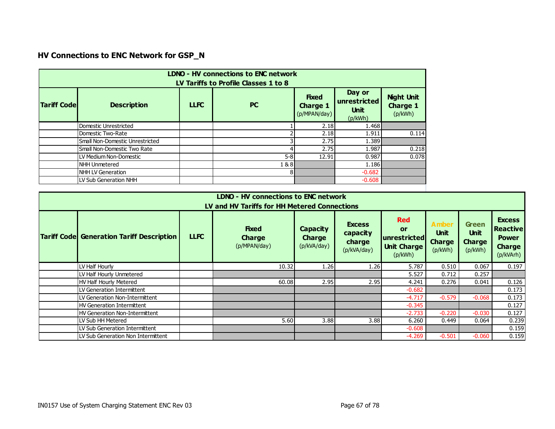# **HV Connections to ENC Network for GSP\_N**

| <b>Fixed</b><br><b>Tariff Code</b><br><b>Description</b><br><b>LLFC</b><br><b>PC</b><br><b>Charge 1</b><br>(p/MPAN/day) | Day or<br>unrestricted<br><b>Unit</b> | <b>Night Unit</b><br><b>Charge 1</b> |
|-------------------------------------------------------------------------------------------------------------------------|---------------------------------------|--------------------------------------|
|                                                                                                                         | (p/kWh)                               | (p/kWh)                              |
| Domestic Unrestricted                                                                                                   | 2.18<br>1.468                         |                                      |
| Domestic Two-Rate                                                                                                       | 2.18<br>1.911                         | 0.114                                |
| Small Non-Domestic Unrestricted                                                                                         | 2.75<br>1.389                         |                                      |
| Small Non-Domestic Two Rate                                                                                             | 2.75<br>1.987                         | 0.218                                |
| $5 - 8$<br>LV Medium Non-Domestic                                                                                       | 12.91<br>0.987                        | 0.078                                |
| <b>NHH Unmetered</b><br>1&8                                                                                             | 1.186                                 |                                      |
| 8 <sup>1</sup><br>NHH LV Generation                                                                                     | $-0.682$                              |                                      |
| LV Sub Generation NHH                                                                                                   | $-0.608$                              |                                      |

| LDNO - HV connections to ENC network<br>LV and HV Tariffs for HH Metered Connections                                                                                                                                                                                                                                                                                                                                                                                                     |  |       |      |      |          |          |          |       |  |  |  |
|------------------------------------------------------------------------------------------------------------------------------------------------------------------------------------------------------------------------------------------------------------------------------------------------------------------------------------------------------------------------------------------------------------------------------------------------------------------------------------------|--|-------|------|------|----------|----------|----------|-------|--|--|--|
| <b>Excess</b><br><b>Red</b><br>Amber<br><b>Green</b><br><b>Excess</b><br><b>Fixed</b><br><b>Reactive</b><br>Capacity<br>or<br><b>Unit</b><br><b>Unit</b><br>capacity<br><b>LLFC</b><br><b>Tariff Code Generation Tariff Description</b><br>unrestricted<br><b>Charge</b><br><b>Charge</b><br><b>Power</b><br><b>Charge</b><br>charge<br><b>Charge</b><br>(p/MPAN/day)<br>(p/kVA/day)<br><b>Unit Charge</b><br><b>Charge</b><br>(p/kVA/day)<br>(p/kWh)<br>(p/kWh)<br>(p/kVArh)<br>(p/kWh) |  |       |      |      |          |          |          |       |  |  |  |
| LV Half Hourly                                                                                                                                                                                                                                                                                                                                                                                                                                                                           |  | 10.32 | 1.26 | 1.26 | 5.787    | 0.510    | 0.067    | 0.197 |  |  |  |
| LV Half Hourly Unmetered                                                                                                                                                                                                                                                                                                                                                                                                                                                                 |  |       |      |      | 5.527    | 0.712    | 0.257    |       |  |  |  |
| HV Half Hourly Metered                                                                                                                                                                                                                                                                                                                                                                                                                                                                   |  | 60.08 | 2.95 | 2.95 | 4.241    | 0.276    | 0.041    | 0.126 |  |  |  |
| LLV Generation Intermittent                                                                                                                                                                                                                                                                                                                                                                                                                                                              |  |       |      |      | $-0.682$ |          |          | 0.173 |  |  |  |
| LLV Generation Non-Intermittent                                                                                                                                                                                                                                                                                                                                                                                                                                                          |  |       |      |      | $-4.717$ | $-0.579$ | $-0.068$ | 0.173 |  |  |  |
| HV Generation Intermittent                                                                                                                                                                                                                                                                                                                                                                                                                                                               |  |       |      |      | $-0.345$ |          |          | 0.127 |  |  |  |
| HV Generation Non-Intermittent                                                                                                                                                                                                                                                                                                                                                                                                                                                           |  |       |      |      | $-2.733$ | $-0.220$ | $-0.030$ | 0.127 |  |  |  |
| LV Sub HH Metered                                                                                                                                                                                                                                                                                                                                                                                                                                                                        |  | 5.60  | 3.88 | 3.88 | 6.260    | 0.449    | 0.064    | 0.239 |  |  |  |
| LV Sub Generation Intermittent                                                                                                                                                                                                                                                                                                                                                                                                                                                           |  |       |      |      | $-0.608$ |          |          | 0.159 |  |  |  |
| LV Sub Generation Non Intermittent                                                                                                                                                                                                                                                                                                                                                                                                                                                       |  |       |      |      | $-4.269$ | $-0.501$ | $-0.060$ | 0.159 |  |  |  |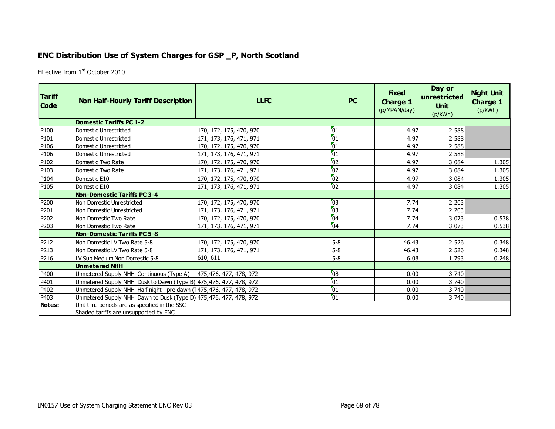## **ENC Distribution Use of System Charges for GSP \_P, North Scotland**

Effective from 1<sup>st</sup> October 2010

| <b>Tariff</b><br><b>Code</b> | <b>Non Half-Hourly Tariff Description</b>                                              | <b>LLFC</b>             | <b>PC</b>       | <b>Fixed</b><br>Charge 1<br>(p/MPAN/day) | Day or<br>$ {\sf unrestricted} $<br><b>Unit</b><br>(p/kWh) | <b>Night Unit</b><br><b>Charge 1</b><br>(p/kWh) |
|------------------------------|----------------------------------------------------------------------------------------|-------------------------|-----------------|------------------------------------------|------------------------------------------------------------|-------------------------------------------------|
|                              | <b>Domestic Tariffs PC 1-2</b>                                                         |                         |                 |                                          |                                                            |                                                 |
| P <sub>100</sub>             | <b>Domestic Unrestricted</b>                                                           | 170, 172, 175, 470, 970 | 101             | 4.97                                     | 2.588                                                      |                                                 |
| P <sub>101</sub>             | Domestic Unrestricted                                                                  | 171, 173, 176, 471, 971 | 01              | 4.97                                     | 2.588                                                      |                                                 |
| P106                         | <b>Domestic Unrestricted</b>                                                           | 170, 172, 175, 470, 970 | 101             | 4.97                                     | 2.588                                                      |                                                 |
| P <sub>106</sub>             | <b>Domestic Unrestricted</b>                                                           | 171, 173, 176, 471, 971 | $\overline{01}$ | 4.97                                     | 2.588                                                      |                                                 |
| P102                         | Domestic Two Rate                                                                      | 170, 172, 175, 470, 970 | 102             | 4.97                                     | 3.084                                                      | 1.305                                           |
| P <sub>103</sub>             | Domestic Two Rate                                                                      | 171, 173, 176, 471, 971 | 02              | 4.97                                     | 3.084                                                      | 1.305                                           |
| P104                         | Domestic E10                                                                           | 170, 172, 175, 470, 970 | 02              | 4.97                                     | 3.084                                                      | 1.305                                           |
| P105                         | Domestic E10                                                                           | 171, 173, 176, 471, 971 | $\overline{0}$  | 4.97                                     | 3.084                                                      | 1.305                                           |
|                              | <b>Non-Domestic Tariffs PC 3-4</b>                                                     |                         |                 |                                          |                                                            |                                                 |
| P200                         | Non Domestic Unrestricted                                                              | 170, 172, 175, 470, 970 | 03              | 7.74                                     | 2.203                                                      |                                                 |
| P201                         | Non Domestic Unrestricted                                                              | 171, 173, 176, 471, 971 | 03              | 7.74                                     | 2.203                                                      |                                                 |
| P202                         | Non Domestic Two Rate                                                                  | 170, 172, 175, 470, 970 | 04              | 7.74                                     | 3.073                                                      | 0.538                                           |
| P203                         | Non Domestic Two Rate                                                                  | 171, 173, 176, 471, 971 | 04              | 7.74                                     | 3.073                                                      | 0.538                                           |
|                              | <b>Non-Domestic Tariffs PC 5-8</b>                                                     |                         |                 |                                          |                                                            |                                                 |
| P212                         | Non Domestic LV Two Rate 5-8                                                           | 170, 172, 175, 470, 970 | $5-8$           | 46.43                                    | 2.526                                                      | 0.348                                           |
| P213                         | Non Domestic LV Two Rate 5-8                                                           | 171, 173, 176, 471, 971 | $5 - 8$         | 46.43                                    | 2.526                                                      | 0.348                                           |
| P216                         | LV Sub Medium Non Domestic 5-8                                                         | 610, 611                | $5 - 8$         | 6.08                                     | 1.793                                                      | 0.248                                           |
|                              | <b>Unmetered NHH</b>                                                                   |                         |                 |                                          |                                                            |                                                 |
| P400                         | Unmetered Supply NHH Continuous (Type A)   475,476, 477, 478, 972                      |                         | 08              | 0.00                                     | 3.740                                                      |                                                 |
| P401                         | Unmetered Supply NHH Dusk to Dawn (Type B) 475, 476, 477, 478, 972                     |                         | 01              | 0.00                                     | 3.740                                                      |                                                 |
| P402                         | Unmetered Supply NHH Half night - pre dawn (1475, 476, 477, 478, 972)                  |                         | $\sqrt{01}$     | 0.00                                     | 3.740                                                      |                                                 |
| P403                         | Unmetered Supply NHH Dawn to Dusk (Type D) 475, 476, 477, 478, 972                     |                         | $\sqrt{01}$     | 0.00                                     | 3.740                                                      |                                                 |
| Notes:                       | Unit time periods are as specified in the SSC<br>Shaded tariffs are unsupported by ENC |                         |                 |                                          |                                                            |                                                 |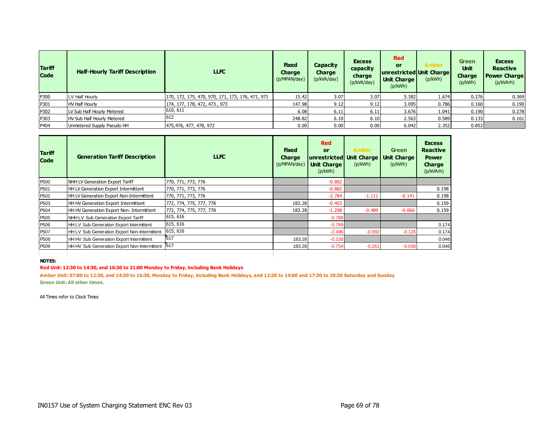| <b>Tariff</b><br><b>Code</b> | <b>Half-Hourly Tariff Description</b> | LLFC                                             | <b>Fixed</b><br><b>Charge</b><br>(p/MPAN/day) | <b>Capacity</b><br><b>Charge</b><br>(p/kVA/day) | <b>Excess</b><br>capacity<br>charge<br>(p/kVA/day) | <b>Red</b><br><b>or</b><br>unrestricted Unit Charge<br><b>Unit Charge</b><br>(p/kWh) | Amber<br>(p/kWh) | <b>Green</b><br><b>Unit</b><br><b>Charge</b><br>(p/kWh) | <b>Excess</b><br><b>Reactive</b><br><b>Power Charge</b><br>(p/kVArh) |
|------------------------------|---------------------------------------|--------------------------------------------------|-----------------------------------------------|-------------------------------------------------|----------------------------------------------------|--------------------------------------------------------------------------------------|------------------|---------------------------------------------------------|----------------------------------------------------------------------|
| P300                         | LV Half Hourly                        | 170, 172, 175, 470, 970, 171, 173, 176, 471, 971 | 15.42                                         | 3.07                                            | 3.07                                               | 5.382                                                                                | 1.674            | 0.276                                                   | 0.369                                                                |
| P301                         | <b>HV Half Hourly</b>                 | 174, 177, 178, 472, 473, 973                     | 147.98                                        | 9.12                                            | 9.12                                               | 3.095                                                                                | 0.786            | 0.160                                                   | 0.190                                                                |
| P302                         | LV Sub Half Hourly Metered            | 610, 611                                         | 6.08                                          | 6.11                                            | 6.11                                               | 3.676                                                                                | 1.041            | 0.190                                                   | 0.278                                                                |
| P303                         | <b>HV Sub Half Hourly Metered</b>     | 612                                              | 248.82                                        | 6.10                                            | 6.10                                               | 2.563                                                                                | 0.589            | 0.133                                                   | 0.161                                                                |
| P404                         | Unmetered Supply Pseudo HH            | 475,476, 477, 478, 972                           | 0.00                                          | 0.00                                            | 0.00                                               | 6.042                                                                                | 2.352            | 0.852                                                   |                                                                      |

| <b>Tariff</b><br><b>Code</b> | <b>Generation Tariff Description</b>             | <b>LLFC</b>             | <b>Fixed</b><br><b>Charge</b><br>(p/MPAN/day) | <b>Red</b><br>or<br>unrestricted Unit Charge<br><b>Unit Charge</b><br>(p/kWh) | <b>Amber</b><br>(p/kWh) | <b>Green</b><br>Unit Charge<br>(p/kWh) | <b>Excess</b><br><b>Reactive</b><br><b>Power</b><br>Charge<br>(p/kVArh) |
|------------------------------|--------------------------------------------------|-------------------------|-----------------------------------------------|-------------------------------------------------------------------------------|-------------------------|----------------------------------------|-------------------------------------------------------------------------|
| P <sub>500</sub>             | NHH LV Generation Export Tariff                  | 770, 771, 773, 776      |                                               | $-0.882$                                                                      |                         |                                        |                                                                         |
| P <sub>501</sub>             | HH LV Generation Export Intermittent             | 770, 771, 773, 776      |                                               | $-0.882$                                                                      |                         |                                        | 0.198                                                                   |
| P <sub>502</sub>             | HH LV Generation Export Non-Intermittent         | 770, 771, 773, 776      |                                               | $-2.784$                                                                      | $-1.111$                | $-0.141$                               | 0.198                                                                   |
| P <sub>503</sub>             | HH HV Generation Export Intermittent             | 772, 774, 775, 777, 778 | 183.28                                        | $-0.403$                                                                      |                         |                                        | 0.159                                                                   |
| P <sub>504</sub>             | HH HV Generation Export Non- Intermittent        | 772, 774, 775, 777, 778 | 183.28                                        | $-1.298$                                                                      | $-0.489$                | $-0.066$                               | 0.159                                                                   |
| P <sub>505</sub>             | NHH LV Sub Generation Export Tariff              | 615, 616                |                                               | $-0.789$                                                                      |                         |                                        |                                                                         |
| P <sub>506</sub>             | HH LV Sub Generation Export Intermittent         | 615, 616                |                                               | $-0.789$                                                                      |                         |                                        | 0.174                                                                   |
| P <sub>507</sub>             | HH LV Sub Generation Export Non-Intermittent     | 615, 616                |                                               | $-2.496$                                                                      | $-0.992$                | $-0.126$                               | 0.174                                                                   |
| P <sub>508</sub>             | HH HV Sub Generation Export Intermittent         | 617                     | 183.28                                        | $-0.228$                                                                      |                         |                                        | 0.046                                                                   |
| P <sub>509</sub>             | HH HV Sub Generation Export Non-Intermittent 617 |                         | 183.28                                        | $-0.754$                                                                      | $-0.261$                | $-0.038$                               | 0.046                                                                   |
|                              |                                                  |                         |                                               |                                                                               |                         |                                        |                                                                         |

#### **Red Unit: 12:30 to 14:30, and 16:30 to 21:00 Monday to Friday, including Bank Holidays**

**Amber Unit: 07:00 to 12:30, and 14:30 to 16:30, Monday to Friday, including Bank Holidays, and 12:30 to 14:00 and 17:30 to 20:30 Saturday and Sunday Green Unit: All other times.**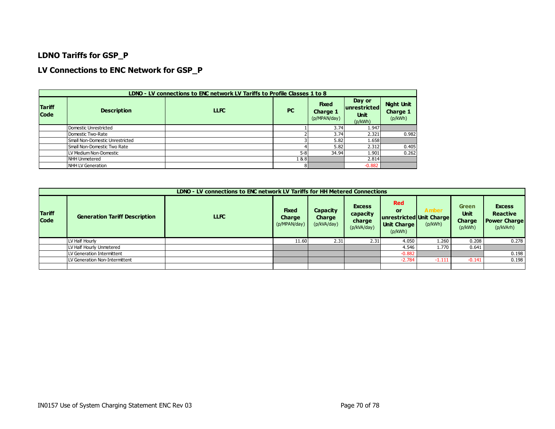### **LDNO Tariffs for GSP\_P**

### **LV Connections to ENC Network for GSP\_P**

|                              | LDNO - LV connections to ENC network LV Tariffs to Profile Classes 1 to 8 |             |           |                                          |                                                         |                                          |  |  |  |  |  |  |  |
|------------------------------|---------------------------------------------------------------------------|-------------|-----------|------------------------------------------|---------------------------------------------------------|------------------------------------------|--|--|--|--|--|--|--|
| <b>Tariff</b><br><b>Code</b> | <b>Description</b>                                                        | <b>LLFC</b> | <b>PC</b> | <b>Fixed</b><br>Charge 1<br>(p/MPAN/day) | Day or<br><b>unrestricted</b><br><b>Unit</b><br>(p/kWh) | <b>Night Unit</b><br>Charge 1<br>(p/kWh) |  |  |  |  |  |  |  |
|                              | Domestic Unrestricted                                                     |             |           | 3.74                                     | 1.947                                                   |                                          |  |  |  |  |  |  |  |
|                              | Domestic Two-Rate                                                         |             |           | 3.74                                     | 2.321                                                   | 0.982                                    |  |  |  |  |  |  |  |
|                              | Small Non-Domestic Unrestricted                                           |             |           | 5.82                                     | 1.658                                                   |                                          |  |  |  |  |  |  |  |
|                              | Small Non-Domestic Two Rate                                               |             |           | 5.82                                     | 2.312                                                   | 0.405                                    |  |  |  |  |  |  |  |
|                              | LV Medium Non-Domestic                                                    |             | $5-8$     | 34.94                                    | 1.901                                                   | 0.262                                    |  |  |  |  |  |  |  |
|                              | NHH Unmetered                                                             |             | 1 & 8 I   |                                          | 2.814                                                   |                                          |  |  |  |  |  |  |  |
|                              | NHH LV Generation                                                         |             | 81        |                                          | $-0.882$                                                |                                          |  |  |  |  |  |  |  |

|                              | LDNO - LV connections to ENC network LV Tariffs for HH Metered Connections |       |                                               |                                          |                                                    |                                                                        |                  |                                                         |                                                                      |  |  |
|------------------------------|----------------------------------------------------------------------------|-------|-----------------------------------------------|------------------------------------------|----------------------------------------------------|------------------------------------------------------------------------|------------------|---------------------------------------------------------|----------------------------------------------------------------------|--|--|
| <b>Tariff</b><br><b>Code</b> | <b>Generation Tariff Description</b>                                       | LLFC. | <b>Fixed</b><br><b>Charge</b><br>(p/MPAN/day) | <b>Capacity</b><br>Charge<br>(p/kVA/day) | <b>Excess</b><br>capacity<br>charge<br>(p/kVA/day) | <b>Red</b><br>or<br>unrestricted Unit Charge<br>Unit Charge<br>(p/kWh) | Amber<br>(p/kWh) | <b>Green</b><br><b>Unit</b><br><b>Charge</b><br>(p/kWh) | <b>Excess</b><br><b>Reactive</b><br><b>Power Charge</b><br>(p/kVArh) |  |  |
|                              | LV Half Hourly                                                             |       | 11.60                                         | 2.31                                     | 2.31                                               | 4.050                                                                  | 1.260            | 0.208                                                   | 0.278                                                                |  |  |
|                              | LV Half Hourly Unmetered                                                   |       |                                               |                                          |                                                    | 4.546                                                                  | 1.770            | 0.641                                                   |                                                                      |  |  |
|                              | LV Generation Intermittent                                                 |       |                                               |                                          |                                                    | $-0.882$                                                               |                  |                                                         | 0.198                                                                |  |  |
|                              | LV Generation Non-Intermittent                                             |       |                                               |                                          |                                                    | $-2.784$                                                               | $-1.111$         | $-0.141$                                                | 0.198                                                                |  |  |
|                              |                                                                            |       |                                               |                                          |                                                    |                                                                        |                  |                                                         |                                                                      |  |  |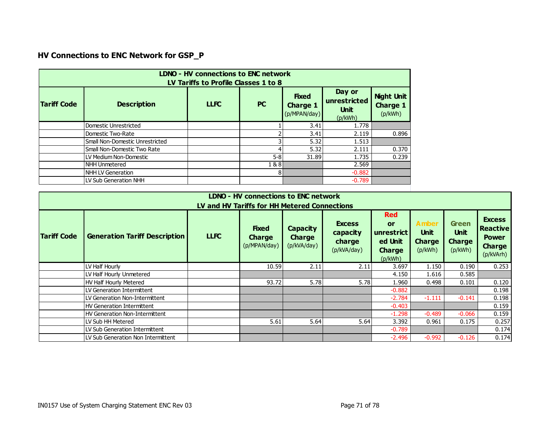# **HV Connections to ENC Network for GSP\_P**

| <b>LDNO - HV connections to ENC network</b><br>LV Tariffs to Profile Classes 1 to 8 |                                 |             |           |                                                 |                                                  |                                                 |
|-------------------------------------------------------------------------------------|---------------------------------|-------------|-----------|-------------------------------------------------|--------------------------------------------------|-------------------------------------------------|
| <b>Tariff Code</b>                                                                  | <b>Description</b>              | <b>LLFC</b> | <b>PC</b> | <b>Fixed</b><br><b>Charge 1</b><br>(p/MPAN/day) | Day or<br>unrestricted<br><b>Unit</b><br>(p/kWh) | <b>Night Unit</b><br><b>Charge 1</b><br>(p/kWh) |
|                                                                                     | Domestic Unrestricted           |             |           | 3.41                                            | 1.778                                            |                                                 |
|                                                                                     | Domestic Two-Rate               |             |           | 3.41                                            | 2.119                                            | 0.896                                           |
|                                                                                     | Small Non-Domestic Unrestricted |             |           | 5.32                                            | 1.513                                            |                                                 |
|                                                                                     | Small Non-Domestic Two Rate     |             |           | 5.32                                            | 2.111                                            | 0.370                                           |
|                                                                                     | LV Medium Non-Domestic          |             | $5 - 8$   | 31.89                                           | 1.735                                            | 0.239                                           |
|                                                                                     | <b>NHH Unmetered</b>            |             | 1 & 8     |                                                 | 2.569                                            |                                                 |
|                                                                                     | <b>NHH LV Generation</b>        |             | 81        |                                                 | $-0.882$                                         |                                                 |
|                                                                                     | LV Sub Generation NHH           |             |           |                                                 | $-0.789$                                         |                                                 |

| LDNO - HV connections to ENC network<br>LV and HV Tariffs for HH Metered Connections |                                      |             |                                               |                                          |                                                    |                                                                       |                                                  |                                                         |                                                                                |
|--------------------------------------------------------------------------------------|--------------------------------------|-------------|-----------------------------------------------|------------------------------------------|----------------------------------------------------|-----------------------------------------------------------------------|--------------------------------------------------|---------------------------------------------------------|--------------------------------------------------------------------------------|
| <b>Tariff Code</b>                                                                   | <b>Generation Tariff Description</b> | <b>LLFC</b> | <b>Fixed</b><br><b>Charge</b><br>(p/MPAN/day) | Capacity<br><b>Charge</b><br>(p/kVA/day) | <b>Excess</b><br>capacity<br>charge<br>(p/kVA/day) | <b>Red</b><br>or<br>unrestrict<br>ed Unit<br><b>Charge</b><br>(p/kWh) | Amber<br><b>Unit</b><br><b>Charge</b><br>(p/kWh) | <b>Green</b><br><b>Unit</b><br><b>Charge</b><br>(p/kWh) | <b>Excess</b><br><b>Reactive</b><br><b>Power</b><br><b>Charge</b><br>(p/kVArh) |
|                                                                                      | LV Half Hourly                       |             | 10.59                                         | 2.11                                     | 2.11                                               | 3.697                                                                 | 1.150                                            | 0.190                                                   | 0.253                                                                          |
|                                                                                      | LV Half Hourly Unmetered             |             |                                               |                                          |                                                    | 4.150                                                                 | 1.616                                            | 0.585                                                   |                                                                                |
|                                                                                      | HV Half Hourly Metered               |             | 93.72                                         | 5.78                                     | 5.78                                               | 1.960                                                                 | 0.498                                            | 0.101                                                   | 0.120                                                                          |
|                                                                                      | LV Generation Intermittent           |             |                                               |                                          |                                                    | $-0.882$                                                              |                                                  |                                                         | 0.198                                                                          |
|                                                                                      | LV Generation Non-Intermittent       |             |                                               |                                          |                                                    | $-2.784$                                                              | $-1.111$                                         | $-0.141$                                                | 0.198                                                                          |
|                                                                                      | HV Generation Intermittent           |             |                                               |                                          |                                                    | $-0.403$                                                              |                                                  |                                                         | 0.159                                                                          |
|                                                                                      | HV Generation Non-Intermittent       |             |                                               |                                          |                                                    | $-1.298$                                                              | $-0.489$                                         | $-0.066$                                                | 0.159                                                                          |
|                                                                                      | LV Sub HH Metered                    |             | 5.61                                          | 5.64                                     | 5.64                                               | 3.392                                                                 | 0.961                                            | 0.175                                                   | 0.257                                                                          |
|                                                                                      | LV Sub Generation Intermittent       |             |                                               |                                          |                                                    | $-0.789$                                                              |                                                  |                                                         | 0.174                                                                          |
|                                                                                      | ILV Sub Generation Non Intermittent  |             |                                               |                                          |                                                    | $-2.496$                                                              | $-0.992$                                         | $-0.126$                                                | 0.174                                                                          |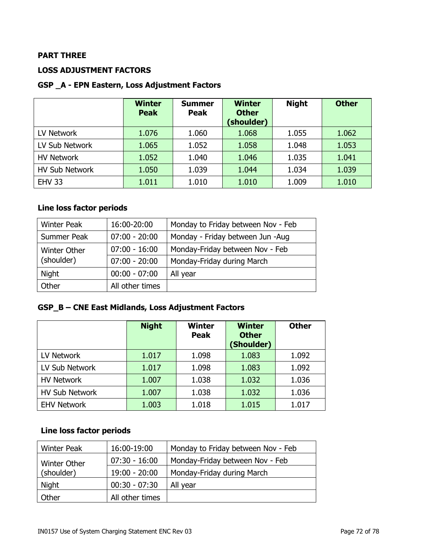## **PART THREE**

## **LOSS ADJUSTMENT FACTORS**

#### **GSP \_A - EPN Eastern, Loss Adjustment Factors**

|                       | <b>Winter</b><br><b>Peak</b> | <b>Summer</b><br><b>Peak</b> | <b>Winter</b><br><b>Other</b><br>(shoulder) | <b>Night</b> | <b>Other</b> |
|-----------------------|------------------------------|------------------------------|---------------------------------------------|--------------|--------------|
| LV Network            | 1.076                        | 1.060                        | 1.068                                       | 1.055        | 1.062        |
| LV Sub Network        | 1.065                        | 1.052                        | 1.058                                       | 1.048        | 1.053        |
| <b>HV Network</b>     | 1.052                        | 1.040                        | 1.046                                       | 1.035        | 1.041        |
| <b>HV Sub Network</b> | 1.050                        | 1.039                        | 1.044                                       | 1.034        | 1.039        |
| <b>EHV 33</b>         | 1.011                        | 1.010                        | 1.010                                       | 1.009        | 1.010        |

## **Line loss factor periods**

| <b>Winter Peak</b> | 16:00-20:00     | Monday to Friday between Nov - Feb |  |
|--------------------|-----------------|------------------------------------|--|
| Summer Peak        | $07:00 - 20:00$ | Monday - Friday between Jun -Aug   |  |
| Winter Other       | $07:00 - 16:00$ | Monday-Friday between Nov - Feb    |  |
| (shoulder)         | $07:00 - 20:00$ | Monday-Friday during March         |  |
| <b>Night</b>       | $00:00 - 07:00$ | All year                           |  |
| Other              | All other times |                                    |  |

### **GSP\_B – CNE East Midlands, Loss Adjustment Factors**

|                       | <b>Night</b> | <b>Winter</b><br><b>Peak</b> | <b>Winter</b><br><b>Other</b><br>(Shoulder) | <b>Other</b> |
|-----------------------|--------------|------------------------------|---------------------------------------------|--------------|
| LV Network            | 1.017        | 1.098                        | 1.083                                       | 1.092        |
| LV Sub Network        | 1.017        | 1.098                        | 1.083                                       | 1.092        |
| <b>HV Network</b>     | 1.007        | 1.038                        | 1.032                                       | 1.036        |
| <b>HV Sub Network</b> | 1.007        | 1.038                        | 1.032                                       | 1.036        |
| <b>EHV Network</b>    | 1.003        | 1.018                        | 1.015                                       | 1.017        |

## **Line loss factor periods**

| <b>Winter Peak</b>  | 16:00-19:00     | Monday to Friday between Nov - Feb |  |
|---------------------|-----------------|------------------------------------|--|
| <b>Winter Other</b> | $07:30 - 16:00$ | Monday-Friday between Nov - Feb    |  |
| (shoulder)          | $19:00 - 20:00$ | Monday-Friday during March         |  |
| Night               | $00:30 - 07:30$ | All year                           |  |
| <b>Other</b>        | All other times |                                    |  |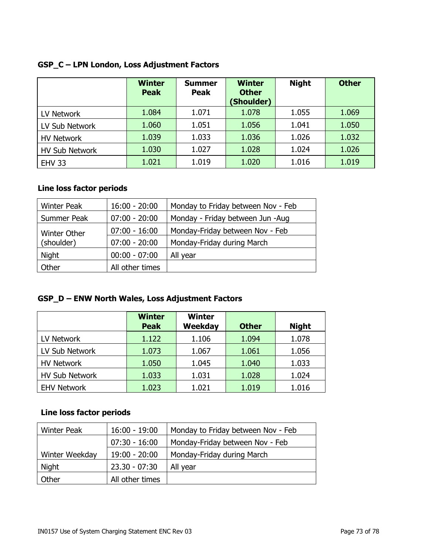|                       | <b>Winter</b><br><b>Peak</b> | <b>Summer</b><br><b>Peak</b> | <b>Winter</b><br><b>Other</b><br>(Shoulder) | <b>Night</b> | <b>Other</b> |
|-----------------------|------------------------------|------------------------------|---------------------------------------------|--------------|--------------|
| LV Network            | 1.084                        | 1.071                        | 1.078                                       | 1.055        | 1.069        |
| LV Sub Network        | 1.060                        | 1.051                        | 1.056                                       | 1.041        | 1.050        |
| <b>HV Network</b>     | 1.039                        | 1.033                        | 1.036                                       | 1.026        | 1.032        |
| <b>HV Sub Network</b> | 1.030                        | 1.027                        | 1.028                                       | 1.024        | 1.026        |
| <b>EHV 33</b>         | 1.021                        | 1.019                        | 1.020                                       | 1.016        | 1.019        |

## **GSP\_C – LPN London, Loss Adjustment Factors**

## **Line loss factor periods**

| <b>Winter Peak</b>                | $16:00 - 20:00$ | Monday to Friday between Nov - Feb |
|-----------------------------------|-----------------|------------------------------------|
| Summer Peak                       | $07:00 - 20:00$ | Monday - Friday between Jun -Aug   |
| <b>Winter Other</b><br>(shoulder) | $07:00 - 16:00$ | Monday-Friday between Nov - Feb    |
|                                   | $07:00 - 20:00$ | Monday-Friday during March         |
| <b>Night</b>                      | $00:00 - 07:00$ | All year                           |
| Other                             | All other times |                                    |

# **GSP\_D – ENW North Wales, Loss Adjustment Factors**

|                       | <b>Winter</b><br><b>Peak</b> | <b>Winter</b><br><b>Weekday</b> | <b>Other</b> | <b>Night</b> |
|-----------------------|------------------------------|---------------------------------|--------------|--------------|
| LV Network            | 1.122                        | 1.106                           | 1.094        | 1.078        |
| LV Sub Network        | 1.073                        | 1.067                           | 1.061        | 1.056        |
| <b>HV Network</b>     | 1.050                        | 1.045                           | 1.040        | 1.033        |
| <b>HV Sub Network</b> | 1.033                        | 1.031                           | 1.028        | 1.024        |
| <b>EHV Network</b>    | 1.023                        | 1.021                           | 1.019        | 1.016        |

| <b>Winter Peak</b> | $16:00 - 19:00$ | Monday to Friday between Nov - Feb |
|--------------------|-----------------|------------------------------------|
|                    | $07:30 - 16:00$ | Monday-Friday between Nov - Feb    |
| Winter Weekday     | $19:00 - 20:00$ | Monday-Friday during March         |
| Night              | $23.30 - 07:30$ | All year                           |
| Other              | All other times |                                    |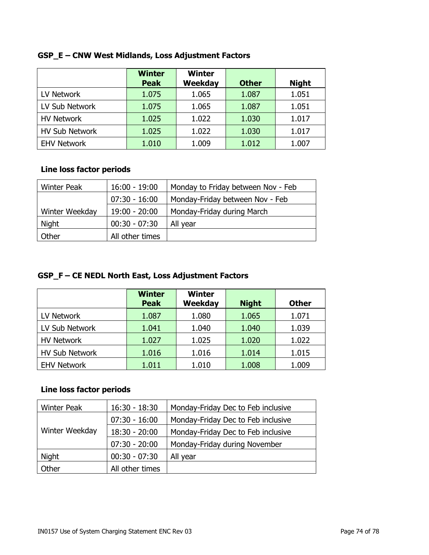|                       | <b>Winter</b><br><b>Peak</b> | <b>Winter</b><br>Weekday | <b>Other</b> | <b>Night</b> |
|-----------------------|------------------------------|--------------------------|--------------|--------------|
| LV Network            | 1.075                        | 1.065                    | 1.087        | 1.051        |
| LV Sub Network        | 1.075                        | 1.065                    | 1.087        | 1.051        |
| <b>HV Network</b>     | 1.025                        | 1.022                    | 1.030        | 1.017        |
| <b>HV Sub Network</b> | 1.025                        | 1.022                    | 1.030        | 1.017        |
| <b>EHV Network</b>    | 1.010                        | 1.009                    | 1.012        | 1.007        |

## **GSP\_E – CNW West Midlands, Loss Adjustment Factors**

## **Line loss factor periods**

| <b>Winter Peak</b> | $16:00 - 19:00$ | Monday to Friday between Nov - Feb |
|--------------------|-----------------|------------------------------------|
|                    | $07:30 - 16:00$ | Monday-Friday between Nov - Feb    |
| Winter Weekday     | $19:00 - 20:00$ | Monday-Friday during March         |
| Night              | $00:30 - 07:30$ | All year                           |
| Other              | All other times |                                    |

# **GSP\_F – CE NEDL North East, Loss Adjustment Factors**

|                       | <b>Winter</b><br><b>Peak</b> | <b>Winter</b><br><b>Weekday</b> | <b>Night</b> | <b>Other</b> |
|-----------------------|------------------------------|---------------------------------|--------------|--------------|
| LV Network            | 1.087                        | 1.080                           | 1.065        | 1.071        |
| LV Sub Network        | 1.041                        | 1.040                           | 1.040        | 1.039        |
| <b>HV Network</b>     | 1.027                        | 1.025                           | 1.020        | 1.022        |
| <b>HV Sub Network</b> | 1.016                        | 1.016                           | 1.014        | 1.015        |
| <b>EHV Network</b>    | 1.011                        | 1.010                           | 1.008        | 1.009        |

| <b>Winter Peak</b> | $16:30 - 18:30$ | Monday-Friday Dec to Feb inclusive |
|--------------------|-----------------|------------------------------------|
| Winter Weekday     | $07:30 - 16:00$ | Monday-Friday Dec to Feb inclusive |
|                    | $18:30 - 20:00$ | Monday-Friday Dec to Feb inclusive |
|                    | $07:30 - 20:00$ | Monday-Friday during November      |
| <b>Night</b>       | $00:30 - 07:30$ | All year                           |
| Other              | All other times |                                    |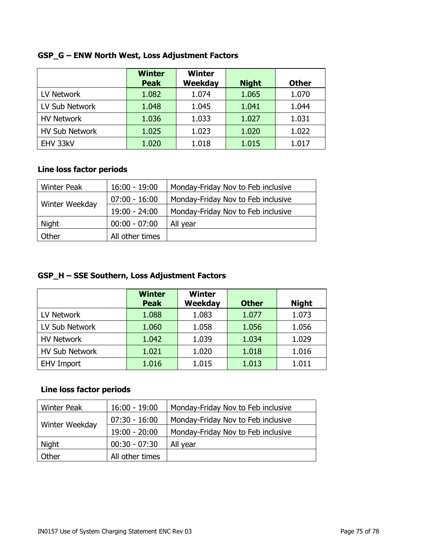|                       | <b>Winter</b><br><b>Peak</b> | <b>Winter</b><br>Weekday | <b>Night</b> | <b>Other</b> |
|-----------------------|------------------------------|--------------------------|--------------|--------------|
| LV Network            | 1.082                        | 1.074                    | 1.065        | 1.070        |
| LV Sub Network        | 1.048                        | 1.045                    | 1.041        | 1.044        |
| <b>HV Network</b>     | 1.036                        | 1.033                    | 1.027        | 1.031        |
| <b>HV Sub Network</b> | 1.025                        | 1.023                    | 1.020        | 1.022        |
| EHV 33kV              | 1.020                        | 1.018                    | 1.015        | 1.017        |

# **GSP\_G – ENW North West, Loss Adjustment Factors**

## **Line loss factor periods**

| <b>Winter Peak</b> | $16:00 - 19:00$ | Monday-Friday Nov to Feb inclusive |
|--------------------|-----------------|------------------------------------|
| Winter Weekday     | $07:00 - 16:00$ | Monday-Friday Nov to Feb inclusive |
|                    | $19:00 - 24:00$ | Monday-Friday Nov to Feb inclusive |
| Night              | $00:00 - 07:00$ | All year                           |
| Other              | All other times |                                    |

# **GSP\_H – SSE Southern, Loss Adjustment Factors**

|                       | <b>Winter</b><br><b>Peak</b> | <b>Winter</b><br><b>Weekday</b> | <b>Other</b> | <b>Night</b> |
|-----------------------|------------------------------|---------------------------------|--------------|--------------|
| LV Network            | 1.088                        | 1.083                           | 1.077        | 1.073        |
| LV Sub Network        | 1.060                        | 1.058                           | 1.056        | 1.056        |
| <b>HV Network</b>     | 1.042                        | 1.039                           | 1.034        | 1.029        |
| <b>HV Sub Network</b> | 1.021                        | 1.020                           | 1.018        | 1.016        |
| <b>EHV Import</b>     | 1.016                        | 1.015                           | 1.013        | 1.011        |

| <b>Winter Peak</b> | $16:00 - 19:00$ | Monday-Friday Nov to Feb inclusive |
|--------------------|-----------------|------------------------------------|
| Winter Weekday     | $07:30 - 16:00$ | Monday-Friday Nov to Feb inclusive |
|                    | $19:00 - 20:00$ | Monday-Friday Nov to Feb inclusive |
| <b>Night</b>       | $00:30 - 07:30$ | All year                           |
| Other              | All other times |                                    |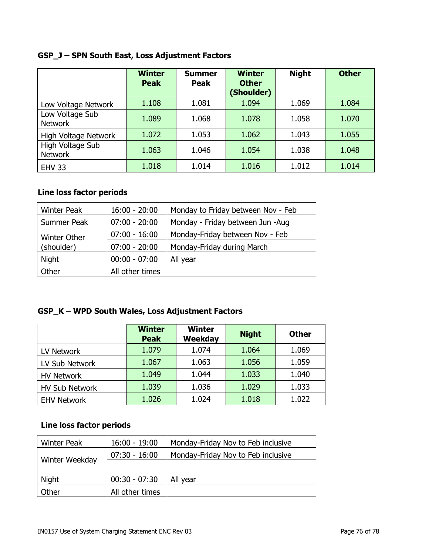# **GSP\_J – SPN South East, Loss Adjustment Factors**

|                                    | <b>Winter</b><br><b>Peak</b> | <b>Summer</b><br><b>Peak</b> | <b>Winter</b><br><b>Other</b><br>(Shoulder) | <b>Night</b> | <b>Other</b> |
|------------------------------------|------------------------------|------------------------------|---------------------------------------------|--------------|--------------|
| Low Voltage Network                | 1.108                        | 1.081                        | 1.094                                       | 1.069        | 1.084        |
| Low Voltage Sub<br><b>Network</b>  | 1.089                        | 1.068                        | 1.078                                       | 1.058        | 1.070        |
| High Voltage Network               | 1.072                        | 1.053                        | 1.062                                       | 1.043        | 1.055        |
| High Voltage Sub<br><b>Network</b> | 1.063                        | 1.046                        | 1.054                                       | 1.038        | 1.048        |
| <b>EHV 33</b>                      | 1.018                        | 1.014                        | 1.016                                       | 1.012        | 1.014        |

## **Line loss factor periods**

| <b>Winter Peak</b>  | $16:00 - 20:00$ | Monday to Friday between Nov - Feb |
|---------------------|-----------------|------------------------------------|
| Summer Peak         | $07:00 - 20:00$ | Monday - Friday between Jun -Aug   |
| <b>Winter Other</b> | $07:00 - 16:00$ | Monday-Friday between Nov - Feb    |
| (shoulder)          | $07:00 - 20:00$ | Monday-Friday during March         |
| <b>Night</b>        | $00:00 - 07:00$ | All year                           |
| Other               | All other times |                                    |

# **GSP\_K – WPD South Wales, Loss Adjustment Factors**

|                       | <b>Winter</b><br><b>Peak</b> | <b>Winter</b><br><b>Weekday</b> | <b>Night</b> | <b>Other</b> |
|-----------------------|------------------------------|---------------------------------|--------------|--------------|
| LV Network            | 1.079                        | 1.074                           | 1.064        | 1.069        |
| LV Sub Network        | 1.067                        | 1.063                           | 1.056        | 1.059        |
| <b>HV Network</b>     | 1.049                        | 1.044                           | 1.033        | 1.040        |
| <b>HV Sub Network</b> | 1.039                        | 1.036                           | 1.029        | 1.033        |
| <b>EHV Network</b>    | 1.026                        | 1.024                           | 1.018        | 1.022        |

| <b>Winter Peak</b> | $16:00 - 19:00$ | Monday-Friday Nov to Feb inclusive |
|--------------------|-----------------|------------------------------------|
|                    | $07:30 - 16:00$ | Monday-Friday Nov to Feb inclusive |
| Winter Weekday     |                 |                                    |
| Night              | $00:30 - 07:30$ | All year                           |
| Other              | All other times |                                    |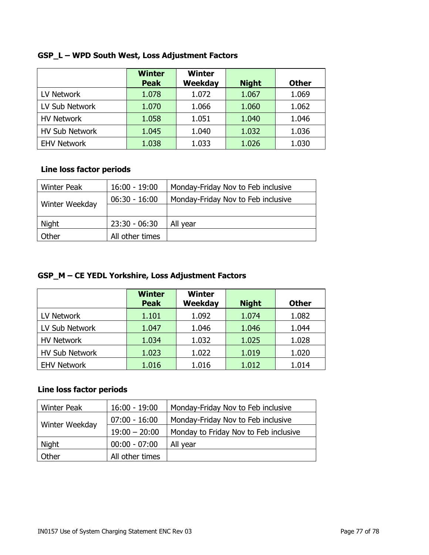|                       | <b>Winter</b><br><b>Peak</b> | <b>Winter</b><br>Weekday | <b>Night</b> | <b>Other</b> |
|-----------------------|------------------------------|--------------------------|--------------|--------------|
| LV Network            | 1.078                        | 1.072                    | 1.067        | 1.069        |
| LV Sub Network        | 1.070                        | 1.066                    | 1.060        | 1.062        |
| <b>HV Network</b>     | 1.058                        | 1.051                    | 1.040        | 1.046        |
| <b>HV Sub Network</b> | 1.045                        | 1.040                    | 1.032        | 1.036        |
| <b>EHV Network</b>    | 1.038                        | 1.033                    | 1.026        | 1.030        |

# **GSP\_L – WPD South West, Loss Adjustment Factors**

### **Line loss factor periods**

| <b>Winter Peak</b> | $16:00 - 19:00$ | Monday-Friday Nov to Feb inclusive |
|--------------------|-----------------|------------------------------------|
|                    | $06:30 - 16:00$ | Monday-Friday Nov to Feb inclusive |
| Winter Weekday     |                 |                                    |
| Night              | $23:30 - 06:30$ | All year                           |
| Other              | All other times |                                    |

# **GSP\_M – CE YEDL Yorkshire, Loss Adjustment Factors**

|                       | <b>Winter</b><br><b>Peak</b> | <b>Winter</b><br>Weekday | <b>Night</b> | <b>Other</b> |
|-----------------------|------------------------------|--------------------------|--------------|--------------|
| LV Network            | 1.101                        | 1.092                    | 1.074        | 1.082        |
| LV Sub Network        | 1.047                        | 1.046                    | 1.046        | 1.044        |
| <b>HV Network</b>     | 1.034                        | 1.032                    | 1.025        | 1.028        |
| <b>HV Sub Network</b> | 1.023                        | 1.022                    | 1.019        | 1.020        |
| <b>EHV Network</b>    | 1.016                        | 1.016                    | 1.012        | 1.014        |

| <b>Winter Peak</b>    | $16:00 - 19:00$ | Monday-Friday Nov to Feb inclusive    |
|-----------------------|-----------------|---------------------------------------|
| <b>Winter Weekday</b> | $07:00 - 16:00$ | Monday-Friday Nov to Feb inclusive    |
|                       | $19:00 - 20:00$ | Monday to Friday Nov to Feb inclusive |
| Night                 | $00:00 - 07:00$ | All year                              |
| Other                 | All other times |                                       |